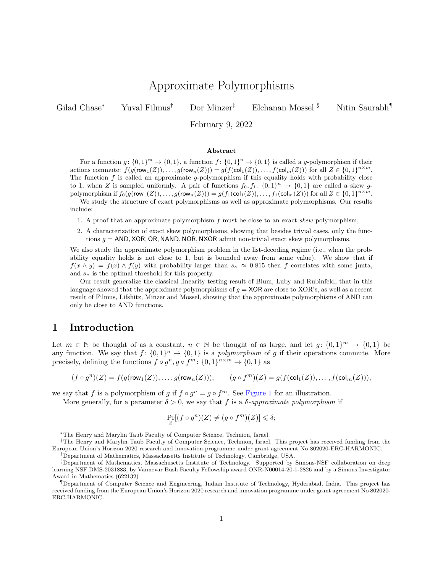# Approximate Polymorphisms

Gilad Chase<sup>∗</sup> Yuval Filmus† Dor Minzer‡ Elchanan Mossel § Nitin Saurabh¶

February 9, 2022

#### Abstract

For a function  $g: \{0,1\}^m \to \{0,1\}$ , a function  $f: \{0,1\}^n \to \{0,1\}$  is called a g-polymorphism if their actions commute:  $f(g(\text{row}_1(Z)), \ldots, g(\text{row}_n(Z))) = g(f(\text{col}_1(Z)), \ldots, f(\text{col}_m(Z)))$  for all  $Z \in \{0, 1\}^{n \times m}$ . The function  $f$  is called an approximate g-polymorphism if this equality holds with probability close to 1, when Z is sampled uniformly. A pair of functions  $f_0, f_1: \{0,1\}^n \to \{0,1\}$  are called a skew gpolymorphism if  $f_0(g(\text{row}_1(Z)), \ldots, g(\text{row}_n(Z))) = g(f_1(\text{col}_1(Z)), \ldots, f_1(\text{col}_m(Z)))$  for all  $Z \in \{0,1\}^{n \times m}$ .

We study the structure of exact polymorphisms as well as approximate polymorphisms. Our results include:

1. A proof that an approximate polymorphism f must be close to an exact skew polymorphism;

2. A characterization of exact skew polymorphisms, showing that besides trivial cases, only the functions  $g = AND$ , XOR, OR, NAND, NOR, NXOR admit non-trivial exact skew polymorphisms.

We also study the approximate polymorphism problem in the list-decoding regime (i.e., when the probability equality holds is not close to 1, but is bounded away from some value). We show that if  $f(x \wedge y) = f(x) \wedge f(y)$  with probability larger than  $s \wedge \approx 0.815$  then f correlates with some junta, and  $s_{\wedge}$  is the optimal threshold for this property.

Our result generalize the classical linearity testing result of Blum, Luby and Rubinfeld, that in this language showed that the approximate polymorphisms of  $g = XOR$  are close to XOR's, as well as a recent result of Filmus, Lifshitz, Minzer and Mossel, showing that the approximate polymorphisms of AND can only be close to AND functions.

## 1 Introduction

Let  $m \in \mathbb{N}$  be thought of as a constant,  $n \in \mathbb{N}$  be thought of as large, and let  $g: \{0,1\}^m \to \{0,1\}$  be any function. We say that  $f: \{0,1\}^n \to \{0,1\}$  is a *polymorphism* of g if their operations commute. More precisely, defining the functions  $f \circ g^n, g \circ f^m : \{0,1\}^{n \times m} \to \{0,1\}$  as

$$
(f \circ g^n)(Z) = f(g(\text{row}_1(Z)), \dots, g(\text{row}_n(Z))), \qquad (g \circ f^m)(Z) = g(f(\text{col}_1(Z)), \dots, f(\text{col}_m(Z))),
$$

we say that f is a polymorphism of g if  $f \circ g^n = g \circ f^m$ . See [Figure 1](#page-1-0) for an illustration.

More generally, for a parameter  $\delta > 0$ , we say that f is a  $\delta$ -approximate polymorphism if

$$
\Pr_Z[(f \circ g^n)(Z) \neq (g \circ f^m)(Z)] \leq \delta;
$$

<sup>∗</sup>The Henry and Marylin Taub Faculty of Computer Science, Technion, Israel.

<sup>†</sup>The Henry and Marylin Taub Faculty of Computer Science, Technion, Israel. This project has received funding from the European Union's Horizon 2020 research and innovation programme under grant agreement No 802020-ERC-HARMONIC.

<sup>‡</sup>Department of Mathematics, Massachusetts Institute of Technology, Cambridge, USA.

<sup>§</sup>Department of Mathematics, Massachusetts Institute of Technology. Supported by Simons-NSF collaboration on deep learning NSF DMS-2031883, by Vannevar Bush Faculty Fellowship award ONR-N00014-20-1-2826 and by a Simons Investigator Award in Mathematics (622132)

<sup>¶</sup>Department of Computer Science and Engineering, Indian Institute of Technology, Hyderabad, India. This project has received funding from the European Union's Horizon 2020 research and innovation programme under grant agreement No 802020- ERC-HARMONIC.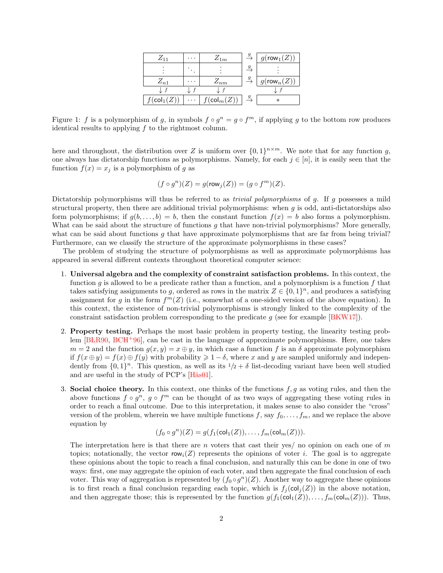| $Z_{11}$               | . | $Z_{1m}$              |    | $g(\mathsf{row}_1(Z))$      |
|------------------------|---|-----------------------|----|-----------------------------|
|                        |   |                       |    |                             |
| $Z_{n1}$               |   | $Z_{nm}$              |    | $\gamma(\mathsf{row}_n(Z))$ |
|                        |   |                       |    |                             |
| $f(\mathsf{col}_1(Z))$ | . | $(\mathsf{col}_m(Z))$ | 9. | $^\ast$                     |

<span id="page-1-0"></span>Figure 1: f is a polymorphism of g, in symbols  $f \circ g^n = g \circ f^m$ , if applying g to the bottom row produces identical results to applying  $f$  to the rightmost column.

here and throughout, the distribution over Z is uniform over  $\{0,1\}^{n \times m}$ . We note that for any function g, one always has dictatorship functions as polymorphisms. Namely, for each  $j \in [n]$ , it is easily seen that the function  $f(x) = x_j$  is a polymorphism of g as

$$
(f \circ g^n)(Z) = g(\text{row}_j(Z)) = (g \circ f^m)(Z).
$$

Dictatorship polymorphisms will thus be referred to as *trivial polymorphisms* of g. If g possesses a mild structural property, then there are additional trivial polymorphisms: when  $g$  is odd, anti-dictatorships also form polymorphisms; if  $g(b, \ldots, b) = b$ , then the constant function  $f(x) = b$  also forms a polymorphism. What can be said about the structure of functions q that have non-trivial polymorphisms? More generally, what can be said about functions  $g$  that have approximate polymorphisms that are far from being trivial? Furthermore, can we classify the structure of the approximate polymorphisms in these cases?

The problem of studying the structure of polymorphisms as well as approximate polymorphisms has appeared in several different contexts throughout theoretical computer science:

- 1. Universal algebra and the complexity of constraint satisfaction problems. In this context, the function g is allowed to be a predicate rather than a function, and a polymorphism is a function f that takes satisfying assignments to g, ordered as rows in the matrix  $Z \in \{0,1\}^n$ , and produces a satisfying assignment for g in the form  $f^m(Z)$  (i.e., somewhat of a one-sided version of the above equation). In this context, the existence of non-trivial polymorphisms is strongly linked to the complexity of the constraint satisfaction problem corresponding to the predicate  $g$  (see for example  $[BKW17]$ ).
- <span id="page-1-1"></span>2. Property testing. Perhaps the most basic problem in property testing, the linearity testing problem  $BLR90, BCH+96$  $BLR90, BCH+96$  $BLR90, BCH+96$ , can be cast in the language of approximate polymorphisms. Here, one takes  $m = 2$  and the function  $g(x, y) = x \oplus y$ , in which case a function f is an  $\delta$  approximate polymorphism if  $f(x \oplus y) = f(x) \oplus f(y)$  with probability  $\geq 1 - \delta$ , where x and y are sampled uniformly and independently from  $\{0,1\}^n$ . This question, as well as its  $1/2 + \delta$  list-decoding variant have been well studied and are useful in the study of PCP's  $[Hås01]$ .
- 3. Social choice theory. In this context, one thinks of the functions  $f, g$  as voting rules, and then the above functions  $f \circ g^n$ ,  $g \circ f^m$  can be thought of as two ways of aggregating these voting rules in order to reach a final outcome. Due to this interpretation, it makes sense to also consider the "cross" version of the problem, wherein we have multiple functions f, say  $f_0, \ldots, f_m$ , and we replace the above equation by

<span id="page-1-3"></span><span id="page-1-2"></span>
$$
(f_0 \circ g^n)(Z) = g(f_1(\text{col}_1(Z)), \dots, f_m(\text{col}_m(Z))).
$$

The interpretation here is that there are n voters that cast their yes/ no opinion on each one of  $m$ topics; notationally, the vector row<sub>i</sub>(Z) represents the opinions of voter i. The goal is to aggregate these opinions about the topic to reach a final conclusion, and naturally this can be done in one of two ways: first, one may aggregate the opinion of each voter, and then aggregate the final conclusion of each voter. This way of aggregation is represented by  $(f_0 \circ g^n)(Z)$ . Another way to aggregate these opinions is to first reach a final conclusion regarding each topic, which is  $f_j(\text{col}_j(Z))$  in the above notation, and then aggregate those; this is represented by the function  $g(f_1(\text{col}_1(Z)), \ldots, f_m(\text{col}_m(Z)))$ . Thus,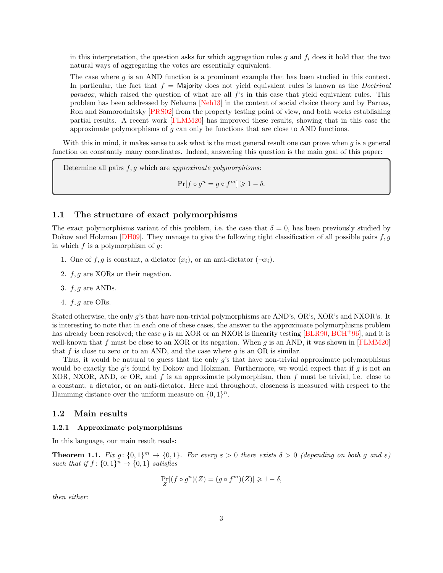in this interpretation, the question asks for which aggregation rules g and  $f_i$  does it hold that the two natural ways of aggregating the votes are essentially equivalent.

The case where  $q$  is an AND function is a prominent example that has been studied in this context. In particular, the fact that  $f =$  Majority does not yield equivalent rules is known as the *Doctrinal* paradox, which raised the question of what are all f's in this case that yield equivalent rules. This problem has been addressed by Nehama [\[Neh13\]](#page-37-3) in the context of social choice theory and by Parnas, Ron and Samorodnitsky [\[PRS02\]](#page-38-0) from the property testing point of view, and both works establishing partial results. A recent work [\[FLMM20\]](#page-37-4) has improved these results, showing that in this case the approximate polymorphisms of  $g$  can only be functions that are close to AND functions.

With this in mind, it makes sense to ask what is the most general result one can prove when  $q$  is a general function on constantly many coordinates. Indeed, answering this question is the main goal of this paper:

Determine all pairs  $f, g$  which are *approximate polymorphisms*:

<span id="page-2-6"></span><span id="page-2-5"></span><span id="page-2-3"></span><span id="page-2-1"></span> $\Pr[f \circ g^n = g \circ f^m] \geq 1 - \delta.$ 

### 1.1 The structure of exact polymorphisms

The exact polymorphisms variant of this problem, i.e. the case that  $\delta = 0$ , has been previously studied by Dokow and Holzman [\[DH09\]](#page-37-5). They manage to give the following tight classification of all possible pairs  $f, g$ in which  $f$  is a polymorphism of  $g$ :

- <span id="page-2-2"></span>1. One of  $f, g$  is constant, a dictator  $(x_i)$ , or an anti-dictator  $(\neg x_i)$ .
- 2.  $f, g$  are XORs or their negation.
- 3.  $f, q$  are ANDs.
- 4.  $f, g$  are ORs.

Stated otherwise, the only g's that have non-trivial polymorphisms are AND's, OR's, XOR's and NXOR's. It is interesting to note that in each one of these cases, the answer to the approximate polymorphisms problem has already been resolved; the case g is an XOR or an NXOR is linearity testing [\[BLR90,](#page-37-1) [BCH](#page-36-0)<sup>+</sup>96], and it is well-known that f must be close to an XOR or its negation. When g is an AND, it was shown in [\[FLMM20\]](#page-37-4) that f is close to zero or to an AND, and the case where  $q$  is an OR is similar.

Thus, it would be natural to guess that the only  $g$ 's that have non-trivial approximate polymorphisms would be exactly the  $q$ 's found by Dokow and Holzman. Furthermore, we would expect that if  $q$  is not an XOR, NXOR, AND, or OR, and  $f$  is an approximate polymorphism, then  $f$  must be trivial, i.e. close to a constant, a dictator, or an anti-dictator. Here and throughout, closeness is measured with respect to the Hamming distance over the uniform measure on  $\{0,1\}^n$ .

#### 1.2 Main results

#### 1.2.1 Approximate polymorphisms

In this language, our main result reads:

<span id="page-2-0"></span>**Theorem 1.1.** Fix g:  $\{0,1\}^m \to \{0,1\}$ . For every  $\varepsilon > 0$  there exists  $\delta > 0$  (depending on both g and  $\varepsilon$ ) such that if  $f: \{0,1\}^n \rightarrow \{0,1\}$  satisfies

<span id="page-2-4"></span>
$$
\Pr_Z[(f \circ g^n)(Z) = (g \circ f^m)(Z)] \geq 1 - \delta,
$$

then either: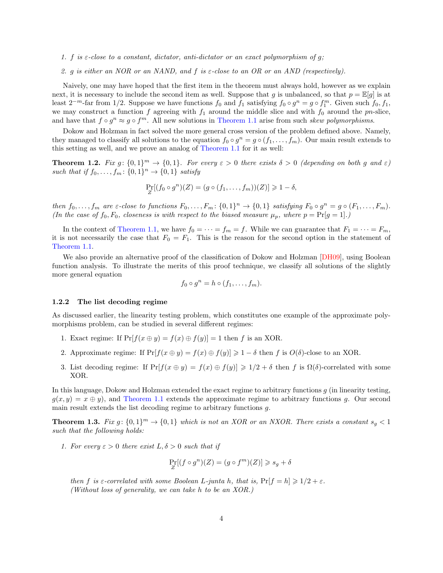- 1. f is  $\varepsilon$ -close to a constant, dictator, anti-dictator or an exact polymorphism of q;
- 2. g is either an NOR or an NAND, and f is  $\varepsilon$ -close to an OR or an AND (respectively).

Naively, one may have hoped that the first item in the theorem must always hold, however as we explain next, it is necessary to include the second item as well. Suppose that g is unbalanced, so that  $p = \mathbb{E}[q]$  is at least  $2^{-m}$ -far from 1/2. Suppose we have functions  $f_0$  and  $f_1$  satisfying  $f_0 \circ g^n = g \circ f_1^m$ . Given such  $f_0, f_1$ , we may construct a function f agreeing with  $f_1$  around the middle slice and with  $f_0$  around the pn-slice, and have that  $f \circ g^n \approx g \circ f^m$ . All new solutions in [Theorem 1.1](#page-2-0) arise from such skew polymorphisms.

Dokow and Holzman in fact solved the more general cross version of the problem defined above. Namely, they managed to classify all solutions to the equation  $f_0 \circ g^n = g \circ (f_1, \ldots, f_m)$ . Our main result extends to this setting as well, and we prove an analog of [Theorem 1.1](#page-2-0) for it as well:

<span id="page-3-1"></span>**Theorem 1.2.** Fix g:  $\{0,1\}^m \to \{0,1\}$ . For every  $\varepsilon > 0$  there exists  $\delta > 0$  (depending on both g and  $\varepsilon$ ) such that if  $f_0, \ldots, f_m: \{0,1\}^n \to \{0,1\}$  satisfy

$$
\Pr_Z[(f_0 \circ g^n)(Z) = (g \circ (f_1, \ldots, f_m))(Z)] \geq 1 - \delta,
$$

then  $f_0, \ldots, f_m$  are  $\varepsilon$ -close to functions  $F_0, \ldots, F_m: \{0,1\}^n \to \{0,1\}$  satisfying  $F_0 \circ g^n = g \circ (F_1, \ldots, F_m)$ . (In the case of  $f_0, F_0$ , closeness is with respect to the biased measure  $\mu_p$ , where  $p = \Pr[g = 1].$ )

In the context of [Theorem 1.1,](#page-2-0) we have  $f_0 = \cdots = f_m = f$ . While we can guarantee that  $F_1 = \cdots = F_m$ , it is not necessarily the case that  $F_0 = F_1$ . This is the reason for the second option in the statement of [Theorem 1.1.](#page-2-0)

We also provide an alternative proof of the classification of Dokow and Holzman [\[DH09\]](#page-37-5), using Boolean function analysis. To illustrate the merits of this proof technique, we classify all solutions of the slightly more general equation

<span id="page-3-2"></span>
$$
f_0 \circ g^n = h \circ (f_1, \ldots, f_m).
$$

#### 1.2.2 The list decoding regime

As discussed earlier, the linearity testing problem, which constitutes one example of the approximate polymorphisms problem, can be studied in several different regimes:

- 1. Exact regime: If  $Pr[f(x \oplus y) = f(x) \oplus f(y)] = 1$  then f is an XOR.
- 2. Approximate regime: If  $Pr[f(x \oplus y) = f(x) \oplus f(y)] \ge 1 \delta$  then f is  $O(\delta)$ -close to an XOR.
- 3. List decoding regime: If  $Pr[f(x \oplus y) = f(x) \oplus f(y)] \ge 1/2 + \delta$  then f is  $\Omega(\delta)$ -correlated with some XOR.

In this language, Dokow and Holzman extended the exact regime to arbitrary functions  $g$  (in linearity testing,  $g(x, y) = x \oplus y$ , and [Theorem 1.1](#page-2-0) extends the approximate regime to arbitrary functions q. Our second main result extends the list decoding regime to arbitrary functions g.

<span id="page-3-0"></span>**Theorem 1.3.** Fix  $g: \{0,1\}^m \to \{0,1\}$  which is not an XOR or an NXOR. There exists a constant  $s_g < 1$ such that the following holds:

1. For every  $\varepsilon > 0$  there exist  $L, \delta > 0$  such that if

$$
\Pr_Z[(f\circ g^n)(Z)=(g\circ f^m)(Z)]\geqslant s_g+\delta
$$

then f is  $\varepsilon$ -correlated with some Boolean L-junta h, that is,  $Pr[f = h] \geq 1/2 + \varepsilon$ . (Without loss of generality, we can take h to be an XOR.)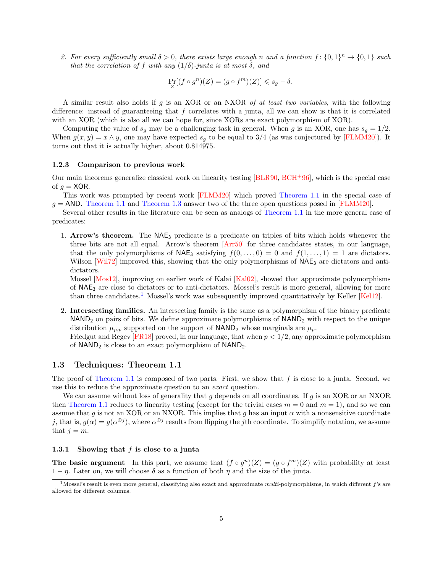2. For every sufficiently small  $\delta > 0$ , there exists large enough n and a function  $f: \{0,1\}^n \to \{0,1\}$  such that the correlation of f with any  $(1/\delta)$ -junta is at most  $\delta$ , and

<span id="page-4-8"></span><span id="page-4-5"></span><span id="page-4-4"></span><span id="page-4-3"></span><span id="page-4-2"></span>
$$
\Pr_Z[(f \circ g^n)(Z) = (g \circ f^m)(Z)] \leq s_g - \delta.
$$

A similar result also holds if  $q$  is an XOR or an NXOR of at least two variables, with the following difference: instead of guaranteeing that  $f$  correlates with a junta, all we can show is that it is correlated with an XOR (which is also all we can hope for, since XORs are exact polymorphism of XOR).

Computing the value of  $s_g$  may be a challenging task in general. When g is an XOR, one has  $s_g = 1/2$ . When  $g(x, y) = x \wedge y$ , one may have expected  $s_q$  to be equal to 3/4 (as was conjectured by [\[FLMM20\]](#page-37-4)). It turns out that it is actually higher, about 0.814975.

#### 1.2.3 Comparison to previous work

Our main theorems generalize classical work on linearity testing  $[BLR90, BCH<sup>+</sup>96]$  $[BLR90, BCH<sup>+</sup>96]$  $[BLR90, BCH<sup>+</sup>96]$  $[BLR90, BCH<sup>+</sup>96]$ , which is the special case of  $g = XOR$ .

This work was prompted by recent work [\[FLMM20\]](#page-37-4) which proved [Theorem 1.1](#page-2-0) in the special case of  $q = \text{AND}$ . [Theorem 1.1](#page-2-0) and [Theorem 1.3](#page-3-0) answer two of the three open questions posed in [\[FLMM20\]](#page-37-4).

Several other results in the literature can be seen as analogs of [Theorem 1.1](#page-2-0) in the more general case of predicates:

1. Arrow's theorem. The  $NAE_3$  predicate is a predicate on triples of bits which holds whenever the three bits are not all equal. Arrow's theorem [\[Arr50\]](#page-36-1) for three candidates states, in our language, that the only polymorphisms of  $NAE_3$  satisfying  $f(0, \ldots, 0) = 0$  and  $f(1, \ldots, 1) = 1$  are dictators. Wilson [\[Wil72\]](#page-38-1) improved this, showing that the only polymorphisms of  $NAE_3$  are dictators and antidictators.

<span id="page-4-10"></span><span id="page-4-9"></span><span id="page-4-7"></span><span id="page-4-1"></span>Mossel [\[Mos12\]](#page-37-6), improving on earlier work of Kalai [\[Kal02\]](#page-37-7), showed that approximate polymorphisms of NAE<sup>3</sup> are close to dictators or to anti-dictators. Mossel's result is more general, allowing for more than three candidates.[1](#page-4-0) Mossel's work was subsequently improved quantitatively by Keller [\[Kel12\]](#page-37-8).

2. Intersecting families. An intersecting family is the same as a polymorphism of the binary predicate  $NAND<sub>2</sub>$  on pairs of bits. We define approximate polymorphisms of  $NAND<sub>2</sub>$  with respect to the unique distribution  $\mu_{p,p}$  supported on the support of NAND<sub>2</sub> whose marginals are  $\mu_p$ .

<span id="page-4-6"></span>Friedgut and Regev [\[FR18\]](#page-37-9) proved, in our language, that when  $p < 1/2$ , any approximate polymorphism of  $NAND<sub>2</sub>$  is close to an exact polymorphism of  $NAND<sub>2</sub>$ .

#### 1.3 Techniques: Theorem 1.1

The proof of [Theorem 1.1](#page-2-0) is composed of two parts. First, we show that  $f$  is close to a junta. Second, we use this to reduce the approximate question to an exact question.

We can assume without loss of generality that  $g$  depends on all coordinates. If  $g$  is an XOR or an NXOR then [Theorem 1.1](#page-2-0) reduces to linearity testing (except for the trivial cases  $m = 0$  and  $m = 1$ ), and so we can assume that g is not an XOR or an NXOR. This implies that g has an input  $\alpha$  with a nonsensitive coordinate j, that is,  $g(\alpha) = g(\alpha^{\oplus j})$ , where  $\alpha^{\oplus j}$  results from flipping the jth coordinate. To simplify notation, we assume that  $j = m$ .

#### 1.3.1 Showing that  $f$  is close to a junta

The basic argument In this part, we assume that  $(f \circ g^n)(Z) = (g \circ f^m)(Z)$  with probability at least  $1 - \eta$ . Later on, we will choose  $\delta$  as a function of both  $\eta$  and the size of the junta.

<span id="page-4-0"></span><sup>&</sup>lt;sup>1</sup>Mossel's result is even more general, classifying also exact and approximate multi-polymorphisms, in which different f's are allowed for different columns.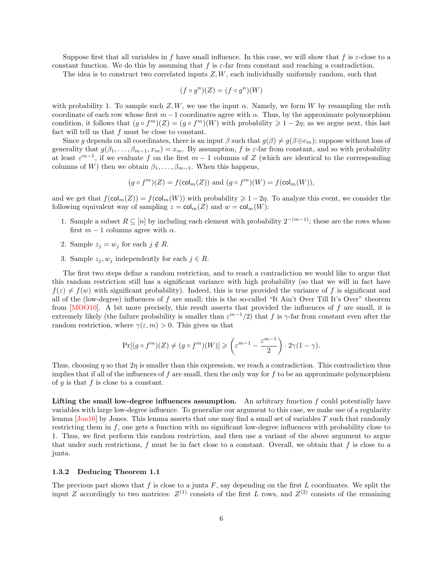Suppose first that all variables in f have small influence. In this case, we will show that f is  $\varepsilon$ -close to a constant function. We do this by assuming that f is  $\varepsilon$ -far from constant and reaching a contradiction.

The idea is to construct two correlated inputs  $Z, W$ , each individually uniformly random, such that

$$
(f \circ g^n)(Z) = (f \circ g^n)(W)
$$

with probability 1. To sample such  $Z, W$ , we use the input  $\alpha$ . Namely, we form W by resampling the mth coordinate of each row whose first  $m-1$  coordinates agree with  $\alpha$ . Thus, by the approximate polymorphism condition, it follows that  $(g \circ f^m)(Z) = (g \circ f^m)(W)$  with probability  $\geq 1 - 2\eta$ ; as we argue next, this last fact will tell us that  $f$  must be close to constant.

Since g depends on all coordinates, there is an input  $\beta$  such that  $g(\beta) \neq g(\beta \oplus e_m)$ ; suppose without loss of generality that  $g(\beta_1, \ldots, \beta_{m-1}, x_m) = x_m$ . By assumption, f is  $\varepsilon$ -far from constant, and so with probability at least  $\varepsilon^{m-1}$ , if we evaluate f on the first  $m-1$  columns of Z (which are identical to the corresponding columns of W) then we obtain  $\beta_1, \ldots, \beta_{m-1}$ . When this happens,

$$
(g \circ fm)(Z) = f(\text{col}_{m}(Z))
$$
 and  $(g \circ fm)(W) = f(\text{col}_{m}(W)),$ 

and we get that  $f(\mathsf{col}_m(Z)) = f(\mathsf{col}_m(W))$  with probability  $\geq 1-2\eta$ . To analyze this event, we consider the following equivalent way of sampling  $z = \text{col}_m(Z)$  and  $w = \text{col}_m(W)$ :

- 1. Sample a subset  $R \subseteq [n]$  by including each element with probability  $2^{-(m-1)}$ ; these are the rows whose first  $m - 1$  columns agree with  $\alpha$ .
- 2. Sample  $z_j = w_j$  for each  $j \notin R$ .
- 3. Sample  $z_j, w_j$  independently for each  $j \in R$ .

<span id="page-5-1"></span>The first two steps define a random restriction, and to reach a contradiction we would like to argue that this random restriction still has a significant variance with high probability (so that we will in fact have  $f(z) \neq f(w)$  with significant probability). Indeed, this is true provided the variance of f is significant and all of the (low-degree) influences of f are small; this is the so-called "It Ain't Over Till It's Over" theorem from  $[MOO10]$ . A bit more precisely, this result asserts that provided the influences of f are small, it is extremely likely (the failure probability is smaller than  $\varepsilon^{m-1}/2$ ) that f is γ-far from constant even after the random restriction, where  $\gamma(\varepsilon, m) > 0$ . This gives us that

$$
\Pr[(g \circ f^m)(Z) \neq (g \circ f^m)(W)] \geqslant \left(\varepsilon^{m-1} - \frac{\varepsilon^{m-1}}{2}\right) \cdot 2\gamma(1-\gamma).
$$

Thus, choosing  $\eta$  so that  $2\eta$  is smaller than this expression, we reach a contradiction. This contradiction thus implies that if all of the influences of f are small, then the only way for f to be an approximate polymorphism of  $g$  is that  $f$  is close to a constant.

<span id="page-5-0"></span>Lifting the small low-degree influences assumption. An arbitrary function  $f$  could potentially have variables with large low-degree influence. To generalize our argument to this case, we make use of a regularity lemma  $\overline{Jon16}$  by Jones. This lemma asserts that one may find a small set of variables T such that randomly restricting them in f, one gets a function with no significant low-degree influences with probability close to 1. Thus, we first perform this random restriction, and then use a variant of the above argument to argue that under such restrictions,  $f$  must be in fact close to a constant. Overall, we obtain that  $f$  is close to a junta.

#### 1.3.2 Deducing Theorem 1.1

The previous part shows that  $f$  is close to a junta  $F$ , say depending on the first  $L$  coordinates. We split the input Z accordingly to two matrices:  $Z^{(1)}$  consists of the first L rows, and  $Z^{(2)}$  consists of the remaining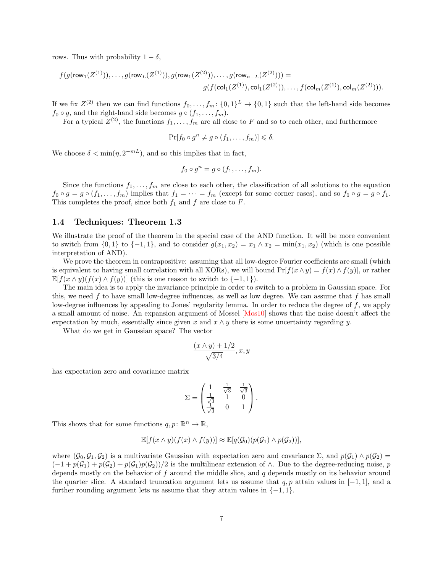rows. Thus with probability  $1 - \delta$ ,

$$
f(g(\text{row}_1(Z^{(1)})), \ldots, g(\text{row}_L(Z^{(1)})), g(\text{row}_1(Z^{(2)})), \ldots, g(\text{row}_{n-L}(Z^{(2)}))) =
$$
  

$$
g(f(\text{col}_1(Z^{(1)}), \text{col}_1(Z^{(2)})), \ldots, f(\text{col}_m(Z^{(1)}), \text{col}_m(Z^{(2)}))).
$$

If we fix  $Z^{(2)}$  then we can find functions  $f_0, \ldots, f_m: \{0,1\}^L \to \{0,1\}$  such that the left-hand side becomes  $f_0 \circ g$ , and the right-hand side becomes  $g \circ (f_1, \ldots, f_m)$ .

For a typical  $Z^{(2)}$ , the functions  $f_1, \ldots, f_m$  are all close to F and so to each other, and furthermore

$$
\Pr[f_0 \circ g^n \neq g \circ (f_1, \dots, f_m)] \leq \delta.
$$

We choose  $\delta < \min(\eta, 2^{-mL})$ , and so this implies that in fact,

$$
f_0 \circ g^n = g \circ (f_1, \ldots, f_m).
$$

Since the functions  $f_1, \ldots, f_m$  are close to each other, the classification of all solutions to the equation  $f_0 \circ g = g \circ (f_1, \ldots, f_m)$  implies that  $f_1 = \cdots = f_m$  (except for some corner cases), and so  $f_0 \circ g = g \circ f_1$ . This completes the proof, since both  $f_1$  and  $f$  are close to  $F$ .

### 1.4 Techniques: Theorem 1.3

We illustrate the proof of the theorem in the special case of the AND function. It will be more convenient to switch from  $\{0,1\}$  to  $\{-1,1\}$ , and to consider  $g(x_1, x_2) = x_1 \wedge x_2 = \min(x_1, x_2)$  (which is one possible interpretation of AND).

We prove the theorem in contrapositive: assuming that all low-degree Fourier coefficients are small (which is equivalent to having small correlation with all XORs), we will bound  $Pr[f(x \wedge y) = f(x) \wedge f(y)]$ , or rather  $\mathbb{E}[f(x \wedge y)(f(x) \wedge f(y))]$  (this is one reason to switch to  $\{-1,1\}$ ).

The main idea is to apply the invariance principle in order to switch to a problem in Gaussian space. For this, we need f to have small low-degree influences, as well as low degree. We can assume that f has small low-degree influences by appealing to Jones' regularity lemma. In order to reduce the degree of f, we apply a small amount of noise. An expansion argument of Mossel [\[Mos10\]](#page-37-12) shows that the noise doesn't affect the expectation by much, essentially since given x and  $x \wedge y$  there is some uncertainty regarding y.

What do we get in Gaussian space? The vector

<span id="page-6-0"></span>
$$
\frac{(x \wedge y) + 1/2}{\sqrt{3/4}}, x, y
$$

has expectation zero and covariance matrix

$$
\Sigma = \begin{pmatrix} 1 & \frac{1}{\sqrt{3}} & \frac{1}{\sqrt{3}} \\ \frac{1}{\sqrt{3}} & 1 & 0 \\ \frac{1}{\sqrt{3}} & 0 & 1 \end{pmatrix}.
$$

This shows that for some functions  $q, p \colon \mathbb{R}^n \to \mathbb{R}$ ,

$$
\mathbb{E}[f(x \wedge y)(f(x) \wedge f(y))] \approx \mathbb{E}[q(\mathcal{G}_0)(p(\mathcal{G}_1) \wedge p(\mathcal{G}_2))],
$$

where  $(\mathcal{G}_0, \mathcal{G}_1, \mathcal{G}_2)$  is a multivariate Gaussian with expectation zero and covariance  $\Sigma$ , and  $p(\mathcal{G}_1) \wedge p(\mathcal{G}_2)$  $(-1 + p(\mathcal{G}_1) + p(\mathcal{G}_2) + p(\mathcal{G}_1)p(\mathcal{G}_2))/2$  is the multilinear extension of  $\wedge$ . Due to the degree-reducing noise, p depends mostly on the behavior of  $f$  around the middle slice, and  $q$  depends mostly on its behavior around the quarter slice. A standard truncation argument lets us assume that  $q, p$  attain values in [−1, 1], and a further rounding argument lets us assume that they attain values in  $\{-1, 1\}$ .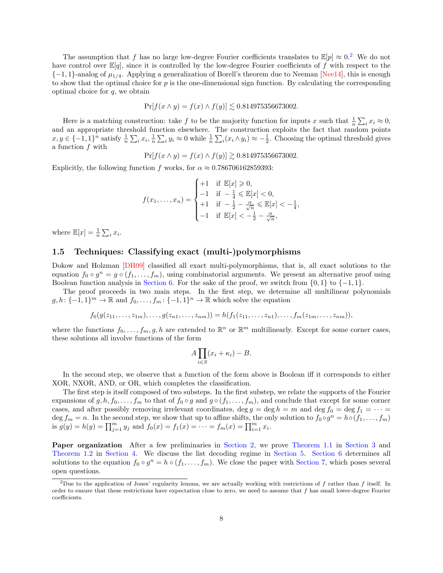The assumption that f has no large low-degree Fourier coefficients translates to  $\mathbb{E}[p] \approx 0.2$  $\mathbb{E}[p] \approx 0.2$  We do not have control over  $\mathbb{E}[q]$ , since it is controlled by the low-degree Fourier coefficients of f with respect to the  ${-1, 1}$ -analog of  $\mu_{1/4}$ . Applying a generalization of Borell's theorem due to Neeman [\[Nee14\]](#page-37-13), this is enough to show that the optimal choice for  $p$  is the one-dimensional sign function. By calculating the corresponding optimal choice for  $q$ , we obtain

<span id="page-7-2"></span>
$$
\Pr[f(x \wedge y) = f(x) \wedge f(y)] \lesssim 0.814975356673002.
$$

Here is a matching construction: take f to be the majority function for inputs x such that  $\frac{1}{n} \sum_i x_i \approx 0$ , and an appropriate threshold function elsewhere. The construction exploits the fact that random points  $x, y \in \{-1, 1\}^n$  satisfy  $\frac{1}{n} \sum_i x_i, \frac{1}{n} \sum_i y_i \approx 0$  while  $\frac{1}{n} \sum_i (x_i \wedge y_i) \approx -\frac{1}{2}$ . Choosing the optimal threshold gives a function f with

$$
Pr[f(x \wedge y) = f(x) \wedge f(y)] \gtrsim 0.814975356673002.
$$

Explicitly, the following function f works, for  $\alpha \approx 0.786706162859393$ :

$$
f(x_1,...,x_n) = \begin{cases} +1 & \text{if } \mathbb{E}[x] \geq 0, \\ -1 & \text{if } -\frac{1}{4} \leq \mathbb{E}[x] < 0, \\ +1 & \text{if } -\frac{1}{2} - \frac{\alpha}{\sqrt{n}} \leq \mathbb{E}[x] < -\frac{1}{4}, \\ -1 & \text{if } \mathbb{E}[x] < -\frac{1}{2} - \frac{\alpha}{\sqrt{n}}, \end{cases}
$$

where  $\mathbb{E}[x] = \frac{1}{n} \sum_i x_i$ .

### 1.5 Techniques: Classifying exact (multi-)polymorphisms

Dokow and Holzman [\[DH09\]](#page-37-5) classified all exact multi-polymorphisms, that is, all exact solutions to the equation  $f_0 \circ g^n = g \circ (f_1, \ldots, f_m)$ , using combinatorial arguments. We present an alternative proof using Boolean function analysis in [Section 6.](#page-30-0) For the sake of the proof, we switch from  $\{0, 1\}$  to  $\{-1, 1\}$ .

The proof proceeds in two main steps. In the first step, we determine all multilinear polynomials  $g, h: \{-1, 1\}^m \to \mathbb{R}$  and  $f_0, \ldots, f_m: \{-1, 1\}^n \to \mathbb{R}$  which solve the equation

<span id="page-7-1"></span>
$$
f_0(g(z_{11},...,z_{1m}),...,g(z_{n1},...,z_{nm}))=h(f_1(z_{11},...,z_{n1}),...,f_m(z_{1m},...,z_{nm})),
$$

where the functions  $f_0, \ldots, f_m, g, h$  are extended to  $\mathbb{R}^n$  or  $\mathbb{R}^m$  multilinearly. Except for some corner cases, these solutions all involve functions of the form

$$
A\prod_{i\in S}(x_i+\kappa_i)-B.
$$

In the second step, we observe that a function of the form above is Boolean iff it corresponds to either XOR, NXOR, AND, or OR, which completes the classification.

The first step is itself composed of two substeps. In the first substep, we relate the supports of the Fourier expansions of  $g, h, f_0, \ldots, f_m$  to that of  $f_0 \circ g$  and  $g \circ (f_1, \ldots, f_m)$ , and conclude that except for some corner cases, and after possibly removing irrelevant coordinates, deg  $g = \deg h = m$  and  $\deg f_0 = \deg f_1 = \cdots$ deg  $f_m = n$ . In the second step, we show that up to affine shifts, the only solution to  $f_0 \circ g^n = h \circ (f_1, \ldots, f_m)$ is  $g(y) = h(y) = \prod_{j=1}^{m} y_j$  and  $f_0(x) = f_1(x) = \cdots = f_m(x) = \prod_{i=1}^{m} x_i$ .

Paper organization After a few preliminaries in [Section 2,](#page-8-0) we prove [Theorem 1.1](#page-2-0) in [Section 3](#page-11-0) and [Theorem 1.2](#page-3-1) in [Section 4.](#page-15-0) We discuss the list decoding regime in [Section 5.](#page-19-0) [Section 6](#page-30-0) determines all solutions to the equation  $f_0 \circ g^n = h \circ (f_1, \ldots, f_m)$ . We close the paper with [Section 7,](#page-35-0) which poses several open questions.

<span id="page-7-0"></span><sup>&</sup>lt;sup>2</sup>Due to the application of Jones' regularity lemma, we are actually working with restrictions of f rather than f itself. In order to ensure that these restrictions have expectation close to zero, we need to assume that  $f$  has small lower-degree Fourier coefficients.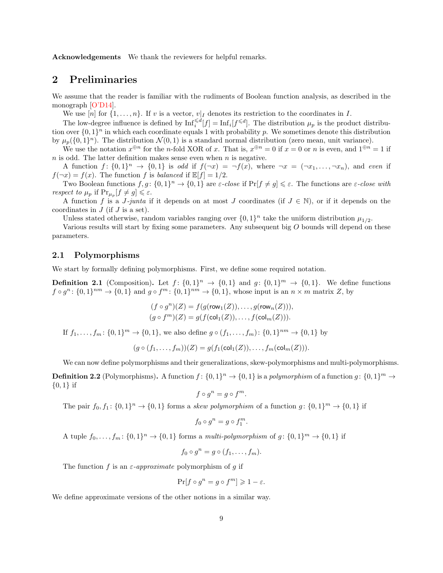Acknowledgements We thank the reviewers for helpful remarks.

## <span id="page-8-0"></span>2 Preliminaries

We assume that the reader is familiar with the rudiments of Boolean function analysis, as described in the monograph [\[O'D14\]](#page-38-2).

<span id="page-8-1"></span>We use  $[n]$  for  $\{1, \ldots, n\}$ . If v is a vector,  $v|_I$  denotes its restriction to the coordinates in I.

The low-degree influence is defined by  $\text{Inf}_i^{\leq d}[f] = \text{Inf}_i[f^{\leq d}]$ . The distribution  $\mu_p$  is the product distribution over  $\{0,1\}^n$  in which each coordinate equals 1 with probability p. We sometimes denote this distribution by  $\mu_p(\{0,1\}^n)$ . The distribution  $\mathcal{N}(0,1)$  is a standard normal distribution (zero mean, unit variance).

We use the notation  $x^{\oplus n}$  for the *n*-fold XOR of x. That is,  $x^{\oplus n} = 0$  if  $x = 0$  or *n* is even, and  $1^{\oplus n} = 1$  if  $n$  is odd. The latter definition makes sense even when  $n$  is negative.

A function  $f: \{0,1\}^n \to \{0,1\}$  is odd if  $f(\neg x) = \neg f(x)$ , where  $\neg x = (\neg x_1, \ldots, \neg x_n)$ , and even if  $f(\neg x) = f(x)$ . The function f is balanced if  $\mathbb{E}[f] = 1/2$ .

Two Boolean functions  $f, g \colon \{0, 1\}^n \to \{0, 1\}$  are  $\varepsilon$ -close if  $\Pr[f \neq g] \leq \varepsilon$ . The functions are  $\varepsilon$ -close with *respect to*  $\mu_p$  if  $\Pr_{\mu_p}[f \neq g] \leq \varepsilon$ .

A function f is a J-junta if it depends on at most J coordinates (if  $J \in \mathbb{N}$ ), or if it depends on the coordinates in  $J$  (if  $J$  is a set).

Unless stated otherwise, random variables ranging over  $\{0,1\}^n$  take the uniform distribution  $\mu_{1/2}$ .

Various results will start by fixing some parameters. Any subsequent big O bounds will depend on these parameters.

### 2.1 Polymorphisms

We start by formally defining polymorphisms. First, we define some required notation.

**Definition 2.1** (Composition). Let  $f: \{0,1\}^n \to \{0,1\}$  and  $g: \{0,1\}^m \to \{0,1\}$ . We define functions  $f \circ g^n : \{0,1\}^{nm} \to \{0,1\}$  and  $g \circ f^m : \{0,1\}^{nm} \to \{0,1\}$ , whose input is an  $n \times m$  matrix Z, by

$$
(f \circ g^n)(Z) = f(g(\text{row}_1(Z)), \dots, g(\text{row}_n(Z))),
$$
  
\n
$$
(g \circ f^m)(Z) = g(f(\text{col}_1(Z)), \dots, f(\text{col}_m(Z))).
$$

If  $f_1, \ldots, f_m: \{0,1\}^m \to \{0,1\}$ , we also define  $g \circ (f_1, \ldots, f_m): \{0,1\}^{nm} \to \{0,1\}$  by

$$
(g \circ (f_1, \ldots, f_m))(Z) = g(f_1(\text{col}_1(Z)), \ldots, f_m(\text{col}_m(Z))).
$$

We can now define polymorphisms and their generalizations, skew-polymorphisms and multi-polymorphisms. **Definition 2.2** (Polymorphisms). A function  $f: \{0,1\}^n \to \{0,1\}$  is a polymorphism of a function  $g: \{0,1\}^m \to$  ${0,1}$  if

$$
f \circ g^n = g \circ f^m.
$$

The pair  $f_0, f_1: \{0,1\}^n \to \{0,1\}$  forms a skew polymorphism of a function  $g: \{0,1\}^m \to \{0,1\}$  if

$$
f_0 \circ g^n = g \circ f_1^m
$$

.

A tuple  $f_0, \ldots, f_m: \{0,1\}^n \to \{0,1\}$  forms a multi-polymorphism of  $g: \{0,1\}^m \to \{0,1\}$  if

$$
f_0 \circ g^n = g \circ (f_1, \ldots, f_m).
$$

The function f is an  $\varepsilon$ -approximate polymorphism of q if

$$
\Pr[f \circ g^n = g \circ f^m] \geq 1 - \varepsilon.
$$

We define approximate versions of the other notions in a similar way.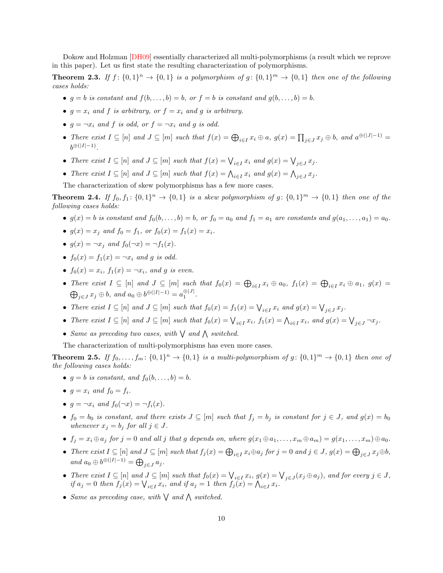<span id="page-9-1"></span>Dokow and Holzman [\[DH09\]](#page-37-5) essentially characterized all multi-polymorphisms (a result which we reprove in this paper). Let us first state the resulting characterization of polymorphisms.

**Theorem 2.3.** If  $f: \{0,1\}^n \to \{0,1\}$  is a polymorphism of  $g: \{0,1\}^m \to \{0,1\}$  then one of the following cases holds:

- $g = b$  is constant and  $f(b, \ldots, b) = b$ , or  $f = b$  is constant and  $g(b, \ldots, b) = b$ .
- $g = x_i$  and f is arbitrary, or  $f = x_i$  and g is arbitrary.
- $q = \neg x_i$  and f is odd, or  $f = \neg x_i$  and q is odd.
- There exist  $I \subseteq [n]$  and  $J \subseteq [m]$  such that  $f(x) = \bigoplus_{i \in I} x_i \oplus a$ ,  $g(x) = \prod_{j \in J} x_j \oplus b$ , and  $a^{\oplus(|J|-1)} =$  $b^{\oplus (|I|-1)}$ .
- There exist  $I \subseteq [n]$  and  $J \subseteq [m]$  such that  $f(x) = \bigvee_{i \in I} x_i$  and  $g(x) = \bigvee_{j \in J} x_j$ .
- There exist  $I \subseteq [n]$  and  $J \subseteq [m]$  such that  $f(x) = \bigwedge_{i \in I} x_i$  and  $g(x) = \bigwedge_{j \in J} x_j$ .

The characterization of skew polymorphisms has a few more cases.

**Theorem 2.4.** If  $f_0, f_1: \{0,1\}^n \to \{0,1\}$  is a skew polymorphism of  $g: \{0,1\}^m \to \{0,1\}$  then one of the following cases holds:

- $g(x) = b$  is constant and  $f_0(b, \ldots, b) = b$ , or  $f_0 = a_0$  and  $f_1 = a_1$  are constants and  $g(a_1, \ldots, a_1) = a_0$ .
- $q(x) = x_i$  and  $f_0 = f_1$ , or  $f_0(x) = f_1(x) = x_i$ .
- $q(x) = \neg x_i$  and  $f_0(\neg x) = \neg f_1(x)$ .
- $f_0(x) = f_1(x) = \neg x_i$  and q is odd.
- $f_0(x) = x_i$ ,  $f_1(x) = \neg x_i$ , and g is even.
- There exist  $I \subseteq [n]$  and  $J \subseteq [m]$  such that  $f_0(x) = \bigoplus_{i \in I} x_i \oplus a_0$ ,  $f_1(x) = \bigoplus_{i \in I} x_i \oplus a_1$ ,  $g(x) =$  $\bigoplus_{j\in J} x_j \oplus b$ , and  $a_0 \oplus b^{\oplus (|I|-1)} = a_1^{\oplus |J|}$ .
- There exist  $I \subseteq [n]$  and  $J \subseteq [m]$  such that  $f_0(x) = f_1(x) = \bigvee_{i \in I} x_i$  and  $g(x) = \bigvee_{j \in J} x_j$ .
- There exist  $I \subseteq [n]$  and  $J \subseteq [m]$  such that  $f_0(x) = \bigvee_{i \in I} x_i$ ,  $f_1(x) = \bigwedge_{i \in I} x_i$ , and  $g(x) = \bigvee_{j \in J} \neg x_j$ .
- Same as preceding two cases, with  $\bigvee$  and  $\bigwedge$  switched.

The characterization of multi-polymorphisms has even more cases.

<span id="page-9-0"></span>**Theorem 2.5.** If  $f_0, \ldots, f_m: \{0,1\}^n \to \{0,1\}$  is a multi-polymorphism of  $g: \{0,1\}^m \to \{0,1\}$  then one of the following cases holds:

- $q = b$  is constant, and  $f_0(b, \ldots, b) = b$ .
- $q = x_i$  and  $f_0 = f_i$ .
- $q = \neg x_i$  and  $f_0(\neg x) = \neg f_i(x)$ .
- $f_0 = b_0$  is constant, and there exists  $J \subseteq [m]$  such that  $f_j = b_j$  is constant for  $j \in J$ , and  $g(x) = b_0$ whenever  $x_j = b_j$  for all  $j \in J$ .
- $f_j = x_i \oplus a_j$  for  $j = 0$  and all j that g depends on, where  $g(x_1 \oplus a_1, \ldots, x_m \oplus a_m) = g(x_1, \ldots, x_m) \oplus a_0$ .
- There exist  $I \subseteq [n]$  and  $J \subseteq [m]$  such that  $f_j(x) = \bigoplus_{i \in I} x_i \oplus a_j$  for  $j = 0$  and  $j \in J$ ,  $g(x) = \bigoplus_{j \in J} x_j \oplus b_j$ , and  $a_0 \oplus b^{\oplus (|I|-1)} = \bigoplus_{j \in J} a_j$ .
- There exist  $I \subseteq [n]$  and  $J \subseteq [m]$  such that  $f_0(x) = \bigvee_{i \in I} x_i$ ,  $g(x) = \bigvee_{j \in J} (x_j \oplus a_j)$ , and for every  $j \in J$ , if  $a_j = 0$  then  $f_j(x) = \bigvee_{i \in I} x_i$ , and if  $a_j = 1$  then  $f_j(x) = \bigwedge_{i \in I} x_i$ .
- Same as preceding case, with  $\bigvee$  and  $\bigwedge$  switched.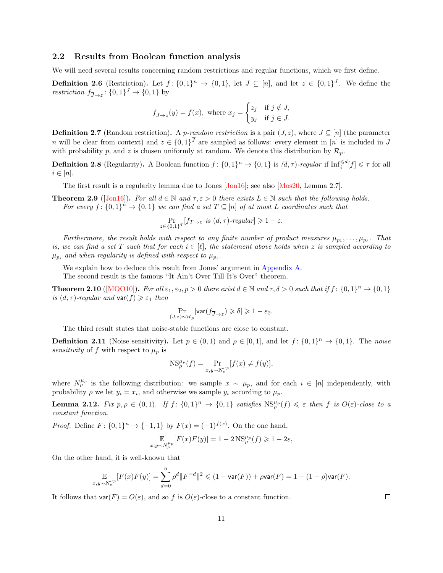### 2.2 Results from Boolean function analysis

We will need several results concerning random restrictions and regular functions, which we first define.

**Definition 2.6** (Restriction). Let  $f: \{0,1\}^n \to \{0,1\}$ , let  $J \subseteq [n]$ , and let  $z \in \{0,1\}^J$ . We define the restriction  $f_{\overline{J}\rightarrow z}$ :  $\{0,1\}$ <sup> $J \rightarrow \{0,1\}$  by</sup>

$$
f_{\overline{J}\to z}(y) = f(x)
$$
, where  $x_j = \begin{cases} z_j & \text{if } j \notin J, \\ y_j & \text{if } j \in J. \end{cases}$ 

**Definition 2.7** (Random restriction). A p-random restriction is a pair  $(J, z)$ , where  $J \subseteq [n]$  (the parameter n will be clear from context) and  $z \in \{0,1\}^J$  are sampled as follows: every element in [n] is included in J with probability p, and z is chosen uniformly at random. We denote this distribution by  $\mathcal{R}_p$ .

**Definition 2.8** (Regularity). A Boolean function  $f: \{0,1\}^n \to \{0,1\}$  is  $(d,\tau)$ -regular if  $\text{Inf}_i^{\le d}[f] \le \tau$  for all  $i \in [n]$ .

<span id="page-10-0"></span>The first result is a regularity lemma due to Jones [\[Jon16\]](#page-37-11); see also [\[Mos20,](#page-37-14) Lemma 2.7].

**Theorem 2.9** ([\[Jon16\]](#page-37-11)). For all  $d \in \mathbb{N}$  and  $\tau, \varepsilon > 0$  there exists  $L \in \mathbb{N}$  such that the following holds. For every  $f: \{0,1\}^n \to \{0,1\}$  we can find a set  $T \subseteq [n]$  of at most L coordinates such that

<span id="page-10-4"></span><span id="page-10-3"></span>
$$
\Pr_{z \in \{0,1\}^T} [f_{T \to z} \text{ is } (d, \tau) \text{-}regular] \geq 1 - \varepsilon.
$$

Furthermore, the result holds with respect to any finite number of product measures  $\mu_{p_1}, \ldots, \mu_{p_\ell}$ . That is, we can find a set T such that for each  $i \in [\ell]$ , the statement above holds when z is sampled according to  $\mu_{p_i}$  and when regularity is defined with respect to  $\mu_{p_i}$ .

We explain how to deduce this result from Jones' argument in [Appendix A.](#page-38-3)

<span id="page-10-1"></span>The second result is the famous "It Ain't Over Till It's Over" theorem.

**Theorem 2.10** ([\[MOO10\]](#page-37-10)). For all  $\varepsilon_1, \varepsilon_2, p > 0$  there exist  $d \in \mathbb{N}$  and  $\tau, \delta > 0$  such that if  $f : \{0, 1\}^n \to \{0, 1\}$ is  $(d, \tau)$ -regular and var $(f) \geq \varepsilon_1$  then

$$
\Pr_{(J,z) \sim \mathcal{R}_p}[\text{var}(f_{\overline{J} \to z}) \geqslant \delta] \geqslant 1-\varepsilon_2.
$$

The third result states that noise-stable functions are close to constant.

**Definition 2.11** (Noise sensitivity). Let  $p \in (0,1)$  and  $\rho \in [0,1]$ , and let  $f: \{0,1\}^n \to \{0,1\}$ . The noise sensitivity of f with respect to  $\mu_p$  is

$$
NS_{\rho}^{\mu_p}(f) = \Pr_{x,y \sim N_{\rho}^{\mu_p}}[f(x) \neq f(y)],
$$

where  $N_p^{\mu_p}$  is the following distribution: we sample  $x \sim \mu_p$ , and for each  $i \in [n]$  independently, with probability  $\rho$  we let  $y_i = x_i$ , and otherwise we sample  $y_i$  according to  $\mu_p$ .

<span id="page-10-2"></span>**Lemma 2.12.** Fix  $p, \rho \in (0,1)$ . If  $f: \{0,1\}^n \to \{0,1\}$  satisfies  $\text{NS}_{\rho}^{\mu_p}(f) \leq \varepsilon$  then f is  $O(\varepsilon)$ -close to a constant function.

*Proof.* Define  $F: \{0,1\}^n \to \{-1,1\}$  by  $F(x) = (-1)^{f(x)}$ . On the one hand,

$$
\mathbb{E}_{x,y \sim N_P^{\mu_p}}[F(x)F(y)] = 1 - 2\operatorname{NS}_\rho^{\mu_p}(f) \geq 1 - 2\varepsilon,
$$

On the other hand, it is well-known that

$$
\mathop{\mathbb{E}}_{x,y \sim N_{\rho}^{\mu_p}}[F(x)F(y)] = \sum_{d=0}^{n} \rho^d \|F^{=d}\|^2 \leq (1 - \text{var}(F)) + \rho \text{var}(F) = 1 - (1 - \rho) \text{var}(F).
$$

It follows that  $var(F) = O(\varepsilon)$ , and so f is  $O(\varepsilon)$ -close to a constant function.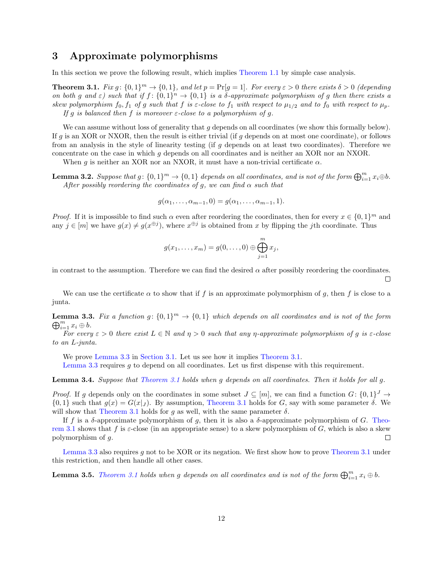## <span id="page-11-0"></span>3 Approximate polymorphisms

In this section we prove the following result, which implies [Theorem 1.1](#page-2-0) by simple case analysis.

<span id="page-11-2"></span>**Theorem 3.1.** Fix  $g: \{0,1\}^m \to \{0,1\}$ , and let  $p = \Pr[g = 1]$ . For every  $\varepsilon > 0$  there exists  $\delta > 0$  (depending on both g and  $\varepsilon$ ) such that if  $f: \{0,1\}^n \to \{0,1\}$  is a  $\delta$ -approximate polymorphism of g then there exists a skew polymorphism  $f_0, f_1$  of g such that f is  $\varepsilon$ -close to  $f_1$  with respect to  $\mu_{1/2}$  and to  $f_0$  with respect to  $\mu_p$ . If g is balanced then f is moreover  $\varepsilon$ -close to a polymorphism of g.

We can assume without loss of generality that  $g$  depends on all coordinates (we show this formally below). If g is an XOR or NXOR, then the result is either trivial (if g depends on at most one coordinate), or follows from an analysis in the style of linearity testing (if q depends on at least two coordinates). Therefore we concentrate on the case in which g depends on all coordinates and is neither an XOR nor an NXOR.

When g is neither an XOR nor an NXOR, it must have a non-trivial certificate  $\alpha$ .

<span id="page-11-3"></span>**Lemma 3.2.** Suppose that  $g: \{0,1\}^m \to \{0,1\}$  depends on all coordinates, and is not of the form  $\bigoplus_{i=1}^m x_i \oplus b$ . After possibly reordering the coordinates of g, we can find  $\alpha$  such that

$$
g(\alpha_1,\ldots,\alpha_{m-1},0)=g(\alpha_1,\ldots,\alpha_{m-1},1).
$$

*Proof.* If it is impossible to find such  $\alpha$  even after reordering the coordinates, then for every  $x \in \{0,1\}^m$  and any  $j \in [m]$  we have  $g(x) \neq g(x^{\oplus j})$ , where  $x^{\oplus j}$  is obtained from x by flipping the jth coordinate. Thus

$$
g(x_1,\ldots,x_m)=g(0,\ldots,0)\oplus\bigoplus_{j=1}^m x_j,
$$

in contrast to the assumption. Therefore we can find the desired  $\alpha$  after possibly reordering the coordinates.  $\Box$ 

We can use the certificate  $\alpha$  to show that if f is an approximate polymorphism of g, then f is close to a junta.

<span id="page-11-1"></span>**Lemma 3.3.** Fix a function  $g: \{0,1\}^m \to \{0,1\}$  which depends on all coordinates and is not of the form  $\bigoplus_{i=1}^m x_i \oplus b.$ 

For every  $\varepsilon > 0$  there exist  $L \in \mathbb{N}$  and  $\eta > 0$  such that any  $\eta$ -approximate polymorphism of g is  $\varepsilon$ -close to an L-junta.

We prove [Lemma 3.3](#page-11-1) in [Section 3.1.](#page-14-0) Let us see how it implies [Theorem 3.1.](#page-11-2) [Lemma 3.3](#page-11-1) requires g to depend on all coordinates. Let us first dispense with this requirement.

<span id="page-11-4"></span>Lemma 3.4. Suppose that [Theorem 3.1](#page-11-2) holds when g depends on all coordinates. Then it holds for all q.

*Proof.* If g depends only on the coordinates in some subset  $J \subseteq [m]$ , we can find a function  $G: \{0,1\}^J \to$  $\{0,1\}$  such that  $g(x) = G(x|_J)$ . By assumption, [Theorem 3.1](#page-11-2) holds for G, say with some parameter  $\delta$ . We will show that [Theorem 3.1](#page-11-2) holds for q as well, with the same parameter  $\delta$ .

If f is a  $\delta$ -approximate polymorphism of q, then it is also a  $\delta$ -approximate polymorphism of G. [Theo](#page-11-2)[rem 3.1](#page-11-2) shows that f is  $\varepsilon$ -close (in an appropriate sense) to a skew polymorphism of G, which is also a skew polymorphism of g.  $\Box$ 

[Lemma 3.3](#page-11-1) also requires g not to be XOR or its negation. We first show how to prove [Theorem 3.1](#page-11-2) under this restriction, and then handle all other cases.

<span id="page-11-5"></span>**Lemma 3.5.** [Theorem 3.1](#page-11-2) holds when g depends on all coordinates and is not of the form  $\bigoplus_{i=1}^m x_i \oplus b$ .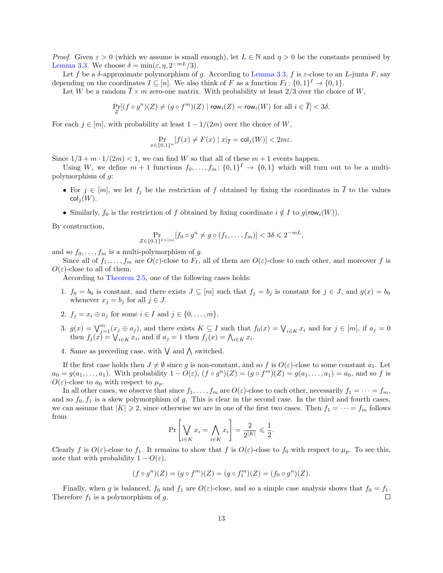*Proof.* Given  $\varepsilon > 0$  (which we assume is small enough), let  $L \in \mathbb{N}$  and  $\eta > 0$  be the constants promised by [Lemma 3.3.](#page-11-1) We choose  $\delta = \min(\varepsilon, \eta, 2^{-mL}/3)$ .

Let f be a δ-approximate polymorphism of g. According to [Lemma 3.3,](#page-11-1) f is  $\varepsilon$ -close to an L-junta F, say depending on the coordinates  $I \subseteq [n]$ . We also think of F as a function  $F_I: \{0,1\}^I \to \{0,1\}$ .

Let W be a random  $\overline{I} \times m$  zero-one matrix. With probability at least 2/3 over the choice of W,

$$
\Pr_Z[(f \circ g^n)(Z) \neq (g \circ f^m)(Z) \mid \text{row}_i(Z) = \text{row}_i(W) \text{ for all } i \in \overline{I}] < 3\delta.
$$

For each  $j \in [m]$ , with probability at least  $1 - 1/(2m)$  over the choice of W,

$$
\Pr_{x \in \{0,1\}^n} [f(x) \neq F(x) \mid x|_{\overline{I}} = \text{col}_j(W)] < 2m\varepsilon.
$$

Since  $1/3 + m \cdot 1/(2m) < 1$ , we can find W so that all of these  $m + 1$  events happen.

Using W, we define  $m+1$  functions  $f_0, \ldots, f_m: \{0,1\}^I \to \{0,1\}$  which will turn out to be a multipolymorphism of g:

- For  $j \in [m]$ , we let  $f_j$  be the restriction of f obtained by fixing the coordinates in  $\overline{I}$  to the values  $\mathsf{col}_i(W)$ .
- Similarly,  $f_0$  is the restriction of f obtained by fixing coordinate  $i \notin I$  to  $g(\text{row}_i(W))$ .

By construction,

$$
\Pr_{Z \in \{0,1\}^{I \times [m]}}[f_0 \circ g^n \neq g \circ (f_1, \dots, f_m)] < 3\delta \leq 2^{-m}
$$

and so  $f_0, \ldots, f_m$  is a multi-polymorphism of g.

Since all of  $f_1, \ldots, f_m$  are  $O(\varepsilon)$ -close to  $F_I$ , all of them are  $O(\varepsilon)$ -close to each other, and moreover f is  $O(\varepsilon)$ -close to all of them.

According to [Theorem 2.5,](#page-9-0) one of the following cases holds:

- 1.  $f_0 = b_0$  is constant, and there exists  $J \subseteq [m]$  such that  $f_j = b_j$  is constant for  $j \in J$ , and  $g(x) = b_0$ whenever  $x_j = b_j$  for all  $j \in J$ .
- 2.  $f_i = x_i \oplus a_j$  for some  $i \in I$  and  $j \in \{0, \ldots, m\}.$
- 3.  $g(x) = \bigvee_{j=1}^{m} (x_j \oplus a_j)$ , and there exists  $K \subseteq I$  such that  $f_0(x) = \bigvee_{i \in K} x_i$  and for  $j \in [m]$ , if  $a_j = 0$ then  $f_j(x) = \bigvee_{i \in K} x_i$ , and if  $a_j = 1$  then  $f_j(x) = \bigwedge_{i \in K} x_i$ .
- 4. Same as preceding case, with  $\vee$  and  $\wedge$  switched.

If the first case holds then  $J \neq \emptyset$  since g is non-constant, and so f is  $O(\varepsilon)$ -close to some constant  $a_1$ . Let  $a_0 = g(a_1, \ldots, a_1)$ . With probability  $1 - O(\varepsilon)$ ,  $(f \circ g^n)(Z) = (g \circ f^m)(Z) = g(a_1, \ldots, a_1) = a_0$ , and so f is  $O(\varepsilon)$ -close to  $a_0$  with respect to  $\mu_p$ .

In all other cases, we observe that since  $f_1, \ldots, f_m$  are  $O(\varepsilon)$ -close to each other, necessarily  $f_1 = \cdots = f_m$ , and so  $f_0, f_1$  is a skew polymorphism of g. This is clear in the second case. In the third and fourth cases, we can assume that  $|K| \geq 2$ , since otherwise we are in one of the first two cases. Then  $f_1 = \cdots = f_m$  follows from

$$
\Pr\left[\bigvee_{i\in K} x_i = \bigwedge_{i\in K} x_i\right] = \frac{2}{2^{|K|}} \leqslant \frac{1}{2}
$$

.

Clearly f is  $O(\varepsilon)$ -close to  $f_1$ . It remains to show that f is  $O(\varepsilon)$ -close to  $f_0$  with respect to  $\mu_p$ . To see this, note that with probability  $1 - O(\varepsilon)$ ,

$$
(f \circ g^n)(Z) = (g \circ f^m)(Z) = (g \circ f_1^m)(Z) = (f_0 \circ g^n)(Z).
$$

Finally, when g is balanced,  $f_0$  and  $f_1$  are  $O(\varepsilon)$ -close, and so a simple case analysis shows that  $f_0 = f_1$ . Therefore  $f_1$  is a polymorphism of  $g$ .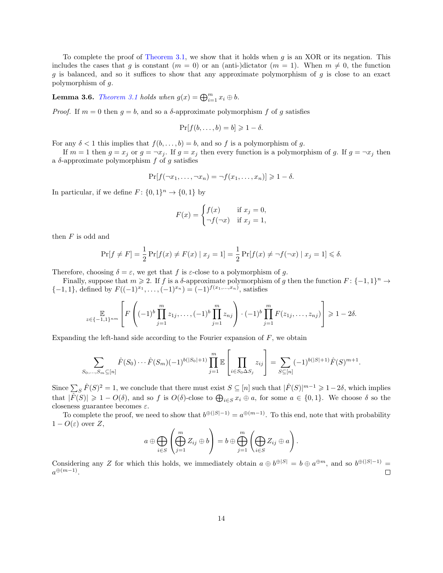To complete the proof of [Theorem 3.1,](#page-11-2) we show that it holds when q is an XOR or its negation. This includes the cases that g is constant  $(m = 0)$  or an (anti-)dictator  $(m = 1)$ . When  $m \neq 0$ , the function g is balanced, and so it suffices to show that any approximate polymorphism of g is close to an exact polymorphism of g.

<span id="page-13-0"></span>**Lemma 3.6.** [Theorem 3.1](#page-11-2) holds when  $g(x) = \bigoplus_{i=1}^{m} x_i \oplus b$ .

*Proof.* If  $m = 0$  then  $g = b$ , and so a  $\delta$ -approximate polymorphism f of g satisfies

$$
\Pr[f(b,\ldots,b)=b]\geq 1-\delta.
$$

For any  $\delta < 1$  this implies that  $f(b, \ldots, b) = b$ , and so f is a polymorphism of g.

If  $m = 1$  then  $g = x_j$  or  $g = \neg x_j$ . If  $g = x_j$  then every function is a polymorphism of g. If  $g = \neg x_j$  then a  $\delta$ -approximate polymorphism f of g satisfies

$$
\Pr[f(\neg x_1,\ldots,\neg x_n)=\neg f(x_1,\ldots,x_n)] \geq 1-\delta.
$$

In particular, if we define  $F: \{0,1\}^n \to \{0,1\}$  by

$$
F(x) = \begin{cases} f(x) & \text{if } x_j = 0, \\ \neg f(\neg x) & \text{if } x_j = 1, \end{cases}
$$

then  $F$  is odd and

$$
\Pr[f \neq F] = \frac{1}{2} \Pr[f(x) \neq F(x) \mid x_j = 1] = \frac{1}{2} \Pr[f(x) \neq \neg f(\neg x) \mid x_j = 1] \le \delta.
$$

Therefore, choosing  $\delta = \varepsilon$ , we get that f is  $\varepsilon$ -close to a polymorphism of g.

Finally, suppose that  $m \geq 2$ . If f is a  $\delta$ -approximate polymorphism of g then the function  $F: \{-1,1\}^n \to$  $\{-1,1\}$ , defined by  $F((-1)^{x_1}, \ldots, (-1)^{x_n}) = (-1)^{f(x_1,\ldots,x_n)}$ , satisfies

$$
\mathbb{E}_{z \in \{-1,1\}^{nm}} \left[ F \left( (-1)^b \prod_{j=1}^m z_{1j}, \dots, (-1)^b \prod_{j=1}^m z_{nj} \right) \cdot (-1)^b \prod_{j=1}^m F(z_{1j}, \dots, z_{nj}) \right] \geq 1 - 2\delta.
$$

Expanding the left-hand side according to the Fourier expansion of  $F$ , we obtain

$$
\sum_{S_0,\ldots,S_m\subseteq[n]} \hat{F}(S_0)\cdots\hat{F}(S_m)(-1)^{b(|S_0|+1)}\prod_{j=1}^m \mathbb{E}\left[\prod_{i\in S_0\Delta S_j} z_{ij}\right] = \sum_{S\subseteq[n]} (-1)^{b(|S|+1)}\hat{F}(S)^{m+1}.
$$

Since  $\sum_{S} \hat{F}(S)^2 = 1$ , we conclude that there must exist  $S \subseteq [n]$  such that  $|\hat{F}(S)|^{m-1} \geq 1-2\delta$ , which implies that  $|\hat{F}(S)| \geq 1 - O(\delta)$ , and so f is  $O(\delta)$ -close to  $\bigoplus_{i \in S} x_i \oplus a$ , for some  $a \in \{0,1\}$ . We choose  $\delta$  so the closeness guarantee becomes  $\varepsilon$ .

To complete the proof, we need to show that  $b^{\oplus(|S|-1)} = a^{\oplus(m-1)}$ . To this end, note that with probability  $1 - O(\varepsilon)$  over Z,

$$
a \oplus \bigoplus_{i \in S} \left( \bigoplus_{j=1}^m Z_{ij} \oplus b \right) = b \oplus \bigoplus_{j=1}^m \left( \bigoplus_{i \in S} Z_{ij} \oplus a \right).
$$

Considering any Z for which this holds, we immediately obtain  $a \oplus b^{\oplus |S|} = b \oplus a^{\oplus m}$ , and so  $b^{\oplus (|S|-1)} =$  $a^{\oplus (m-1)}$ .  $\Box$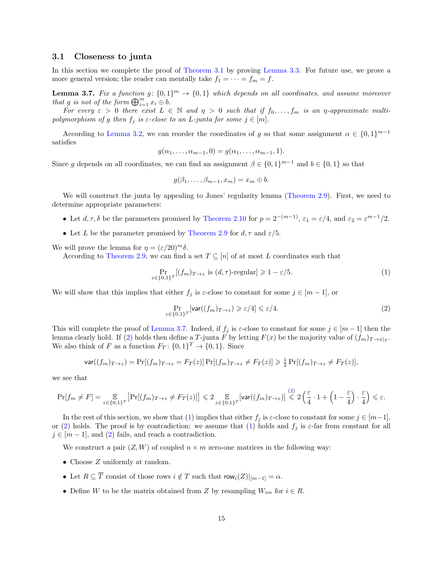#### <span id="page-14-0"></span>3.1 Closeness to junta

In this section we complete the proof of [Theorem 3.1](#page-11-2) by proving [Lemma 3.3.](#page-11-1) For future use, we prove a more general version; the reader can mentally take  $f_1 = \cdots = f_m = f$ .

<span id="page-14-1"></span>**Lemma 3.7.** Fix a function  $g: \{0,1\}^m \to \{0,1\}$  which depends on all coordinates, and assume moreover that g is not of the form  $\bigoplus_{i=1}^m x_i \oplus b$ .

For every  $\varepsilon > 0$  there exist  $L \in \mathbb{N}$  and  $\eta > 0$  such that if  $f_0, \ldots, f_m$  is an  $\eta$ -approximate multipolymorphism of g then  $f_j$  is  $\varepsilon$ -close to an L-junta for some  $j \in [m]$ .

According to [Lemma 3.2,](#page-11-3) we can reorder the coordinates of g so that some assignment  $\alpha \in \{0,1\}^{m-1}$ satisfies

$$
g(\alpha_1,\ldots,\alpha_{m-1},0)=g(\alpha_1,\ldots,\alpha_{m-1},1).
$$

Since g depends on all coordinates, we can find an assignment  $\beta \in \{0,1\}^{m-1}$  and  $b \in \{0,1\}$  so that

$$
g(\beta_1,\ldots,\beta_{m-1},x_m)=x_m\oplus b.
$$

We will construct the junta by appealing to Jones' regularity lemma [\(Theorem 2.9\)](#page-10-0). First, we need to determine appropriate parameters:

- Let  $d, \tau, \delta$  be the parameters promised by [Theorem 2.10](#page-10-1) for  $p = 2^{-(m-1)}$ ,  $\varepsilon_1 = \varepsilon/4$ , and  $\varepsilon_2 = \varepsilon^{m-1}/2$ .
- Let L be the parameter promised by [Theorem 2.9](#page-10-0) for  $d, \tau$  and  $\varepsilon/5$ .

We will prove the lemma for  $\eta = (\varepsilon/20)^m \delta$ .

According to [Theorem 2.9,](#page-10-0) we can find a set  $T \subseteq [n]$  of at most L coordinates such that

<span id="page-14-3"></span>
$$
\Pr_{z \in \{0,1\}^T}[(f_m)_{T \to z} \text{ is } (d, \tau)\text{-regular}] \geq 1 - \varepsilon/5. \tag{1}
$$

We will show that this implies that either  $f_j$  is  $\varepsilon$ -close to constant for some  $j \in [m-1]$ , or

<span id="page-14-2"></span>
$$
\Pr_{z \in \{0,1\}^T}[\text{var}((f_m)_{T \to z}) \geqslant \varepsilon/4] \leqslant \varepsilon/4. \tag{2}
$$

This will complete the proof of [Lemma 3.7.](#page-14-1) Indeed, if  $f_j$  is  $\varepsilon$ -close to constant for some  $j \in [m-1]$  then the lemma clearly hold. If [\(2\)](#page-14-2) holds then define a T-junta F by letting  $F(x)$  be the majority value of  $(f_m)_{T\to x|_T}$ . We also think of F as a function  $F_T: \{0,1\}^T \to \{0,1\}$ . Since

$$
\text{var}((f_m)_{T\to z}) = \Pr[(f_m)_{T\to z} = F_T(z)] \Pr[(f_m)_{T\to z} \neq F_T(z)] \ge \frac{1}{2} \Pr[(f_m)_{T\to z} \neq F_T(z)],
$$

we see that

$$
\Pr[f_m \neq F] = \mathop{\mathbb{E}}_{z \in \{0,1\}^T} \big[ \Pr[(f_m)_{T \to z} \neq F_T(z)]\big] \leqslant 2 \mathop{\mathbb{E}}_{z \in \{0,1\}^T} [\mathrm{var}((f_m)_{T \to z})] \stackrel{(2)}{\leqslant} 2 \left( \frac{\varepsilon}{4} \cdot 1 + \left( 1 - \frac{\varepsilon}{4} \right) \cdot \frac{\varepsilon}{4} \right) \leqslant \varepsilon.
$$

In the rest of this section, we show that [\(1\)](#page-14-3) implies that either  $f_j$  is  $\varepsilon$ -close to constant for some  $j \in [m-1]$ , or [\(2\)](#page-14-2) holds. The proof is by contradiction: we assume that [\(1\)](#page-14-3) holds and  $f_j$  is  $\varepsilon$ -far from constant for all  $j \in [m-1]$ , and [\(2\)](#page-14-2) fails, and reach a contradiction.

We construct a pair  $(Z, W)$  of coupled  $n \times m$  zero-one matrices in the following way:

- Choose Z uniformly at random.
- Let  $R \subseteq \overline{T}$  consist of those rows  $i \notin T$  such that  $row_i(Z)|_{[m-1]} = \alpha$ .
- Define W to be the matrix obtained from Z by resampling  $W_{im}$  for  $i \in R$ .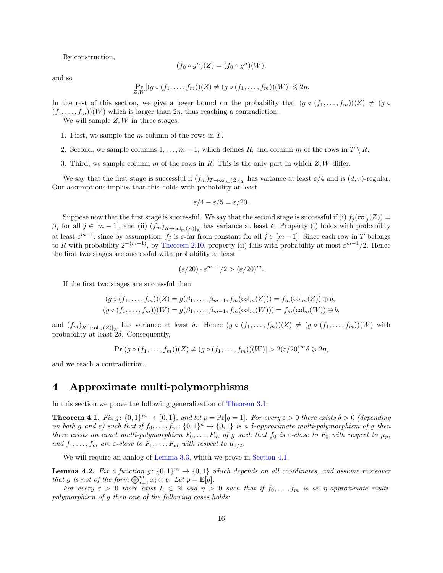By construction,

$$
(f_0 \circ g^n)(Z) = (f_0 \circ g^n)(W),
$$

and so

$$
\Pr_{Z,W}[(g \circ (f_1,\ldots,f_m))(Z) \neq (g \circ (f_1,\ldots,f_m))(W)] \leq 2\eta.
$$

In the rest of this section, we give a lower bound on the probability that  $(g \circ (f_1, \ldots, f_m))(Z) \neq (g \circ f_1, \ldots, f_m)(Z)$  $(f_1, \ldots, f_m)(W)$  which is larger than  $2\eta$ , thus reaching a contradiction.

We will sample  $Z, W$  in three stages:

- 1. First, we sample the m column of the rows in T.
- 2. Second, we sample columns  $1, \ldots, m-1$ , which defines R, and column m of the rows in  $\overline{T} \setminus R$ .
- 3. Third, we sample column m of the rows in R. This is the only part in which  $Z, W$  differ.

We say that the first stage is successful if  $(f_m)_{T\to\text{col}_m(Z)|_T}$  has variance at least  $\varepsilon/4$  and is  $(d,\tau)$ -regular. Our assumptions implies that this holds with probability at least

$$
\varepsilon/4 - \varepsilon/5 = \varepsilon/20.
$$

Suppose now that the first stage is successful. We say that the second stage is successful if (i)  $f_i(\text{col}_i(Z))$  =  $\beta_j$  for all  $j \in [m-1]$ , and (ii)  $(f_m)_{\overline{R} \to \text{col}_m(Z)|_{\overline{R}}}$  has variance at least  $\delta$ . Property (i) holds with probability at least  $\varepsilon^{m-1}$ , since by assumption,  $f_j$  is  $\varepsilon$ -far from constant for all  $j \in [m-1]$ . Since each row in  $\overline{T}$  belongs to R with probability  $2^{-(m-1)}$ , by [Theorem 2.10,](#page-10-1) property (ii) fails with probability at most  $\varepsilon^{m-1}/2$ . Hence the first two stages are successful with probability at least

$$
(\varepsilon/20) \cdot \varepsilon^{m-1}/2 > (\varepsilon/20)^m.
$$

If the first two stages are successful then

$$
(g \circ (f_1, \ldots, f_m))(Z) = g(\beta_1, \ldots, \beta_{m-1}, f_m(\text{col}_m(Z))) = f_m(\text{col}_m(Z)) \oplus b,
$$
  

$$
(g \circ (f_1, \ldots, f_m))(W) = g(\beta_1, \ldots, \beta_{m-1}, f_m(\text{col}_m(W))) = f_m(\text{col}_m(W)) \oplus b,
$$

and  $(f_m)_{\overline{R} \to \text{col}_m(Z)|_{\overline{R}}}$  has variance at least  $\delta$ . Hence  $(g \circ (f_1, \ldots, f_m))(Z) \neq (g \circ (f_1, \ldots, f_m))(W)$  with probability at least  $2\delta$ . Consequently,

$$
\Pr[(g \circ (f_1, \ldots, f_m))(Z) \neq (g \circ (f_1, \ldots, f_m))(W)] > 2(\varepsilon/20)^m \delta \geq 2\eta,
$$

and we reach a contradiction.

## <span id="page-15-0"></span>4 Approximate multi-polymorphisms

<span id="page-15-1"></span>In this section we prove the following generalization of [Theorem 3.1.](#page-11-2)

**Theorem 4.1.** Fix  $g: \{0,1\}^m \to \{0,1\}$ , and let  $p = \Pr[g = 1]$ . For every  $\varepsilon > 0$  there exists  $\delta > 0$  (depending on both g and  $\varepsilon$ ) such that if  $f_0, \ldots, f_m: \{0,1\}^n \to \{0,1\}$  is a  $\delta$ -approximate multi-polymorphism of g then there exists an exact multi-polymorphism  $F_0, \ldots, F_m$  of g such that  $f_0$  is  $\varepsilon$ -close to  $F_0$  with respect to  $\mu_p$ , and  $f_1, \ldots, f_m$  are  $\varepsilon$ -close to  $F_1, \ldots, F_m$  with respect to  $\mu_{1/2}$ .

We will require an analog of [Lemma 3.3,](#page-11-1) which we prove in [Section 4.1.](#page-17-0)

<span id="page-15-2"></span>**Lemma 4.2.** Fix a function  $g: \{0,1\}^m \to \{0,1\}$  which depends on all coordinates, and assume moreover that g is not of the form  $\bigoplus_{i=1}^m x_i \oplus b$ . Let  $p = \mathbb{E}[g]$ .

For every  $\varepsilon > 0$  there exist  $L \in \mathbb{N}$  and  $\eta > 0$  such that if  $f_0, \ldots, f_m$  is an  $\eta$ -approximate multipolymorphism of g then one of the following cases holds: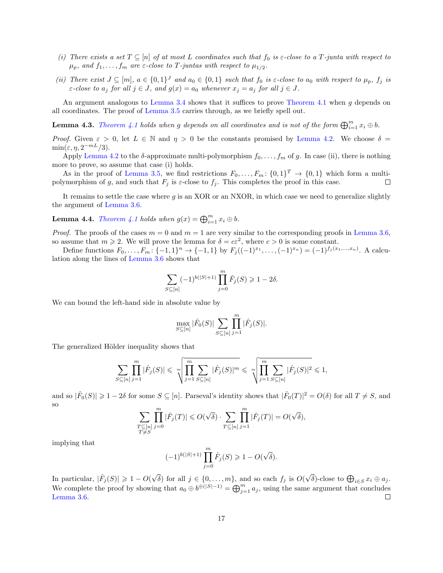- (i) There exists a set  $T \subseteq [n]$  of at most L coordinates such that  $f_0$  is  $\varepsilon$ -close to a T-junta with respect to  $\mu_p$ , and  $f_1, \ldots, f_m$  are  $\varepsilon$ -close to T-juntas with respect to  $\mu_{1/2}$ .
- (ii) There exist  $J \subseteq [m]$ ,  $a \in \{0,1\}^J$  and  $a_0 \in \{0,1\}$  such that  $f_0$  is  $\varepsilon$ -close to  $a_0$  with respect to  $\mu_p$ ,  $f_j$  is  $\varepsilon$ -close to  $a_j$  for all  $j \in J$ , and  $g(x) = a_0$  whenever  $x_j = a_j$  for all  $j \in J$ .

An argument analogous to [Lemma 3.4](#page-11-4) shows that it suffices to prove [Theorem 4.1](#page-15-1) when g depends on all coordinates. The proof of [Lemma 3.5](#page-11-5) carries through, as we briefly spell out.

**Lemma 4.3.** [Theorem 4.1](#page-15-1) holds when g depends on all coordinates and is not of the form  $\bigoplus_{i=1}^m x_i \oplus b$ .

Proof. Given  $\varepsilon > 0$ , let  $L \in \mathbb{N}$  and  $\eta > 0$  be the constants promised by [Lemma 4.2.](#page-15-2) We choose  $\delta =$  $\min(\varepsilon, \eta, 2^{-mL}/3).$ 

Apply [Lemma 4.2](#page-15-2) to the  $\delta$ -approximate multi-polymorphism  $f_0, \ldots, f_m$  of g. In case (ii), there is nothing more to prove, so assume that case (i) holds.

As in the proof of [Lemma 3.5,](#page-11-5) we find restrictions  $F_0, \ldots, F_m: \{0,1\}^T \to \{0,1\}$  which form a multi- $\Box$ polymorphism of g, and such that  $F_j$  is  $\varepsilon$ -close to  $f_j$ . This completes the proof in this case.

It remains to settle the case where g is an XOR or an NXOR, in which case we need to generalize slightly the argument of [Lemma 3.6.](#page-13-0)

**Lemma 4.4.** [Theorem 4.1](#page-15-1) holds when  $g(x) = \bigoplus_{i=1}^{m} x_i \oplus b$ .

*Proof.* The proofs of the cases  $m = 0$  and  $m = 1$  are very similar to the corresponding proofs in [Lemma 3.6,](#page-13-0) so assume that  $m \ge 2$ . We will prove the lemma for  $\delta = c\epsilon^2$ , where  $c > 0$  is some constant.

Define functions  $F_0, \ldots, F_m: \{-1, 1\}^n \to \{-1, 1\}$  by  $F_j((-1)^{x_1}, \ldots, (-1)^{x_n}) = (-1)^{f_j(x_1, \ldots, x_n)}$ . A calculation along the lines of [Lemma 3.6](#page-13-0) shows that

$$
\sum_{S \subseteq [n]} (-1)^{b(|S|+1)} \prod_{j=0}^{m} \hat{F}_j(S) \geq 1 - 2\delta.
$$

We can bound the left-hand side in absolute value by

$$
\max_{S \subseteq [n]} |\hat{F}_0(S)| \sum_{S \subseteq [n]} \prod_{j=1}^m |\hat{F}_j(S)|.
$$

The generalized Hölder inequality shows that

$$
\sum_{S \subseteq [n]} \prod_{j=1}^{m} |\hat{F}_j(S)| \leq \sqrt[m]{\prod_{j=1}^{m} \sum_{S \subseteq [n]} |\hat{F}_j(S)|^m} \leq \sqrt[m]{\prod_{j=1}^{m} \sum_{S \subseteq [n]} |\hat{F}_j(S)|^2} \leq 1,
$$

and so  $|\hat{F}_0(S)| \geq 1-2\delta$  for some  $S \subseteq [n]$ . Parseval's identity shows that  $|\hat{F}_0(T)|^2 = O(\delta)$  for all  $T \neq S$ , and so

$$
\sum_{\substack{T\subseteq [n] \\ T\neq S}} \prod_{j=0}^m |\hat{F}_j(T)| \leqslant O(\sqrt{\delta}) \cdot \sum_{T\subseteq [n]} \prod_{j=1}^m |\hat{F}_j(T)| = O(\sqrt{\delta}),
$$

implying that

$$
(-1)^{b(|S|+1)} \prod_{j=0}^{m} \hat{F}_j(S) \geq 1 - O(\sqrt{\delta}).
$$

In particular,  $|\hat{F}_j(S)| \geq 1 - O(\sqrt{\epsilon})$ δ) for all  $j \in \{0, \ldots, m\}$ , and so each  $f_j$  is  $O(n)$ √ δ)-close to  $\bigoplus_{i\in S} x_i \oplus a_j$ . We complete the proof by showing that  $a_0 \oplus b^{\oplus(|S|-1)} = \bigoplus_{j=1}^m a_j$ , using the same argument that concludes [Lemma 3.6.](#page-13-0)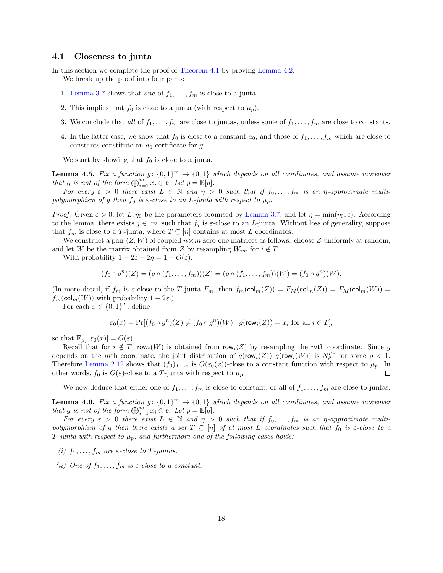#### <span id="page-17-0"></span>4.1 Closeness to junta

In this section we complete the proof of [Theorem 4.1](#page-15-1) by proving [Lemma 4.2.](#page-15-2)

We break up the proof into four parts:

- 1. [Lemma 3.7](#page-14-1) shows that one of  $f_1, \ldots, f_m$  is close to a junta.
- 2. This implies that  $f_0$  is close to a junta (with respect to  $\mu_p$ ).
- 3. We conclude that all of  $f_1, \ldots, f_m$  are close to juntas, unless some of  $f_1, \ldots, f_m$  are close to constants.
- 4. In the latter case, we show that  $f_0$  is close to a constant  $a_0$ , and those of  $f_1, \ldots, f_m$  which are close to constants constitute an  $a_0$ -certificate for g.

We start by showing that  $f_0$  is close to a junta.

<span id="page-17-1"></span>**Lemma 4.5.** Fix a function  $g: \{0,1\}^m \to \{0,1\}$  which depends on all coordinates, and assume moreover that g is not of the form  $\bigoplus_{i=1}^m x_i \oplus b$ . Let  $p = \mathbb{E}[g]$ .

For every  $\varepsilon > 0$  there exist  $L \in \mathbb{N}$  and  $\eta > 0$  such that if  $f_0, \ldots, f_m$  is an  $\eta$ -approximate multipolymorphism of g then  $f_0$  is  $\varepsilon$ -close to an L-junta with respect to  $\mu_p$ .

*Proof.* Given  $\varepsilon > 0$ , let  $L, \eta_0$  be the parameters promised by [Lemma 3.7,](#page-14-1) and let  $\eta = \min(\eta_0, \varepsilon)$ . According to the lemma, there exists  $j \in [m]$  such that  $f_j$  is  $\varepsilon$ -close to an L-junta. Without loss of generality, suppose that  $f_m$  is close to a T-junta, where  $T \subseteq [n]$  contains at most L coordinates.

We construct a pair  $(Z, W)$  of coupled  $n \times m$  zero-one matrices as follows: choose Z uniformly at random, and let W be the matrix obtained from Z by resampling  $W_{im}$  for  $i \notin T$ .

With probability  $1 - 2\varepsilon - 2\eta = 1 - O(\varepsilon)$ ,

$$
(f_0 \circ g^n)(Z) = (g \circ (f_1, \ldots, f_m))(Z) = (g \circ (f_1, \ldots, f_m))(W) = (f_0 \circ g^n)(W).
$$

(In more detail, if  $f_m$  is  $\varepsilon$ -close to the T-junta  $F_m$ , then  $f_m(\text{col}_m(Z)) = F_M(\text{col}_m(Z)) = F_M(\text{col}_m(W)) =$  $f_m(\text{col}_m(W))$  with probability  $1 - 2\varepsilon$ .)

For each  $x \in \{0,1\}^T$ , define

$$
\varepsilon_0(x) = \Pr[(f_0 \circ g^n)(Z) \neq (f_0 \circ g^n)(W) \mid g(\text{row}_i(Z)) = x_i \text{ for all } i \in T],
$$

so that  $\mathbb{E}_{\mu_p}[\varepsilon_0(x)] = O(\varepsilon)$ .

Recall that for  $i \notin T$ , row<sub>i</sub> $(W)$  is obtained from row<sub>i</sub> $(Z)$  by resampling the mth coordinate. Since g depends on the mth coordinate, the joint distribution of  $g(row_i(Z)), g(row_i(W))$  is  $N_p^{\mu_p}$  for some  $\rho < 1$ . Therefore [Lemma 2.12](#page-10-2) shows that  $(f_0)_{T\to x}$  is  $O(\varepsilon_0(x))$ -close to a constant function with respect to  $\mu_p$ . In other words,  $f_0$  is  $O(\varepsilon)$ -close to a T-junta with respect to  $\mu_p$ .  $\Box$ 

We now deduce that either one of  $f_1, \ldots, f_m$  is close to constant, or all of  $f_1, \ldots, f_m$  are close to juntas.

<span id="page-17-2"></span>**Lemma 4.6.** Fix a function  $g: \{0,1\}^m \to \{0,1\}$  which depends on all coordinates, and assume moreover that g is not of the form  $\bigoplus_{i=1}^m x_i \oplus b$ . Let  $p = \mathbb{E}[g]$ .

For every  $\varepsilon > 0$  there exist  $L \in \mathbb{N}$  and  $\eta > 0$  such that if  $f_0, \ldots, f_m$  is an  $\eta$ -approximate multipolymorphism of g then there exists a set  $T \subseteq [n]$  of at most L coordinates such that  $f_0$  is  $\varepsilon$ -close to a T-junta with respect to  $\mu_p$ , and furthermore one of the following cases holds:

- (i)  $f_1, \ldots, f_m$  are  $\varepsilon$ -close to T-juntas.
- (ii) One of  $f_1, \ldots, f_m$  is  $\varepsilon$ -close to a constant.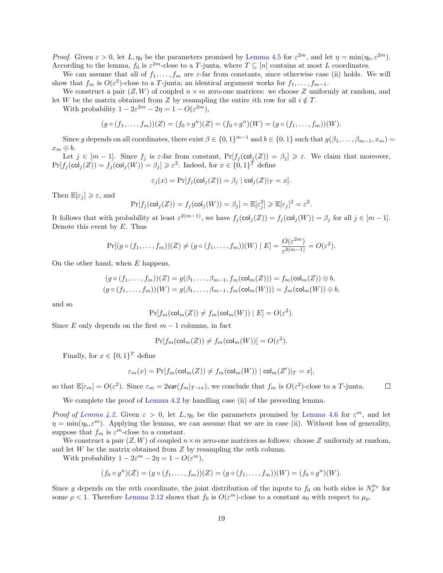Proof. Given  $\varepsilon > 0$ , let  $L, \eta_0$  be the parameters promised by [Lemma 4.5](#page-17-1) for  $\varepsilon^{2m}$ , and let  $\eta = \min(\eta_0, \varepsilon^{2m})$ . According to the lemma,  $f_0$  is  $\varepsilon^{2m}$ -close to a T-junta, where  $T \subseteq [n]$  contains at most L coordinates.

We can assume that all of  $f_1, \ldots, f_m$  are  $\varepsilon$ -far from constants, since otherwise case (ii) holds. We will show that  $f_m$  is  $O(\varepsilon^2)$ -close to a T-junta; an identical argument works for  $f_1, \ldots, f_{m-1}$ .

We construct a pair  $(Z, W)$  of coupled  $n \times m$  zero-one matrices: we choose Z uniformly at random, and let W be the matrix obtained from Z by resampling the entire ith row for all  $i \notin T$ .

With probability  $1 - 2\varepsilon^{2m} - 2\eta = 1 - O(\varepsilon^{2m}),$ 

$$
(g \circ (f_1, \ldots, f_m))(Z) = (f_0 \circ g^n)(Z) = (f_0 \circ g^n)(W) = (g \circ (f_1, \ldots, f_m))(W).
$$

Since g depends on all coordinates, there exist  $\beta \in \{0,1\}^{m-1}$  and  $b \in \{0,1\}$  such that  $g(\beta_1,\ldots,\beta_{m-1},x_m)$  $x_m \oplus b.$ 

Let  $j \in [m-1]$ . Since  $f_j$  is  $\varepsilon$ -far from constant,  $\Pr[f_j(\text{col}_j(Z)) = \beta_j] \geq \varepsilon$ . We claim that moreover,  $\Pr[f_j(\text{col}_j(Z)) = f_j(\text{col}_j(W))] = \beta_j] \geq \varepsilon^2$ . Indeed, for  $x \in \{0,1\}^T$  define

$$
\varepsilon_j(x) = \Pr[f_j(\text{col}_j(Z)) = \beta_j | \text{col}_j(Z)|_T = x].
$$

Then  $\mathbb{E}[\varepsilon_i] \geq \varepsilon$ , and

$$
\Pr[f_j(\mathsf{col}_j(Z)) = f_j(\mathsf{col}_j(W)) = \beta_j] = \mathbb{E}[\varepsilon_j^2] \ge \mathbb{E}[\varepsilon_j]^2 = \varepsilon^2.
$$

It follows that with probability at least  $\varepsilon^{2(m-1)}$ , we have  $f_j(\text{col}_j(Z)) = f_j(\text{col}_j(W)) = \beta_j$  for all  $j \in [m-1]$ . Denote this event by  $E$ . Thus

$$
\Pr[(g \circ (f_1,\ldots,f_m))(Z) \neq (g \circ (f_1,\ldots,f_m))(W) \mid E] = \frac{O(\varepsilon^{2m})}{\varepsilon^{2(m-1)}} = O(\varepsilon^2).
$$

On the other hand, when E happens,

$$
(g \circ (f_1, \ldots, f_m))(Z) = g(\beta_1, \ldots, \beta_{m-1}, f_m(\text{col}_m(Z))) = f_m(\text{col}_m(Z)) \oplus b,
$$
  

$$
(g \circ (f_1, \ldots, f_m))(W) = g(\beta_1, \ldots, \beta_{m-1}, f_m(\text{col}_m(W))) = f_m(\text{col}_m(W)) \oplus b,
$$

and so

 $Pr[f_m(\mathsf{col}_m(Z)) \neq f_m(\mathsf{col}_m(W)) \mid E] = O(\varepsilon^2).$ 

Since E only depends on the first  $m-1$  columns, in fact

$$
\Pr[f_m(\text{col}_m(Z)) \neq f_m(\text{col}_m(W))] = O(\varepsilon^2).
$$

Finally, for  $x \in \{0,1\}^T$  define

$$
\varepsilon_m(x) = \Pr[f_m(\text{col}_m(Z)) \neq f_m(\text{col}_m(W)) \mid \text{col}_m(Z')|_T = x],
$$

so that  $\mathbb{E}[\varepsilon_m] = O(\varepsilon^2)$ . Since  $\varepsilon_m = 2\text{var}(f_m|_{T\to x})$ , we conclude that  $f_m$  is  $O(\varepsilon^2)$ -close to a T-junta.  $\Box$ 

We complete the proof of [Lemma 4.2](#page-15-2) by handling case (ii) of the preceding lemma.

Proof of [Lemma 4.2.](#page-15-2) Given  $\varepsilon > 0$ , let  $L, \eta_0$  be the parameters promised by [Lemma 4.6](#page-17-2) for  $\varepsilon^m$ , and let  $\eta = \min(\eta_0, \varepsilon^m)$ . Applying the lemma, we can assume that we are in case (ii). Without loss of generality, suppose that  $f_m$  is  $\varepsilon^m$ -close to a constant.

We construct a pair  $(Z, W)$  of coupled  $n \times m$  zero-one matrices as follows: choose Z uniformly at random, and let  $W$  be the matrix obtained from  $Z$  by resampling the  $m$ th column.

With probability  $1 - 2\varepsilon^m - 2\eta = 1 - O(\varepsilon^m)$ ,

$$
(f_0 \circ g^n)(Z) = (g \circ (f_1, \ldots, f_m))(Z) = (g \circ (f_1, \ldots, f_m))(W) = (f_0 \circ g^n)(W).
$$

Since g depends on the mth coordinate, the joint distribution of the inputs to  $f_0$  on both sides is  $N_\rho^{\mu_p}$  for some  $\rho < 1$ . Therefore [Lemma 2.12](#page-10-2) shows that  $f_0$  is  $O(\varepsilon^m)$ -close to a constant  $a_0$  with respect to  $\mu_p$ .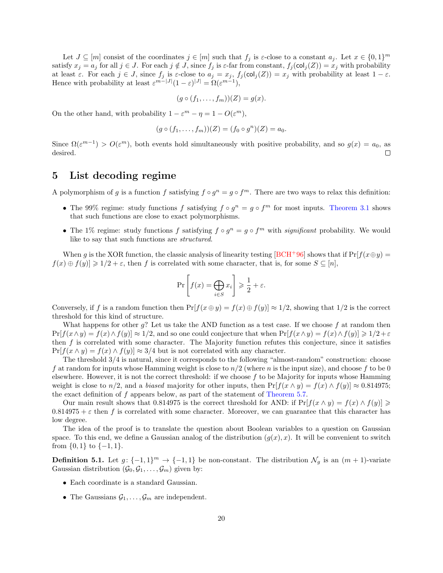Let  $J \subseteq [m]$  consist of the coordinates  $j \in [m]$  such that  $f_j$  is  $\varepsilon$ -close to a constant  $a_j$ . Let  $x \in \{0,1\}^m$ satisfy  $x_j = a_j$  for all  $j \in J$ . For each  $j \notin J$ , since  $f_j$  is  $\varepsilon$ -far from constant,  $f_j(\text{col}_j(Z)) = x_j$  with probability at least  $\varepsilon$ . For each  $j \in J$ , since  $f_j$  is  $\varepsilon$ -close to  $a_j = x_j$ ,  $f_j(\text{col}_j(Z)) = x_j$  with probability at least  $1 - \varepsilon$ . Hence with probability at least  $\varepsilon^{m-|J|}(1-\varepsilon)^{|J|} = \Omega(\varepsilon^{m-1}),$ 

$$
(g \circ (f_1, \ldots, f_m))(Z) = g(x).
$$

On the other hand, with probability  $1 - \varepsilon^m - \eta = 1 - O(\varepsilon^m)$ ,

$$
(g \circ (f_1, \ldots, f_m))(Z) = (f_0 \circ g^n)(Z) = a_0.
$$

Since  $\Omega(\varepsilon^{m-1}) > O(\varepsilon^m)$ , both events hold simultaneously with positive probability, and so  $g(x) = a_0$ , as desired.  $\Box$ 

## <span id="page-19-0"></span>5 List decoding regime

A polymorphism of g is a function f satisfying  $f \circ g^n = g \circ f^m$ . There are two ways to relax this definition:

- The 99% regime: study functions f satisfying  $f \circ g^n = g \circ f^m$  for most inputs. [Theorem 3.1](#page-11-2) shows that such functions are close to exact polymorphisms.
- The 1% regime: study functions f satisfying  $f \circ g^n = g \circ f^m$  with significant probability. We would like to say that such functions are structured.

When g is the XOR function, the classic analysis of linearity testing [\[BCH](#page-36-0)+96] shows that if  $Pr[f(x \oplus y) =$  $f(x) \oplus f(y) \geq 1/2 + \varepsilon$ , then f is correlated with some character, that is, for some  $S \subseteq [n]$ ,

<span id="page-19-1"></span>
$$
\Pr\left[f(x) = \bigoplus_{i \in S} x_i\right] \ge \frac{1}{2} + \varepsilon.
$$

Conversely, if f is a random function then  $Pr[f(x \oplus y) = f(x) \oplus f(y)] \approx 1/2$ , showing that  $1/2$  is the correct threshold for this kind of structure.

What happens for other  $g$ ? Let us take the AND function as a test case. If we choose  $f$  at random then  $Pr[f(x\wedge y) = f(x)\wedge f(y)] \approx 1/2$ , and so one could conjecture that when  $Pr[f(x\wedge y) = f(x)\wedge f(y)] \ge 1/2 + \varepsilon$ then f is correlated with some character. The Majority function refutes this conjecture, since it satisfies  $Pr[f(x \wedge y) = f(x) \wedge f(y)] \approx 3/4$  but is not correlated with any character.

The threshold 3/4 is natural, since it corresponds to the following "almost-random" construction: choose f at random for inputs whose Hamming weight is close to  $n/2$  (where n is the input size), and choose f to be 0 elsewhere. However, it is not the correct threshold: if we choose f to be Majority for inputs whose Hamming weight is close to n/2, and a biased majority for other inputs, then  $\Pr[f(x \wedge y) = f(x) \wedge f(y)] \approx 0.814975$ ; the exact definition of f appears below, as part of the statement of [Theorem 5.7.](#page-21-0)

Our main result shows that 0.814975 is the correct threshold for AND: if  $Pr[f(x \wedge y) = f(x) \wedge f(y)] \ge$  $0.814975 + \varepsilon$  then f is correlated with some character. Moreover, we can guarantee that this character has low degree.

The idea of the proof is to translate the question about Boolean variables to a question on Gaussian space. To this end, we define a Gaussian analog of the distribution  $(g(x), x)$ . It will be convenient to switch from  $\{0,1\}$  to  $\{-1,1\}$ .

**Definition 5.1.** Let  $g: \{-1,1\}^m \to \{-1,1\}$  be non-constant. The distribution  $\mathcal{N}_g$  is an  $(m+1)$ -variate Gaussian distribution  $(\mathcal{G}_0, \mathcal{G}_1, \ldots, \mathcal{G}_m)$  given by:

- Each coordinate is a standard Gaussian.
- The Gaussians  $\mathcal{G}_1, \ldots, \mathcal{G}_m$  are independent.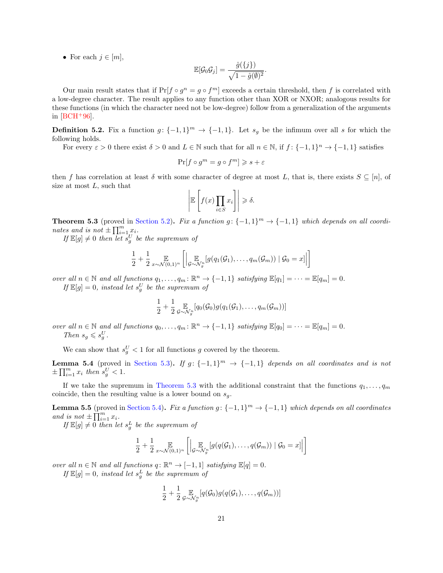• For each  $i \in [m]$ ,

$$
\mathbb{E}[\mathcal{G}_0 \mathcal{G}_j] = \frac{\hat{g}(\{j\})}{\sqrt{1 - \hat{g}(\emptyset)^2}}.
$$

Our main result states that if  $Pr[f \circ g^n = g \circ f^m]$  exceeds a certain threshold, then f is correlated with a low-degree character. The result applies to any function other than XOR or NXOR; analogous results for these functions (in which the character need not be low-degree) follow from a generalization of the arguments in  $|BCH+96|$ .

<span id="page-20-3"></span>**Definition 5.2.** Fix a function  $g: \{-1,1\}^m \to \{-1,1\}$ . Let  $s_g$  be the infimum over all s for which the following holds.

For every  $\varepsilon > 0$  there exist  $\delta > 0$  and  $L \in \mathbb{N}$  such that for all  $n \in \mathbb{N}$ , if  $f: \{-1, 1\}^n \to \{-1, 1\}$  satisfies

$$
\Pr[f \circ g^m = g \circ f^m] \geqslant s + \varepsilon
$$

then f has correlation at least  $\delta$  with some character of degree at most L, that is, there exists  $S \subseteq [n]$ , of size at most  $L$ , such that

$$
\left| \mathbb{E}\left[f(x)\prod_{i\in S} x_i\right] \right| \geq \delta.
$$

<span id="page-20-0"></span>**Theorem 5.3** (proved in [Section 5.2\)](#page-24-0). Fix a function  $g: \{-1,1\}^m \to \{-1,1\}$  which depends on all coordinates and is not  $\pm \prod_{i=1}^m x_i$ .

If  $\mathbb{E}[g] \neq 0$  then let  $s_g^U$  be the supremum of

$$
\frac{1}{2} + \frac{1}{2} \mathop{\mathbb{E}}_{x \sim \mathcal{N}(0,1)^n} \left[ \left| \mathop{\mathbb{E}}_{\mathcal{G} \sim \mathcal{N}_g^n} [g(q_1(\mathcal{G}_1), \ldots, q_m(\mathcal{G}_m)) \mid \mathcal{G}_0 = x] \right| \right]
$$

over all  $n \in \mathbb{N}$  and all functions  $q_1, \ldots, q_m : \mathbb{R}^n \to \{-1, 1\}$  satisfying  $\mathbb{E}[q_1] = \cdots = \mathbb{E}[q_m] = 0$ . If  $\mathbb{E}[g] = 0$ , instead let  $s_g^U$  be the supremum of

$$
\frac{1}{2} + \frac{1}{2} \mathop{\mathbb{E}}_{\sigma \sim \mathcal{N}_g^n} [q_0(\mathcal{G}_0) g(q_1(\mathcal{G}_1), \ldots, q_m(\mathcal{G}_m))]
$$

over all  $n \in \mathbb{N}$  and all functions  $q_0, \ldots, q_m : \mathbb{R}^n \to \{-1, 1\}$  satisfying  $\mathbb{E}[q_0] = \cdots = \mathbb{E}[q_m] = 0$ . Then  $s_g \leqslant s_g^U$ .

We can show that  $s_g^U < 1$  for all functions g covered by the theorem.

<span id="page-20-2"></span>**Lemma 5.4** (proved in [Section 5.3\)](#page-27-0). If  $g: \{-1,1\}^m \rightarrow \{-1,1\}$  depends on all coordinates and is not  $\pm \prod_{i=1}^m x_i$  then  $s_g^U < 1$ .

If we take the supremum in [Theorem 5.3](#page-20-0) with the additional constraint that the functions  $q_1, \ldots, q_m$ coincide, then the resulting value is a lower bound on  $s_q$ .

<span id="page-20-1"></span>**Lemma 5.5** (proved in [Section 5.4\)](#page-28-0). Fix a function  $g: \{-1,1\}^m \to \{-1,1\}$  which depends on all coordinates and is not  $\pm \prod_{i=1}^{n} x_i$ .

If  $\mathbb{E}[g] \neq 0$  then let  $s_g^L$  be the supremum of

$$
\frac{1}{2} + \frac{1}{2} \mathop{\mathbb{E}}_{x \sim \mathcal{N}(0,1)^n} \left[ \left| \mathop{\mathbb{E}}_{\mathcal{G} \sim \mathcal{N}_{g}^n} [g(q(\mathcal{G}_1), \ldots, q(\mathcal{G}_m)) \mid \mathcal{G}_0 = x] \right| \right]
$$

over all  $n \in \mathbb{N}$  and all functions  $q: \mathbb{R}^n \to [-1, 1]$  satisfying  $\mathbb{E}[q] = 0$ .

If  $\mathbb{E}[g] = 0$ , instead let  $s_g^L$  be the supremum of

$$
\frac{1}{2} + \frac{1}{2} \mathop{\mathbb{E}}_{\mathcal{G} \sim \mathcal{N}_{g}^n} [q(\mathcal{G}_0) g(q(\mathcal{G}_1), \ldots, q(\mathcal{G}_m))]
$$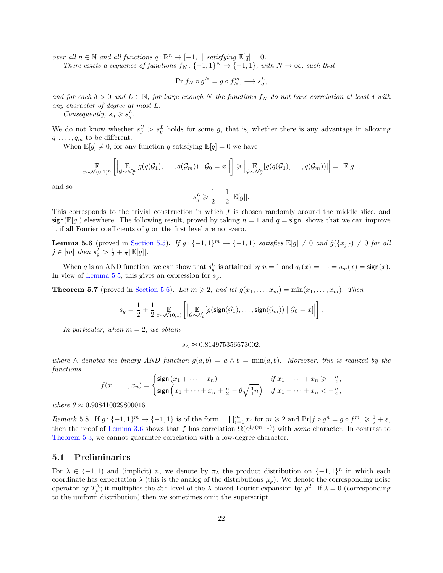over all  $n \in \mathbb{N}$  and all functions  $q: \mathbb{R}^n \to [-1, 1]$  satisfying  $\mathbb{E}[q] = 0$ .

There exists a sequence of functions  $f_N: \{-1,1\}^N \to \{-1,1\}$ , with  $N \to \infty$ , such that

$$
\Pr[f_N \circ g^N = g \circ f_N^m] \longrightarrow s_g^L,
$$

and for each  $\delta > 0$  and  $L \in \mathbb{N}$ , for large enough N the functions  $f_N$  do not have correlation at least  $\delta$  with any character of degree at most L.

Consequently,  $s_g \geqslant s_g^L$ .

We do not know whether  $s_g^U > s_g^L$  holds for some g, that is, whether there is any advantage in allowing  $q_1, \ldots, q_m$  to be different.

When  $\mathbb{E}[g] \neq 0$ , for any function q satisfying  $\mathbb{E}[q] = 0$  we have

$$
\mathop{\mathbb{E}}_{x \sim \mathcal{N}(0,1)^n} \left[ \left| \mathop{\mathbb{E}}_{\mathcal{G} \sim \mathcal{N}_g^n} [g(q(\mathcal{G}_1), \ldots, q(\mathcal{G}_m)) \mid \mathcal{G}_0 = x] \right| \right] \geqslant \left| \mathop{\mathbb{E}}_{\mathcal{G} \sim \mathcal{N}_g^n} [g(q(\mathcal{G}_1), \ldots, q(\mathcal{G}_m))] \right| = \left| \mathop{\mathbb{E}}[g] \right|,
$$

and so

$$
s^L_g \geqslant \frac{1}{2} + \frac{1}{2} |\operatorname{\mathbb{E}}[g]|.
$$

This corresponds to the trivial construction in which  $f$  is chosen randomly around the middle slice, and  $sign(\mathbb{E}[q])$  elsewhere. The following result, proved by taking  $n = 1$  and  $q = sign$ , shows that we can improve it if all Fourier coefficients of g on the first level are non-zero.

<span id="page-21-1"></span>**Lemma 5.6** (proved in [Section 5.5\)](#page-28-1). If  $g: \{-1,1\}^m \to \{-1,1\}$  satisfies  $\mathbb{E}[g] \neq 0$  and  $\hat{g}(\{x_j\}) \neq 0$  for all  $j \in [m]$  then  $s_g^{\overline{L}} > \frac{1}{2} + \frac{1}{2} |\mathbb{E}[g]|$ .

When g is an AND function, we can show that  $s_g^U$  is attained by  $n = 1$  and  $q_1(x) = \cdots = q_m(x) = \text{sign}(x)$ . In view of [Lemma 5.5,](#page-20-1) this gives an expression for  $s<sub>g</sub>$ .

<span id="page-21-0"></span>**Theorem 5.7** (proved in [Section 5.6\)](#page-29-0). Let  $m \geq 2$ , and let  $g(x_1, \ldots, x_m) = \min(x_1, \ldots, x_m)$ . Then

$$
s_g = \frac{1}{2} + \frac{1}{2} \mathop{\mathbb{E}}_{x \sim \mathcal{N}(0,1)} \left[ \left| \mathop{\mathbb{E}}_{\mathcal{G} \sim \mathcal{N}_g}[g(\text{sign}(\mathcal{G}_1), \dots, \text{sign}(\mathcal{G}_m)) \mid \mathcal{G}_0 = x] \right| \right].
$$

In particular, when  $m = 2$ , we obtain

 $s_0 \approx 0.814975356673002,$ 

where  $\wedge$  denotes the binary AND function  $g(a, b) = a \wedge b = \min(a, b)$ . Moreover, this is realized by the functions

$$
f(x_1,\ldots,x_n) = \begin{cases} \text{sign}\left(x_1 + \cdots + x_n\right) & \text{if } x_1 + \cdots + x_n \geq -\frac{n}{4}, \\ \text{sign}\left(x_1 + \cdots + x_n + \frac{n}{2} - \theta \sqrt{\frac{3}{4}n}\right) & \text{if } x_1 + \cdots + x_n < -\frac{n}{4}, \end{cases}
$$

where  $\theta \approx 0.9084100298000161$ .

Remark 5.8. If  $g: \{-1,1\}^m \to \{-1,1\}$  is of the form  $\pm \prod_{i=1}^m x_i$  for  $m \geq 2$  and  $\Pr[f \circ g^n = g \circ f^m] \geq \frac{1}{2} + \varepsilon$ , then the proof of [Lemma 3.6](#page-13-0) shows that f has correlation  $\Omega(\varepsilon^{1/(m-1)})$  with some character. In contrast to [Theorem 5.3,](#page-20-0) we cannot guarantee correlation with a low-degree character.

### 5.1 Preliminaries

For  $\lambda \in (-1,1)$  and (implicit) n, we denote by  $\pi_{\lambda}$  the product distribution on  $\{-1,1\}^n$  in which each coordinate has expectation  $\lambda$  (this is the analog of the distributions  $\mu_p$ ). We denote the corresponding noise operator by  $T_{\rho}^{\lambda}$ ; it multiplies the dth level of the  $\lambda$ -biased Fourier expansion by  $\rho^d$ . If  $\lambda = 0$  (corresponding to the uniform distribution) then we sometimes omit the superscript.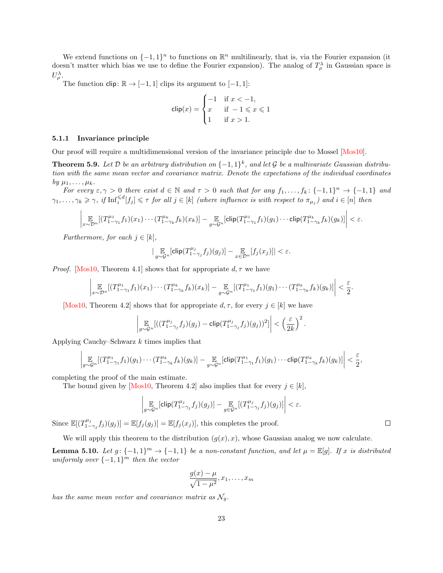We extend functions on  $\{-1,1\}^n$  to functions on  $\mathbb{R}^n$  multilinearly, that is, via the Fourier expansion (it doesn't matter which bias we use to define the Fourier expansion). The analog of  $T_{\rho}^{\lambda}$  in Gaussian space is  $U_\rho^\lambda.$ 

The function clip:  $\mathbb{R} \to [-1, 1]$  clips its argument to  $[-1, 1]$ :

<span id="page-22-1"></span>
$$
\text{clip}(x) = \begin{cases} -1 & \text{if } x < -1, \\ x & \text{if } -1 \leqslant x \leqslant 1 \\ 1 & \text{if } x > 1. \end{cases}
$$

#### 5.1.1 Invariance principle

Our proof will require a multidimensional version of the invariance principle due to Mossel [\[Mos10\]](#page-37-12).

<span id="page-22-0"></span>**Theorem 5.9.** Let D be an arbitrary distribution on  $\{-1,1\}^k$ , and let G be a multivariate Gaussian distribution with the same mean vector and covariance matrix. Denote the expectations of the individual coordinates by  $\mu_1, \ldots, \mu_k$ .

For every  $\varepsilon, \gamma > 0$  there exist  $d \in \mathbb{N}$  and  $\tau > 0$  such that for any  $f_1, \ldots, f_k : \{-1,1\}^n \to \{-1,1\}$  and  $\gamma_1,\ldots,\gamma_k \geq \gamma$ , if  $\text{Inf}_{i}^{\leq d}[f_j] \leq \tau$  for all  $j \in [k]$  (where influence is with respect to  $\pi_{\mu_j}$ ) and  $i \in [n]$  then

$$
\left|\mathop{\mathbb{E}}_{x\sim\mathcal{D}^n}[(T^{\mu_1}_{1-\gamma_1}f_1)(x_1)\cdots(T^{\mu_k}_{1-\gamma_k}f_k)(x_k)] - \mathop{\mathbb{E}}_{g\sim\mathcal{G}^n}[\text{clip}(T^{\mu_1}_{1-\gamma_1}f_1)(g_1)\cdots\text{clip}(T^{\mu_k}_{1-\gamma_k}f_k)(g_k)]\right| < \varepsilon.
$$

Furthermore, for each  $j \in [k]$ ,

$$
|\mathop{\mathbb{E}}_{g \sim \mathcal{G}^n}[\text{clip}(T^{\mu_j}_{1-\gamma_j}f_j)(g_j)] - \mathop{\mathbb{E}}_{x \in \mathcal{D}^n}[f_j(x_j)]| < \varepsilon.
$$

<span id="page-22-2"></span>*Proof.* [\[Mos10,](#page-37-12) Theorem 4.1] shows that for appropriate  $d, \tau$  we have

$$
\left| \mathop{\mathbb{E}}_{x \sim \mathcal{D}^n} [(T^{\mu_1}_{1-\gamma_1} f_1)(x_1) \cdots (T^{\mu_k}_{1-\gamma_k} f_k)(x_k)] - \mathop{\mathbb{E}}_{g \sim \mathcal{G}^n} [(T^{\mu_1}_{1-\gamma_1} f_1)(g_1) \cdots (T^{\mu_k}_{1-\gamma_k} f_k)(g_k)] \right| < \frac{\varepsilon}{2}.
$$

<span id="page-22-3"></span>[\[Mos10,](#page-37-12) Theorem 4.2] shows that for appropriate  $d, \tau$ , for every  $j \in [k]$  we have

$$
\left|\mathop{\mathbb{E}}_{g\sim\mathcal{G}^n} [((T^{\mu_j}_{1-\gamma_j}f_j)(g_j)-\text{clip}(T^{\mu_j}_{1-\gamma_j}f_j)(g_j))^2]\right| < \left(\frac{\varepsilon}{2k}\right)^2.
$$

Applying Cauchy–Schwarz  $k$  times implies that

$$
\left|\mathop{\mathbb{E}}_{g\sim\mathcal{G}^n}[(T^{\mu_1}_{1-\gamma_1}f_1)(g_1)\cdots(T^{\mu_k}_{1-\gamma_k}f_k)(g_k)] - \mathop{\mathbb{E}}_{g\sim\mathcal{G}^n}[\text{clip}(T^{\mu_1}_{1-\gamma_1}f_1)(g_1)\cdots \text{clip}(T^{\mu_k}_{1-\gamma_k}f_k)(g_k)]\right| < \frac{\varepsilon}{2},
$$

completing the proof of the main estimate.

The bound given by [\[Mos10,](#page-37-12) Theorem 4.2] also implies that for every  $j \in [k]$ ,

<span id="page-22-4"></span>
$$
\left|\mathop{\mathbb{E}}_{g\sim\mathcal{G}^n}[\mathsf{clip}(T_{1-\gamma_j}^{\mu_j}f_j)(g_j)] - \mathop{\mathbb{E}}_{g\in\mathcal{G}^n}[(T_{1-\gamma_j}^{\mu_j}f_j)(g_j)]\right| < \varepsilon.
$$

Since  $\mathbb{E}[(T_{1-\gamma_j}^{\mu_j}f_j)(g_j)] = \mathbb{E}[f_j(g_j)] = \mathbb{E}[f_j(x_j)],$  this completes the proof.

We will apply this theorem to the distribution  $(g(x), x)$ , whose Gaussian analog we now calculate.

**Lemma 5.10.** Let  $g: \{-1,1\}^m \to \{-1,1\}$  be a non-constant function, and let  $\mu = \mathbb{E}[g]$ . If x is distributed uniformly over  $\{-1,1\}^m$  then the vector

$$
\frac{g(x) - \mu}{\sqrt{1 - \mu^2}}, x_1, \dots, x_m
$$

has the same mean vector and covariance matrix as  $\mathcal{N}_q$ .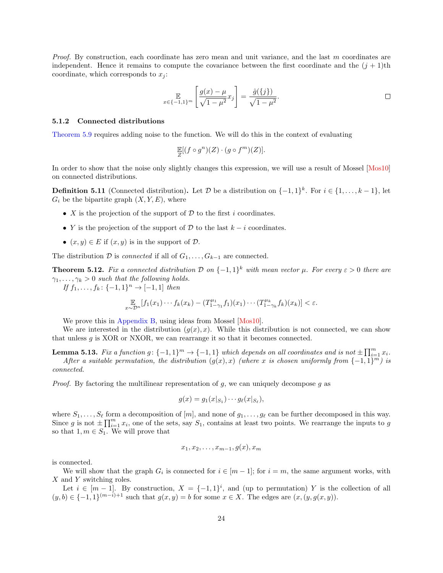Proof. By construction, each coordinate has zero mean and unit variance, and the last m coordinates are independent. Hence it remains to compute the covariance between the first coordinate and the  $(j + 1)$ th coordinate, which corresponds to  $x_i$ :

$$
\mathbb{E}_{x \in \{-1,1\}^m} \left[ \frac{g(x) - \mu}{\sqrt{1 - \mu^2}} x_j \right] = \frac{\hat{g}(\{j\})}{\sqrt{1 - \mu^2}}.
$$

#### 5.1.2 Connected distributions

[Theorem 5.9](#page-22-0) requires adding noise to the function. We will do this in the context of evaluating

<span id="page-23-1"></span>
$$
\mathop{\mathbb{E}}_{Z}[(f\circ g^{n})(Z)\cdot (g\circ f^{m})(Z)].
$$

In order to show that the noise only slightly changes this expression, we will use a result of Mossel [\[Mos10\]](#page-37-12) on connected distributions.

**Definition 5.11** (Connected distribution). Let D be a distribution on  $\{-1,1\}^k$ . For  $i \in \{1,\ldots,k-1\}$ , let  $G_i$  be the bipartite graph  $(X, Y, E)$ , where

- X is the projection of the support of  $D$  to the first i coordinates.
- Y is the projection of the support of D to the last  $k i$  coordinates.
- $(x, y) \in E$  if  $(x, y)$  is in the support of  $D$ .

The distribution  $\mathcal D$  is *connected* if all of  $G_1, \ldots, G_{k-1}$  are connected.

<span id="page-23-0"></span>**Theorem 5.12.** Fix a connected distribution D on  $\{-1,1\}^k$  with mean vector  $\mu$ . For every  $\varepsilon > 0$  there are  $\gamma_1, \ldots, \gamma_k > 0$  such that the following holds.

If  $f_1, \ldots, f_k : \{-1, 1\}^n \to [-1, 1]$  then

$$
\mathbb{E}_{x \sim \mathcal{D}^n} [f_1(x_1) \cdots f_k(x_k) - (T_{1-\gamma_1}^{\mu_1} f_1)(x_1) \cdots (T_{1-\gamma_k}^{\mu_k} f_k)(x_k)] < \varepsilon.
$$

We prove this in [Appendix B,](#page-40-0) using ideas from Mossel [\[Mos10\]](#page-37-12).

We are interested in the distribution  $(g(x), x)$ . While this distribution is not connected, we can show that unless g is XOR or NXOR, we can rearrange it so that it becomes connected.

**Lemma 5.13.** Fix a function  $g: \{-1,1\}^m \to \{-1,1\}$  which depends on all coordinates and is not  $\pm \prod_{i=1}^m x_i$ . After a suitable permutation, the distribution  $(g(x),x)$  (where x is chosen uniformly from  $\{-1,1\}^m$ ) is connected.

*Proof.* By factoring the multilinear representation of g, we can uniquely decompose g as

<span id="page-23-2"></span>
$$
g(x) = g_1(x|_{S_1}) \cdots g_\ell(x|_{S_\ell}),
$$

where  $S_1, \ldots, S_\ell$  form a decomposition of  $[m]$ , and none of  $g_1, \ldots, g_\ell$  can be further decomposed in this way. Since g is not  $\pm \prod_{i=1}^m x_i$ , one of the sets, say  $S_1$ , contains at least two points. We rearrange the inputs to g so that  $1, m \in S_1$ . We will prove that

$$
x_1, x_2, \ldots, x_{m-1}, g(x), x_m
$$

is connected.

We will show that the graph  $G_i$  is connected for  $i \in [m-1]$ ; for  $i = m$ , the same argument works, with X and Y switching roles.

Let  $i \in [m-1]$ . By construction,  $X = \{-1,1\}^i$ , and (up to permutation) Y is the collection of all  $(y, b) \in \{-1, 1\}^{(m-i)+1}$  such that  $g(x, y) = b$  for some  $x \in X$ . The edges are  $(x, (y, g(x, y))$ .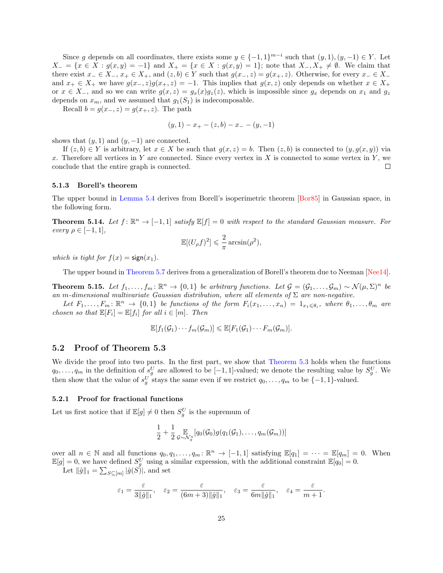Since g depends on all coordinates, there exists some  $y \in \{-1,1\}^{m-i}$  such that  $(y,1), (y,-1) \in Y$ . Let  $X_-=\{x\in X: g(x,y)=-1\}$  and  $X_+=\{x\in X: g(x,y)=1\}$ ; note that  $X_-, X_+\neq \emptyset$ . We claim that there exist  $x_-\in X_-, x_+\in X_+$ , and  $(z, b) \in Y$  such that  $g(x_-, z) = g(x_+, z)$ . Otherwise, for every  $x_-\in X_$ and  $x_+ \in X_+$  we have  $g(x_-, z)g(x_+, z) = -1$ . This implies that  $g(x, z)$  only depends on whether  $x \in X_+$ or  $x \in X_$ , and so we can write  $g(x, z) = g_x(x)g_z(z)$ , which is impossible since  $g_x$  depends on  $x_1$  and  $g_z$ depends on  $x_m$ , and we assumed that  $g_1(S_1)$  is indecomposable.

Recall  $b = g(x_-, z) = g(x_+, z)$ . The path

$$
(y,1) - x_{+} - (z,b) - x_{-} - (y,-1)
$$

shows that  $(y, 1)$  and  $(y, -1)$  are connected.

If  $(z, b) \in Y$  is arbitrary, let  $x \in X$  be such that  $g(x, z) = b$ . Then  $(z, b)$  is connected to  $(y, g(x, y))$  via x. Therefore all vertices in Y are connected. Since every vertex in X is connected to some vertex in Y, we conclude that the entire graph is connected.  $\Box$ 

#### 5.1.3 Borell's theorem

The upper bound in [Lemma 5.4](#page-20-2) derives from Borell's isoperimetric theorem [\[Bor85\]](#page-37-15) in Gaussian space, in the following form.

<span id="page-24-1"></span>**Theorem 5.14.** Let  $f: \mathbb{R}^n \to [-1,1]$  satisfy  $\mathbb{E}[f] = 0$  with respect to the standard Gaussian measure. For every  $\rho \in [-1,1],$ 

<span id="page-24-4"></span><span id="page-24-3"></span>
$$
\mathbb{E}[(U_{\rho}f)^2] \leqslant \frac{2}{\pi} \arcsin(\rho^2),
$$

which is tight for  $f(x) = \text{sign}(x_1)$ .

The upper bound in [Theorem 5.7](#page-21-0) derives from a generalization of Borell's theorem due to Neeman [\[Nee14\]](#page-37-13).

<span id="page-24-2"></span>**Theorem 5.15.** Let  $f_1, \ldots, f_m : \mathbb{R}^n \to \{0,1\}$  be arbitrary functions. Let  $\mathcal{G} = (\mathcal{G}_1, \ldots, \mathcal{G}_m) \sim \mathcal{N}(\mu, \Sigma)^n$  be an m-dimensional multivariate Gaussian distribution, where all elements of  $\Sigma$  are non-negative.

Let  $F_1,\ldots,F_m\colon\mathbb{R}^n\to\{0,1\}$  be functions of the form  $F_i(x_1,\ldots,x_n)=1_{x_1\leqslant\theta_i}$ , where  $\theta_1,\ldots,\theta_m$  are chosen so that  $\mathbb{E}[F_i] = \mathbb{E}[f_i]$  for all  $i \in [m]$ . Then

$$
\mathbb{E}[f_1(\mathcal{G}_1)\cdots f_m(\mathcal{G}_m)] \leq \mathbb{E}[F_1(\mathcal{G}_1)\cdots F_m(\mathcal{G}_m)].
$$

#### <span id="page-24-0"></span>5.2 Proof of Theorem 5.3

We divide the proof into two parts. In the first part, we show that [Theorem 5.3](#page-20-0) holds when the functions  $q_0, \ldots, q_m$  in the definition of  $s_g^U$  are allowed to be [-1, 1]-valued; we denote the resulting value by  $S_g^U$ . We then show that the value of  $s_g^U$  stays the same even if we restrict  $q_0, \ldots, q_m$  to be  $\{-1, 1\}$ -valued.

#### 5.2.1 Proof for fractional functions

Let us first notice that if  $\mathbb{E}[g] \neq 0$  then  $S_g^U$  is the supremum of

$$
\frac{1}{2} + \frac{1}{2} \underset{\sigma \sim \mathcal{N}_g^n}{\mathbb{E}}[q_0(\mathcal{G}_0)g(q_1(\mathcal{G}_1), \ldots, q_m(\mathcal{G}_m))]
$$

over all  $n \in \mathbb{N}$  and all functions  $q_0, q_1, \ldots, q_m : \mathbb{R}^n \to [-1, 1]$  satisfying  $\mathbb{E}[q_1] = \cdots = \mathbb{E}[q_m] = 0$ . When  $\mathbb{E}[g] = 0$ , we have defined  $S_g^U$  using a similar expression, with the additional constraint  $\mathbb{E}[q_0] = 0$ .

Let  $\|\hat{g}\|_1 = \sum_{S \subseteq [m]} |\hat{g}(S)|$ , and set

$$
\varepsilon_1=\frac{\varepsilon}{3\|\hat{g}\|_1},\quad \varepsilon_2=\frac{\varepsilon}{(6m+3)\|\hat{g}\|_1},\quad \varepsilon_3=\frac{\varepsilon}{6m\|\hat{g}\|_1},\quad \varepsilon_4=\frac{\varepsilon}{m+1}.
$$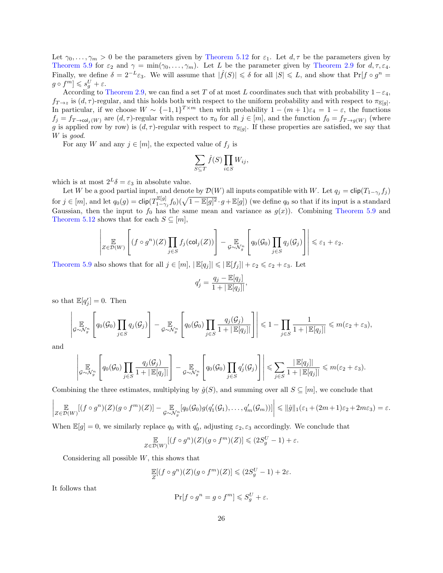Let  $\gamma_0, \ldots, \gamma_m > 0$  be the parameters given by [Theorem 5.12](#page-23-0) for  $\varepsilon_1$ . Let  $d, \tau$  be the parameters given by [Theorem 5.9](#page-22-0) for  $\varepsilon_2$  and  $\gamma = \min(\gamma_0, \ldots, \gamma_m)$ . Let L be the parameter given by [Theorem 2.9](#page-10-0) for  $d, \tau, \varepsilon_4$ . Finally, we define  $\delta = 2^{-L} \varepsilon_3$ . We will assume that  $|\hat{f}(S)| \leq \delta$  for all  $|S| \leq L$ , and show that  $\Pr[f \circ g^n]$  $g \circ f^m \rbrack \leqslant s_g^U + \varepsilon.$ 

According to [Theorem 2.9,](#page-10-0) we can find a set T of at most L coordinates such that with probability  $1-\varepsilon_4$ ,  $f_{T\to z}$  is  $(d, \tau)$ -regular, and this holds both with respect to the uniform probability and with respect to  $\pi_{\mathbb{E}[g]}$ . In particular, if we choose  $W \sim \{-1,1\}^{T \times m}$  then with probability  $1 - (m+1)\varepsilon_4 = 1 - \varepsilon$ , the functions  $f_j = f_{T\to col_j(W)}$  are  $(d, \tau)$ -regular with respect to  $\pi_0$  for all  $j \in [m]$ , and the function  $f_0 = f_{T\to g(W)}$  (where g is applied row by row) is  $(d, \tau)$ -regular with respect to  $\pi_{\mathbb{E}[g]}$ . If these properties are satisfied, we say that W is good.

For any W and any  $j \in [m]$ , the expected value of  $f_j$  is

$$
\sum_{S \subseteq T} \hat{f}(S) \prod_{i \in S} W_{ij},
$$

which is at most  $2^L \delta = \varepsilon_3$  in absolute value.

Let W be a good partial input, and denote by  $\mathcal{D}(W)$  all inputs compatible with W. Let  $q_j = \text{clip}(T_{1-\gamma_j}f_j)$ for  $j \in [m]$ , and let  $q_0(g) = \text{clip}(T_{1-\gamma}^{\mathbb{E}[g]})$  $\frac{\mathbb{E}[g]}{1-\gamma_j}f_0\left(\sqrt{1-\mathbb{E}[g]^2}\cdot g+\mathbb{E}[g]\right)$  (we define  $q_0$  so that if its input is a standard Gaussian, then the input to  $f_0$  has the same mean and variance as  $g(x)$ ). Combining [Theorem 5.9](#page-22-0) and [Theorem 5.12](#page-23-0) shows that for each  $S \subseteq [m]$ ,

$$
\left| \underset{Z \in \mathcal{D}(W)}{\mathbb{E}} \left[ (f \circ g^n)(Z) \prod_{j \in S} f_j(\text{col}_j(Z)) \right] - \underset{\mathcal{G} \sim \mathcal{N}_g^n}{\mathbb{E}} \left[ q_0(\mathcal{G}_0) \prod_{j \in S} q_j(\mathcal{G}_j) \right] \right| \leq \varepsilon_1 + \varepsilon_2.
$$

[Theorem 5.9](#page-22-0) also shows that for all  $j \in [m]$ ,  $|\mathbb{E}[q_j]| \leq |\mathbb{E}[f_j]| + \varepsilon_2 \leq \varepsilon_2 + \varepsilon_3$ . Let

$$
q'_{j} = \frac{q_{j} - \mathbb{E}[q_{j}]}{1 + |\mathbb{E}[q_{j}]|},
$$

so that  $\mathbb{E}[q'_j] = 0$ . Then

$$
\left| \underset{\mathcal{G} \sim \mathcal{N}_{g}^{n}}{\mathbb{E}} \left[ q_{0}(\mathcal{G}_{0}) \prod_{j \in S} q_{j}(\mathcal{G}_{j}) \right] - \underset{\mathcal{G} \sim \mathcal{N}_{g}^{n}}{\mathbb{E}} \left[ q_{0}(\mathcal{G}_{0}) \prod_{j \in S} \frac{q_{j}(\mathcal{G}_{j})}{1 + |\mathbb{E}[q_{j}|]} \right] \right| \leq 1 - \prod_{j \in S} \frac{1}{1 + |\mathbb{E}[q_{j}|]} \leq m(\varepsilon_{2} + \varepsilon_{3}),
$$

and

$$
\left| \mathop{\mathbb{E}}_{\mathcal{G} \sim \mathcal{N}_g^n} \left[ q_0(\mathcal{G}_0) \prod_{j \in S} \frac{q_j(\mathcal{G}_j)}{1 + |\mathbb{E}[q_j]|} \right] - \mathop{\mathbb{E}}_{\mathcal{G} \sim \mathcal{N}_g^n} \left[ q_0(\mathcal{G}_0) \prod_{j \in S} q'_j(\mathcal{G}_j) \right] \right| \leq \sum_{j \in S} \frac{|\mathbb{E}[q_j]|}{1 + |\mathbb{E}[q_j]|} \leq m(\varepsilon_2 + \varepsilon_3).
$$

Combining the three estimates, multiplying by  $\hat{g}(S)$ , and summing over all  $S \subseteq [m]$ , we conclude that

$$
\left|\mathop{\mathbb{E}}_{Z \in \mathcal{D}(W)}[(f \circ g^n)(Z)(g \circ f^m)(Z)] - \mathop{\mathbb{E}}_{\mathcal{G} \sim \mathcal{N}_g^n}[q_0(\mathcal{G}_0)g(q_1'(\mathcal{G}_1), \ldots, q_m'(\mathcal{G}_m))] \right| \leq \|\hat{g}\|_1(\varepsilon_1 + (2m+1)\varepsilon_2 + 2m\varepsilon_3) = \varepsilon.
$$

When  $\mathbb{E}[g] = 0$ , we similarly replace  $q_0$  with  $q'_0$ , adjusting  $\varepsilon_2$ ,  $\varepsilon_3$  accordingly. We conclude that

$$
\mathop{\mathbb{E}}_{Z \in \mathcal{D}(W)} [(f \circ g^n)(Z)(g \circ f^m)(Z)] \leqslant (2S_g^U - 1) + \varepsilon.
$$

Considering all possible  $W$ , this shows that

$$
\mathop{\mathbb{E}}_Z[(f\circ g^n)(Z)(g\circ f^m)(Z)]\leqslant (2S_g^U-1)+2\varepsilon.
$$

It follows that

$$
\Pr[f \circ g^n = g \circ f^m] \leqslant S_g^U + \varepsilon.
$$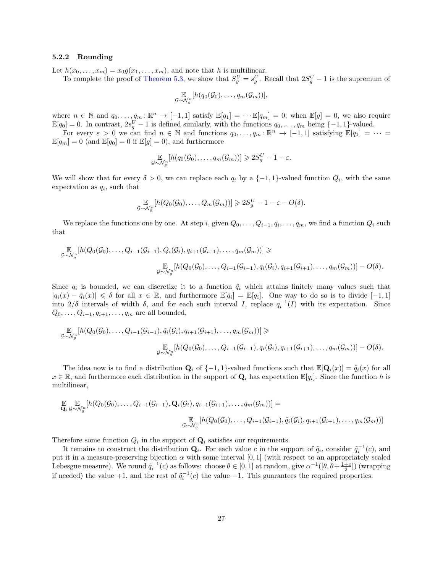#### 5.2.2 Rounding

Let  $h(x_0, \ldots, x_m) = x_0 g(x_1, \ldots, x_m)$ , and note that h is multilinear.

To complete the proof of [Theorem 5.3,](#page-20-0) we show that  $S_g^U = s_g^U$ . Recall that  $2S_g^U - 1$  is the supremum of

$$
\mathop{\mathbb{E}}_{\mathcal{G}\sim \mathcal{N}_g^n}[h(q_0(\mathcal{G}_0),\ldots,q_m(\mathcal{G}_m))],
$$

where  $n \in \mathbb{N}$  and  $q_0, \ldots, q_m : \mathbb{R}^n \to [-1, 1]$  satisfy  $\mathbb{E}[q_1] = \cdots \mathbb{E}[q_m] = 0$ ; when  $\mathbb{E}[g] = 0$ , we also require  $\mathbb{E}[q_0] = 0$ . In contrast,  $2s_g^U - 1$  is defined similarly, with the functions  $q_0, \ldots, q_m$  being  $\{-1, 1\}$ -valued.

For every  $\varepsilon > 0$  we can find  $n \in \mathbb{N}$  and functions  $q_0, \ldots, q_m \colon \mathbb{R}^n \to [-1,1]$  satisfying  $\mathbb{E}[q_1] = \cdots =$  $\mathbb{E}[q_m] = 0$  (and  $\mathbb{E}[q_0] = 0$  if  $\mathbb{E}[g] = 0$ ), and furthermore

$$
\mathbb{E}_{\mathcal{G}\sim\mathcal{N}_g^n}[h(q_0(\mathcal{G}_0),\ldots,q_m(\mathcal{G}_m))] \geqslant 2S_g^U - 1 - \varepsilon.
$$

We will show that for every  $\delta > 0$ , we can replace each  $q_i$  by a  $\{-1,1\}$ -valued function  $Q_i$ , with the same expectation as  $q_i$ , such that

$$
\mathbb{E}_{\mathcal{G}\sim\mathcal{N}_g^n}[h(Q_0(\mathcal{G}_0),\ldots,Q_m(\mathcal{G}_m))] \geqslant 2S_g^U - 1 - \varepsilon - O(\delta).
$$

We replace the functions one by one. At step i, given  $Q_0, \ldots, Q_{i-1}, q_i, \ldots, q_m$ , we find a function  $Q_i$  such that

$$
\mathbb{E}_{\mathcal{G}\sim\mathcal{N}_g^n}[h(Q_0(\mathcal{G}_0),\ldots,Q_{i-1}(\mathcal{G}_{i-1}),Q_i(\mathcal{G}_i),q_{i+1}(\mathcal{G}_{i+1}),\ldots,q_m(\mathcal{G}_m))] \ge
$$
\n
$$
\mathbb{E}_{\mathcal{G}\sim\mathcal{N}_g^n}[h(Q_0(\mathcal{G}_0),\ldots,Q_{i-1}(\mathcal{G}_{i-1}),q_i(\mathcal{G}_i),q_{i+1}(\mathcal{G}_{i+1}),\ldots,q_m(\mathcal{G}_m))] - O(\delta).
$$

Since  $q_i$  is bounded, we can discretize it to a function  $\tilde{q}_i$  which attains finitely many values such that  $|q_i(x) - \tilde{q}_i(x)| \leq \delta$  for all  $x \in \mathbb{R}$ , and furthermore  $\mathbb{E}[\tilde{q}_i] = \mathbb{E}[q_i]$ . One way to do so is to divide  $[-1, 1]$ into  $2/\delta$  intervals of width  $\delta$ , and for each such interval I, replace  $q_i^{-1}(I)$  with its expectation. Since  $Q_0, \ldots, Q_{i-1}, q_{i+1}, \ldots, q_m$  are all bounded,

$$
\mathbb{E}_{\mathcal{G}\sim N_{\mathcal{G}}^{m}}[h(Q_{0}(\mathcal{G}_{0}),\ldots,Q_{i-1}(\mathcal{G}_{i-1}),\tilde{q}_{i}(\mathcal{G}_{i}),q_{i+1}(\mathcal{G}_{i+1}),\ldots,q_{m}(\mathcal{G}_{m}))]\geq
$$
\n
$$
\mathbb{E}_{\mathcal{G}\sim N_{\mathcal{G}}^{m}}[h(Q_{0}(\mathcal{G}_{0}),\ldots,Q_{i-1}(\mathcal{G}_{i-1}),q_{i}(\mathcal{G}_{i}),q_{i+1}(\mathcal{G}_{i+1}),\ldots,q_{m}(\mathcal{G}_{m}))]-O(\delta).
$$

The idea now is to find a distribution  $\mathbf{Q}_i$  of  $\{-1, 1\}$ -valued functions such that  $\mathbb{E}[\mathbf{Q}_i(x)] = \tilde{q}_i(x)$  for all  $x \in \mathbb{R}$ , and furthermore each distribution in the support of  $\mathbf{Q}_i$  has expectation  $\mathbb{E}[q_i]$ . Since the function h is multilinear,

$$
\mathbb{E}_{\mathbf{Q}_i} \mathbb{E}_{\mathcal{G} \sim \mathcal{N}_g^n} [h(Q_0(\mathcal{G}_0), \dots, Q_{i-1}(\mathcal{G}_{i-1}), \mathbf{Q}_i(\mathcal{G}_i), q_{i+1}(\mathcal{G}_{i+1}), \dots, q_m(\mathcal{G}_m))] =
$$
\n
$$
\mathbb{E}_{\mathcal{G} \sim \mathcal{N}_g^n} [h(Q_0(\mathcal{G}_0), \dots, Q_{i-1}(\mathcal{G}_{i-1}), \tilde{q}_i(\mathcal{G}_i), q_{i+1}(\mathcal{G}_{i+1}), \dots, q_m(\mathcal{G}_m))]
$$

Therefore some function  $Q_i$  in the support of  $\mathbf{Q}_i$  satisfies our requirements.

It remains to construct the distribution  $\mathbf{Q}_i$ . For each value c in the support of  $\tilde{q}_i$ , consider  $\tilde{q}_i^{-1}(c)$ , and put it in a measure-preserving bijection  $\alpha$  with some interval [0,1] (with respect to an appropriately scaled Lebesgue measure). We round  $\tilde{q}_i^{-1}(c)$  as follows: choose  $\theta \in [0,1]$  at random, give  $\alpha^{-1}([\theta, \theta + \frac{1+c}{2}])$  (wrapping if needed) the value +1, and the rest of  $\tilde{q}_i^{-1}(c)$  the value -1. This guarantees the required properties.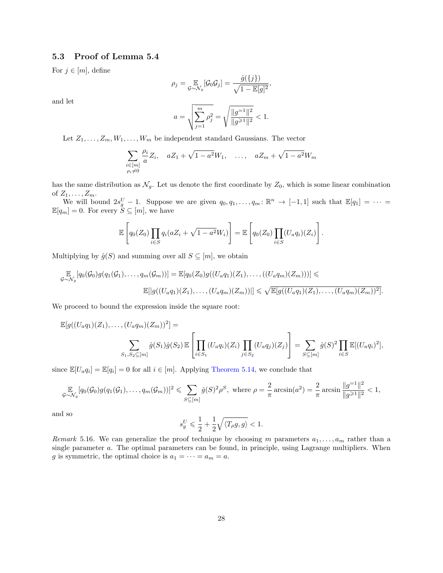### <span id="page-27-0"></span>5.3 Proof of Lemma 5.4

For  $j \in [m]$ , define

$$
\rho_j = \mathop{\mathbb{E}}_{\mathcal{G}\sim\mathcal{N}_g}[\mathcal{G}_0\mathcal{G}_j] = \frac{\hat{g}(\{j\})}{\sqrt{1-\mathbb{E}[g]^2}},
$$

and let

$$
a = \sqrt{\sum_{j=1}^{m} \rho_j^2} = \sqrt{\frac{||g^{-1}||^2}{||g^{\ge 1}||^2}} < 1.
$$

Let  $Z_1, \ldots, Z_m, W_1, \ldots, W_m$  be independent standard Gaussians. The vector

$$
\sum_{\substack{i \in [m] \\ \rho_i \neq 0}} \frac{\rho_i}{a} Z_i, \quad aZ_1 + \sqrt{1 - a^2} W_1, \quad \dots, \quad aZ_m + \sqrt{1 - a^2} W_m
$$

has the same distribution as  $\mathcal{N}_g$ . Let us denote the first coordinate by  $Z_0$ , which is some linear combination of  $Z_1, \ldots, Z_m$ .

We will bound  $2s_g^U - 1$ . Suppose we are given  $q_0, q_1, \ldots, q_m : \mathbb{R}^n \to [-1,1]$  such that  $\mathbb{E}[q_1] = \cdots =$  $\mathbb{E}[q_m] = 0.$  For every  $S \subseteq [m]$ , we have

$$
\mathbb{E}\left[q_0(Z_0)\prod_{i\in S}q_i(aZ_i+\sqrt{1-a^2}W_i)\right]=\mathbb{E}\left[q_0(Z_0)\prod_{i\in S}(U_aq_i)(Z_i)\right].
$$

Multiplying by  $\hat{g}(S)$  and summing over all  $S \subseteq [m]$ , we obtain

$$
\mathbb{E}_{Q \sim N_g}[q_0(\mathcal{G}_0)g(q_1(\mathcal{G}_1), \ldots, q_m(\mathcal{G}_m))] = \mathbb{E}[q_0(Z_0)g((U_a q_1)(Z_1), \ldots, ((U_a q_m)(Z_m)))] \leq
$$
  

$$
\mathbb{E}[|g((U_a q_1)(Z_1), \ldots, (U_a q_m)(Z_m))|] \leq \sqrt{\mathbb{E}[g((U_a q_1)(Z_1), \ldots, (U_a q_m)(Z_m))^2]}.
$$

We proceed to bound the expression inside the square root:

$$
\mathbb{E}[g((U_a q_1)(Z_1),..., (U_a q_m)(Z_m))^2] =
$$
  

$$
\sum_{S_1, S_2 \subseteq [m]} \hat{g}(S_1)\hat{g}(S_2) \mathbb{E}\left[\prod_{i \in S_1} (U_a q_i)(Z_i) \prod_{j \in S_2} (U_a q_j)(Z_j)\right] = \sum_{S \subseteq [m]} \hat{g}(S)^2 \prod_{i \in S} \mathbb{E}[(U_a q_i)^2],
$$

since  $\mathbb{E}[U_a q_i] = \mathbb{E}[q_i] = 0$  for all  $i \in [m]$ . Applying [Theorem 5.14,](#page-24-1) we conclude that

$$
\mathbb{E}_{\mathcal{G}\sim\mathcal{N}_g}[q_0(\mathcal{G}_0)g(q_1(\mathcal{G}_1),\ldots,q_m(\mathcal{G}_m))]^2 \leq \sum_{S\subseteq [m]} \hat{g}(S)^2 \rho^S, \text{ where } \rho = \frac{2}{\pi}\arcsin(a^2) = \frac{2}{\pi}\arcsin\frac{\|g^{-1}\|^2}{\|g^{\geq 1}\|^2} < 1,
$$

2

and so

$$
s^U_g \leqslant \frac{1}{2} + \frac{1}{2} \sqrt{\langle T_\rho g, g \rangle} < 1.
$$

Remark 5.16. We can generalize the proof technique by choosing m parameters  $a_1, \ldots, a_m$  rather than a single parameter a. The optimal parameters can be found, in principle, using Lagrange multipliers. When g is symmetric, the optimal choice is  $a_1 = \cdots = a_m = a$ .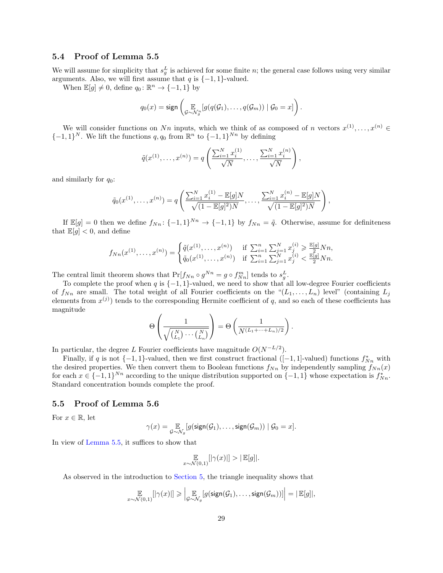### <span id="page-28-0"></span>5.4 Proof of Lemma 5.5

We will assume for simplicity that  $s_g^L$  is achieved for some finite n; the general case follows using very similar arguments. Also, we will first assume that  $q$  is  $\{-1, 1\}$ -valued.

When  $\mathbb{E}[g] \neq 0$ , define  $q_0 \colon \mathbb{R}^n \to \{-1, 1\}$  by

$$
q_0(x) = \text{sign}\left(\underset{\mathcal{G}\sim \mathcal{N}_g^n}{\mathbb{E}}[g(q(\mathcal{G}_1),\ldots,q(\mathcal{G}_m)) \mid \mathcal{G}_0 = x]\right).
$$

We will consider functions on Nn inputs, which we think of as composed of n vectors  $x^{(1)},...,x^{(n)} \in$  $\{-1,1\}^N$ . We lift the functions  $q, q_0$  from  $\mathbb{R}^n$  to  $\{-1,1\}^{Nn}$  by defining

$$
\tilde{q}(x^{(1)},...,x^{(n)}) = q\left(\frac{\sum_{i=1}^{N} x_i^{(1)}}{\sqrt{N}},..., \frac{\sum_{i=1}^{N} x_i^{(n)}}{\sqrt{N}}\right),
$$

and similarly for  $q_0$ :

$$
\tilde{q}_0(x^{(1)},\ldots,x^{(n)})=q\left(\frac{\sum_{i=1}^N x_i^{(1)} - \mathbb{E}[g]N}{\sqrt{(1-\mathbb{E}[g]^2)N}},\ldots,\frac{\sum_{i=1}^N x_i^{(n)} - \mathbb{E}[g]N}{\sqrt{(1-\mathbb{E}[g]^2)N}}\right),
$$

If  $\mathbb{E}[g] = 0$  then we define  $f_{Nn} : \{-1,1\}^{Nn} \to \{-1,1\}$  by  $f_{Nn} = \tilde{q}$ . Otherwise, assume for definiteness that  $\mathbb{E}[q] < 0$ , and define

$$
f_{Nn}(x^{(1)},...,x^{(n)}) = \begin{cases} \tilde{q}(x^{(1)},...,x^{(n)}) & \text{if } \sum_{i=1}^{n} \sum_{j=1}^{N} x_{j}^{(i)} \ge \frac{\mathbb{E}[g]}{2} N n, \\ \tilde{q}_{0}(x^{(1)},...,x^{(n)}) & \text{if } \sum_{i=1}^{n} \sum_{j=1}^{N} x_{j}^{(i)} < \frac{\mathbb{E}[g]}{2} N n. \end{cases}
$$

The central limit theorem shows that  $Pr[f_{Nn} \circ g^{Nn} = g \circ f_{Nn}^m]$  tends to  $s_g^L$ .

To complete the proof when q is  $\{-1,1\}$ -valued, we need to show that all low-degree Fourier coefficients of  $f_{Nn}$  are small. The total weight of all Fourier coefficients on the " $(L_1, \ldots, L_n)$  level" (containing  $L_j$ elements from  $x^{(j)}$  tends to the corresponding Hermite coefficient of q, and so each of these coefficients has magnitude

$$
\Theta\left(\frac{1}{\sqrt{\binom{N}{L_1}\cdots\binom{N}{L_n}}}\right) = \Theta\left(\frac{1}{N^{(L_1+\cdots+L_n)/2}}\right).
$$

In particular, the degree L Fourier coefficients have magnitude  $O(N^{-L/2})$ .

Finally, if q is not  $\{-1,1\}$ -valued, then we first construct fractional ([-1,1]-valued) functions  $f_{Nn}^*$  with the desired properties. We then convert them to Boolean functions  $f_{Nn}$  by independently sampling  $f_{Nn}(x)$ for each  $x \in \{-1,1\}^{Nn}$  according to the unique distribution supported on  $\{-1,1\}$  whose expectation is  $f_{Nn}^*$ . Standard concentration bounds complete the proof.

### <span id="page-28-1"></span>5.5 Proof of Lemma 5.6

For  $x \in \mathbb{R}$ , let

$$
\gamma(x) = \underset{\mathcal{G} \sim \mathcal{N}_{g}}{\mathbb{E}}[g(\text{sign}(\mathcal{G}_1), \dots, \text{sign}(\mathcal{G}_m)) \mid \mathcal{G}_0 = x].
$$

In view of [Lemma 5.5,](#page-20-1) it suffices to show that

$$
\mathop{\mathbb{E}}_{x \sim \mathcal{N}(0,1)}[|\gamma(x)|] > |\mathop{\mathbb{E}}[g]|.
$$

As observed in the introduction to [Section 5,](#page-19-0) the triangle inequality shows that

$$
\mathop{\mathbb{E}}_{x \sim \mathcal{N}(0,1)}[|\gamma(x)|] \geqslant \left| \mathop{\mathbb{E}}_{\mathcal{G} \sim \mathcal{N}_g}[g(\mathsf{sign}(\mathcal{G}_1),\ldots,\mathsf{sign}(\mathcal{G}_m))] \right| = |\mathop{\mathbb{E}}[g]|,
$$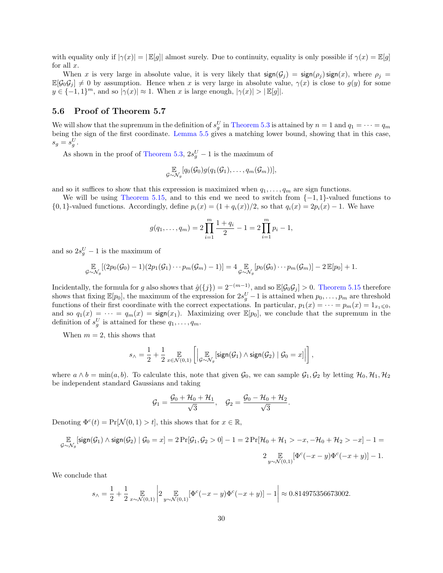with equality only if  $|\gamma(x)| = |\mathbb{E}[g]|$  almost surely. Due to continuity, equality is only possible if  $\gamma(x) = \mathbb{E}[g]$ for all  $x$ .

When x is very large in absolute value, it is very likely that  $sign(\mathcal{G}_j) = sign(\rho_j) sign(x)$ , where  $\rho_j =$  $\mathbb{E}[G_0G_j] \neq 0$  by assumption. Hence when x is very large in absolute value,  $\gamma(x)$  is close to  $g(y)$  for some  $y \in \{-1,1\}^m$ , and so  $|\gamma(x)| \approx 1$ . When x is large enough,  $|\gamma(x)| > |\mathbb{E}[g]|$ .

### <span id="page-29-0"></span>5.6 Proof of Theorem 5.7

We will show that the supremum in the definition of  $s_g^U$  in [Theorem 5.3](#page-20-0) is attained by  $n = 1$  and  $q_1 = \cdots = q_m$ being the sign of the first coordinate. [Lemma 5.5](#page-20-1) gives a matching lower bound, showing that in this case,  $s_g = s_g^U.$ 

As shown in the proof of [Theorem 5.3,](#page-20-0)  $2s_g^U - 1$  is the maximum of

$$
\mathop{\mathbb{E}}_{\mathcal{G}\sim\mathcal{N}_g}[q_0(\mathcal{G}_0)g(q_1(\mathcal{G}_1),\ldots,q_m(\mathcal{G}_m))],
$$

and so it suffices to show that this expression is maximized when  $q_1, \ldots, q_m$  are sign functions.

We will be using [Theorem 5.15,](#page-24-2) and to this end we need to switch from  $\{-1, 1\}$ -valued functions to  $\{0, 1\}$ -valued functions. Accordingly, define  $p_i(x) = (1 + q_i(x))/2$ , so that  $q_i(x) = 2p_i(x) - 1$ . We have

$$
g(q_1,\ldots,q_m) = 2\prod_{i=1}^m \frac{1+q_i}{2} - 1 = 2\prod_{i=1}^m p_i - 1,
$$

and so  $2s_g^U - 1$  is the maximum of

$$
\mathbb{E}_{\mathcal{G}\sim\mathcal{N}_g}[(2p_0(\mathcal{G}_0)-1)(2p_1(\mathcal{G}_1)\cdots p_m(\mathcal{G}_m)-1)]=4\mathbb{E}_{\mathcal{G}\sim\mathcal{N}_g}[p_0(\mathcal{G}_0)\cdots p_m(\mathcal{G}_m)]-2\mathbb{E}[p_0]+1.
$$

Incidentally, the formula for g also shows that  $\hat{g}(\{j\}) = 2^{-(m-1)}$ , and so  $\mathbb{E}[\mathcal{G}_0 \mathcal{G}_j] > 0$ . [Theorem 5.15](#page-24-2) therefore shows that fixing  $\mathbb{E}[p_0]$ , the maximum of the expression for  $2s_g^U-1$  is attained when  $p_0, \ldots, p_m$  are threshold functions of their first coordinate with the correct expectations. In particular,  $p_1(x) = \cdots = p_m(x) = 1_{x_1 \leq 0}$ , and so  $q_1(x) = \cdots = q_m(x) = \text{sign}(x_1)$ . Maximizing over  $\mathbb{E}[p_0]$ , we conclude that the supremum in the definition of  $s_g^U$  is attained for these  $q_1, \ldots, q_m$ .

When  $m = 2$ , this shows that

$$
s_{\wedge} = \frac{1}{2} + \frac{1}{2} \mathop{\mathbb{E}}_{x \in \mathcal{N}(0,1)} \left[ \left| \mathop{\mathbb{E}}_{\mathcal{G} \sim \mathcal{N}_g}[\text{sign}(\mathcal{G}_1) \wedge \text{sign}(\mathcal{G}_2) \mid \mathcal{G}_0 = x] \right| \right],
$$

where  $a \wedge b = \min(a, b)$ . To calculate this, note that given  $\mathcal{G}_0$ , we can sample  $\mathcal{G}_1, \mathcal{G}_2$  by letting  $\mathcal{H}_0, \mathcal{H}_1, \mathcal{H}_2$ be independent standard Gaussians and taking

$$
\mathcal{G}_1 = \frac{\mathcal{G}_0 + \mathcal{H}_0 + \mathcal{H}_1}{\sqrt{3}}, \quad \mathcal{G}_2 = \frac{\mathcal{G}_0 - \mathcal{H}_0 + \mathcal{H}_2}{\sqrt{3}}.
$$

Denoting  $\Phi^c(t) = \Pr[\mathcal{N}(0, 1) > t]$ , this shows that for  $x \in \mathbb{R}$ ,

$$
\mathop{\mathbb{E}}_{\mathcal{G}\sim \mathcal{N}_g}[\mathop{\mathrm{sign}}(\mathcal{G}_1)\wedge \mathop{\mathrm{sign}}(\mathcal{G}_2)\mid \mathcal{G}_0=x]=2\Pr[\mathcal{G}_1,\mathcal{G}_2>0]-1=2\Pr[\mathcal{H}_0+\mathcal{H}_1>-x,-\mathcal{H}_0+\mathcal{H}_2>-x]-1=\\ 2\mathop{\mathbb{E}}_{y\sim \mathcal{N}(0,1)}[\Phi^c(-x-y)\Phi^c(-x+y)]-1.
$$

We conclude that

$$
s_{\wedge} = \frac{1}{2} + \frac{1}{2} \mathop{\mathbb{E}}_{x \sim \mathcal{N}(0,1)} \left| 2 \mathop{\mathbb{E}}_{y \sim \mathcal{N}(0,1)} [\Phi^c(-x-y)\Phi^c(-x+y)] - 1 \right| \approx 0.814975356673002.
$$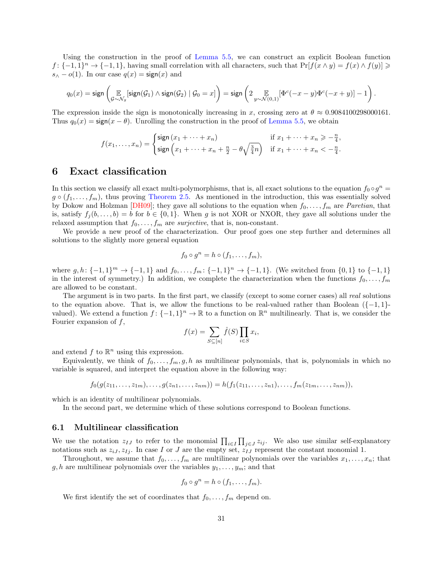Using the construction in the proof of [Lemma 5.5,](#page-20-1) we can construct an explicit Boolean function  $f: \{-1,1\}^n \to \{-1,1\}$ , having small correlation with all characters, such that  $\Pr[f(x \wedge y) = f(x) \wedge f(y)] \ge$  $s_\wedge - o(1)$ . In our case  $q(x) = \text{sign}(x)$  and

$$
q_0(x) = \text{sign}\left(\mathop{\mathbb{E}}_{\mathcal{G}\sim \mathcal{N}_g}[\text{sign}(\mathcal{G}_1) \wedge \text{sign}(\mathcal{G}_2) \mid \mathcal{G}_0 = x]\right) = \text{sign}\left(2\mathop{\mathbb{E}}_{y\sim \mathcal{N}(0,1)}[\Phi^c(-x-y)\Phi^c(-x+y)] - 1\right).
$$

The expression inside the sign is monotonically increasing in x, crossing zero at  $\theta \approx 0.9084100298000161$ . Thus  $q_0(x) = \text{sign}(x - \theta)$ . Unrolling the construction in the proof of [Lemma 5.5,](#page-20-1) we obtain

<span id="page-30-2"></span>
$$
f(x_1,\ldots,x_n) = \begin{cases} \text{sign}\left(x_1 + \cdots + x_n\right) & \text{if } x_1 + \cdots + x_n \geq -\frac{n}{4}, \\ \text{sign}\left(x_1 + \cdots + x_n + \frac{n}{2} - \theta \sqrt{\frac{3}{4}n}\right) & \text{if } x_1 + \cdots + x_n < -\frac{n}{4}. \end{cases}
$$

## <span id="page-30-0"></span>6 Exact classification

In this section we classify all exact multi-polymorphisms, that is, all exact solutions to the equation  $f_0 \circ g^n =$  $g \circ (f_1, \ldots, f_m)$ , thus proving [Theorem 2.5.](#page-9-0) As mentioned in the introduction, this was essentially solved by Dokow and Holzman [\[DH09\]](#page-37-5); they gave all solutions to the equation when  $f_0, \ldots, f_m$  are Paretian, that is, satisfy  $f_j(b, \ldots, b) = b$  for  $b \in \{0, 1\}$ . When g is not XOR or NXOR, they gave all solutions under the relaxed assumption that  $f_0, \ldots, f_m$  are *surjective*, that is, non-constant.

We provide a new proof of the characterization. Our proof goes one step further and determines all solutions to the slightly more general equation

$$
f_0 \circ g^n = h \circ (f_1, \ldots, f_m),
$$

where  $g, h: \{-1, 1\}^m \to \{-1, 1\}$  and  $f_0, \ldots, f_m: \{-1, 1\}^n \to \{-1, 1\}$ . (We switched from  $\{0, 1\}$  to  $\{-1, 1\}$ in the interest of symmetry.) In addition, we complete the characterization when the functions  $f_0, \ldots, f_m$ are allowed to be constant.

The argument is in two parts. In the first part, we classify (except to some corner cases) all real solutions to the equation above. That is, we allow the functions to be real-valued rather than Boolean  $\{-1,1\}$ valued). We extend a function  $f: \{-1,1\}^n \to \mathbb{R}$  to a function on  $\mathbb{R}^n$  multilinearly. That is, we consider the Fourier expansion of  $f$ ,

$$
f(x) = \sum_{S \subseteq [n]} \hat{f}(S) \prod_{i \in S} x_i,
$$

and extend  $f$  to  $\mathbb{R}^n$  using this expression.

Equivalently, we think of  $f_0, \ldots, f_m, g, h$  as multilinear polynomials, that is, polynomials in which no variable is squared, and interpret the equation above in the following way:

$$
f_0(g(z_{11},...,z_{1m}),...,g(z_{n1},...,z_{nm}))=h(f_1(z_{11},...,z_{n1}),...,f_m(z_{1m},...,z_{nm})),
$$

which is an identity of multilinear polynomials.

In the second part, we determine which of these solutions correspond to Boolean functions.

#### 6.1 Multilinear classification

We use the notation  $z_{IJ}$  to refer to the monomial  $\prod_{i\in I}\prod_{j\in J}z_{ij}$ . We also use similar self-explanatory notations such as  $z_{iJ}, z_{Ij}$ . In case I or J are the empty set,  $z_{IJ}$  represent the constant monomial 1.

Throughout, we assume that  $f_0, \ldots, f_m$  are multilinear polynomials over the variables  $x_1, \ldots, x_n$ ; that  $g, h$  are multilinear polynomials over the variables  $y_1, \ldots, y_m$ ; and that

$$
f_0 \circ g^n = h \circ (f_1, \dots, f_m).
$$

<span id="page-30-1"></span>We first identify the set of coordinates that  $f_0, \ldots, f_m$  depend on.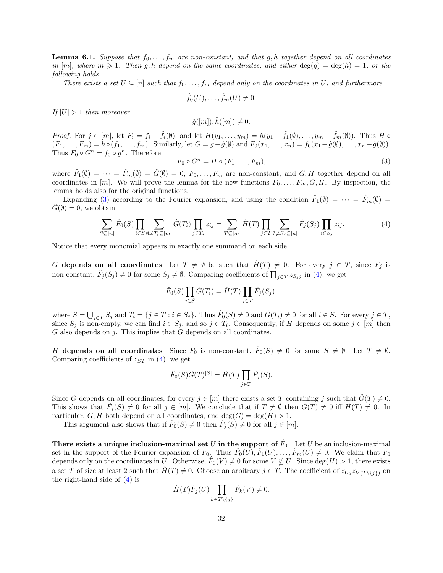**Lemma 6.1.** Suppose that  $f_0, \ldots, f_m$  are non-constant, and that g, h together depend on all coordinates in  $[m]$ , where  $m \geqslant 1$ . Then g, h depend on the same coordinates, and either  $\deg(g) = \deg(h) = 1$ , or the following holds.

There exists a set  $U \subseteq [n]$  such that  $f_0, \ldots, f_m$  depend only on the coordinates in U, and furthermore

$$
\hat{f}_0(U),\ldots,\hat{f}_m(U)\neq 0.
$$

If  $|U| > 1$  then moreover

$$
\hat{g}([m]), \hat{h}([m]) \neq 0.
$$

*Proof.* For  $j \in [m]$ , let  $F_i = f_i - \hat{f}_i(\emptyset)$ , and let  $H(y_1, \ldots, y_m) = h(y_1 + \hat{f}_1(\emptyset), \ldots, y_m + \hat{f}_m(\emptyset))$ . Thus H  $\circ$  $(F_1, \ldots, F_m) = h \circ (f_1, \ldots, f_m)$ . Similarly, let  $G = g - \hat{g}(\emptyset)$  and  $F_0(x_1, \ldots, x_n) = f_0(x_1 + \hat{g}(\emptyset), \ldots, x_n + \hat{g}(\emptyset))$ . Thus  $F_0 \circ G^n = f_0 \circ g^n$ . Therefore

<span id="page-31-0"></span>
$$
F_0 \circ G^n = H \circ (F_1, \dots, F_m), \tag{3}
$$

where  $\hat{F}_1(\emptyset) = \cdots = \hat{F}_m(\emptyset) = \hat{G}(\emptyset) = 0; F_0, \ldots, F_m$  are non-constant; and  $G, H$  together depend on all coordinates in [m]. We will prove the lemma for the new functions  $F_0, \ldots, F_m, G, H$ . By inspection, the lemma holds also for the original functions.

Expanding [\(3\)](#page-31-0) according to the Fourier expansion, and using the condition  $\hat{F}_1(\emptyset) = \cdots = \hat{F}_m(\emptyset) =$  $\tilde{G}(\emptyset) = 0$ , we obtain

<span id="page-31-1"></span>
$$
\sum_{S \subseteq [n]} \hat{F}_0(S) \prod_{i \in S} \sum_{\emptyset \neq T_i \subseteq [m]} \hat{G}(T_i) \prod_{j \in T_i} z_{ij} = \sum_{T \subseteq [m]} \hat{H}(T) \prod_{j \in T} \sum_{\emptyset \neq S_j \subseteq [n]} \hat{F}_j(S_j) \prod_{i \in S_j} z_{ij}.
$$
\n
$$
(4)
$$

Notice that every monomial appears in exactly one summand on each side.

G depends on all coordinates Let  $T \neq \emptyset$  be such that  $\hat{H}(T) \neq 0$ . For every  $j \in T$ , since  $F_j$  is non-constant,  $\hat{F}_j(S_j) \neq 0$  for some  $S_j \neq \emptyset$ . Comparing coefficients of  $\prod_{j\in T} z_{S_j j}$  in [\(4\)](#page-31-1), we get

$$
\hat{F}_0(S) \prod_{i \in S} \hat{G}(T_i) = \hat{H}(T) \prod_{j \in T} \hat{F}_j(S_j),
$$

where  $S = \bigcup_{j \in T} S_j$  and  $T_i = \{j \in T : i \in S_j\}$ . Thus  $\hat{F}_0(S) \neq 0$  and  $\hat{G}(T_i) \neq 0$  for all  $i \in S$ . For every  $j \in T$ , since  $S_j$  is non-empty, we can find  $i \in S_j$ , and so  $j \in T_i$ . Consequently, if H depends on some  $j \in [m]$  then  $G$  also depends on  $i$ . This implies that  $G$  depends on all coordinates.

H depends on all coordinates Since  $F_0$  is non-constant,  $\hat{F}_0(S) \neq 0$  for some  $S \neq \emptyset$ . Let  $T \neq \emptyset$ . Comparing coefficients of  $z_{ST}$  in [\(4\)](#page-31-1), we get

$$
\hat{F}_0(S)\hat{G}(T)^{|S|} = \hat{H}(T) \prod_{j \in T} \hat{F}_j(S).
$$

Since G depends on all coordinates, for every  $j \in [m]$  there exists a set T containing j such that  $\hat{G}(T) \neq 0$ . This shows that  $\hat{F}_j(S) \neq 0$  for all  $j \in [m]$ . We conclude that if  $T \neq \emptyset$  then  $\hat{G}(T) \neq 0$  iff  $\hat{H}(T) \neq 0$ . In particular, G, H both depend on all coordinates, and  $deg(G) = deg(H) > 1$ .

This argument also shows that if  $\hat{F}_0(S) \neq 0$  then  $\hat{F}_j(S) \neq 0$  for all  $j \in [m]$ .

There exists a unique inclusion-maximal set  $U$  in the support of  $\hat{F}_0$  Let  $U$  be an inclusion-maximal set in the support of the Fourier expansion of  $F_0$ . Thus  $\hat{F}_0(\hat{U}), \hat{F}_1(U), \ldots, \hat{F}_m(U) \neq 0$ . We claim that  $F_0$ depends only on the coordinates in U. Otherwise,  $\hat{F}_0(V) \neq 0$  for some  $V \nsubseteq U$ . Since  $\deg(H) > 1$ , there exists a set T of size at least 2 such that  $\hat{H}(T) \neq 0$ . Choose an arbitrary  $j \in T$ . The coefficient of  $z_{Uj} z_{V(T\setminus\{j\})}$  on the right-hand side of [\(4\)](#page-31-1) is

$$
\hat{H}(T)\hat{F}_j(U)\prod_{k\in T\backslash\{j\}}\hat{F}_k(V)\neq 0.
$$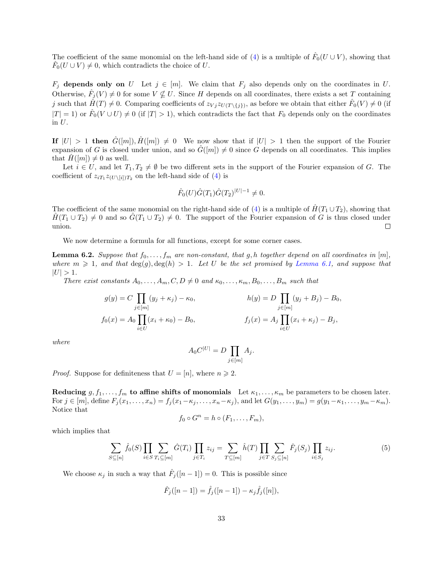The coefficient of the same monomial on the left-hand side of [\(4\)](#page-31-1) is a multiple of  $\hat{F}_0(U\cup V)$ , showing that  $\hat{F}_0(U \cup V) \neq 0$ , which contradicts the choice of U.

 $F_j$  depends only on U Let  $j \in [m]$ . We claim that  $F_j$  also depends only on the coordinates in U. Otherwise,  $\hat{F}_j(V) \neq 0$  for some  $V \nsubseteq U$ . Since H depends on all coordinates, there exists a set T containing j such that  $\hat{H}(T) \neq 0$ . Comparing coefficients of  $z_{Vj} z_{U(T\setminus\{j\})}$ , as before we obtain that either  $\hat{F}_0(V) \neq 0$  (if  $|T| = 1$ ) or  $\hat{F}_0(V \cup U) \neq 0$  (if  $|T| > 1$ ), which contradicts the fact that  $F_0$  depends only on the coordinates in U.

If  $|U| > 1$  then  $G([m]), H([m]) \neq 0$  We now show that if  $|U| > 1$  then the support of the Fourier expansion of G is closed under union, and so  $\widehat{G}([m]) \neq 0$  since G depends on all coordinates. This implies that  $\hat{H}([m]) \neq 0$  as well.

Let  $i \in U$ , and let  $T_1, T_2 \neq \emptyset$  be two different sets in the support of the Fourier expansion of G. The coefficient of  $z_{iT_1}z_{(U\setminus[i])T_2}$  on the left-hand side of [\(4\)](#page-31-1) is

$$
\hat{F}_0(U)\hat{G}(T_1)\hat{G}(T_2)^{|U|-1} \neq 0.
$$

The coefficient of the same monomial on the right-hand side of [\(4\)](#page-31-1) is a multiple of  $\hat{H}(T_1 \cup T_2)$ , showing that  $H(T_1 \cup T_2) \neq 0$  and so  $G(T_1 \cup T_2) \neq 0$ . The support of the Fourier expansion of G is thus closed under union.  $\Box$ 

We now determine a formula for all functions, except for some corner cases.

<span id="page-32-1"></span>**Lemma 6.2.** Suppose that  $f_0, \ldots, f_m$  are non-constant, that g, h together depend on all coordinates in [m], where  $m \geq 1$ , and that  $\deg(g)$ ,  $\deg(h) > 1$ . Let U be the set promised by [Lemma 6.1,](#page-30-1) and suppose that  $|U| > 1.$ 

There exist constants  $A_0, \ldots, A_m, C, D \neq 0$  and  $\kappa_0, \ldots, \kappa_m, B_0, \ldots, B_m$  such that

$$
g(y) = C \prod_{j \in [m]} (y_j + \kappa_j) - \kappa_0, \qquad h(y) = D \prod_{j \in [m]} (y_j + B_j) - B_0,
$$
  

$$
f_0(x) = A_0 \prod_{i \in U} (x_i + \kappa_0) - B_0, \qquad f_j(x) = A_j \prod_{i \in U} (x_i + \kappa_j) - B_j,
$$

where

$$
A_0 C^{|U|} = D \prod_{j \in [m]} A_j.
$$

*Proof.* Suppose for definiteness that  $U = [n]$ , where  $n \ge 2$ .

Reducing  $g, f_1, \ldots, f_m$  to affine shifts of monomials Let  $\kappa_1, \ldots, \kappa_m$  be parameters to be chosen later. For  $j \in [m]$ , define  $F_j(x_1, \ldots, x_n) = f_j(x_1-\kappa_j, \ldots, x_n-\kappa_j)$ , and let  $G(y_1, \ldots, y_m) = g(y_1-\kappa_1, \ldots, y_m-\kappa_m)$ . Notice that

$$
f_0 \circ G^n = h \circ (F_1, \dots, F_m),
$$

which implies that

<span id="page-32-0"></span>
$$
\sum_{S \subseteq [n]} \hat{f}_0(S) \prod_{i \in S} \sum_{T_i \subseteq [m]} \hat{G}(T_i) \prod_{j \in T_i} z_{ij} = \sum_{T \subseteq [m]} \hat{h}(T) \prod_{j \in T} \sum_{S_j \subseteq [n]} \hat{F}_j(S_j) \prod_{i \in S_j} z_{ij}.
$$
 (5)

We choose  $\kappa_j$  in such a way that  $\hat{F}_j([n-1]) = 0$ . This is possible since

$$
\hat{F}_j([n-1]) = \hat{f}_j([n-1]) - \kappa_j \hat{f}_j([n]),
$$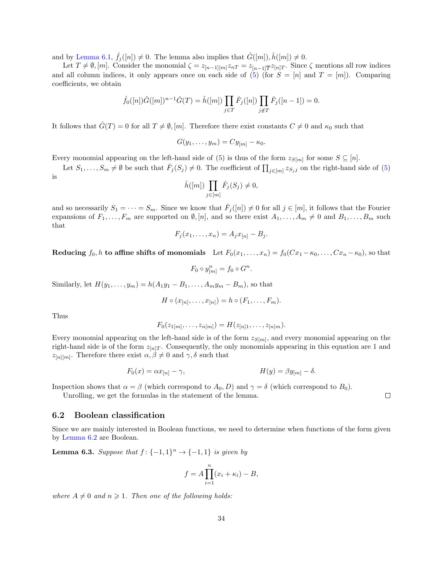and by [Lemma 6.1,](#page-30-1)  $\hat{f}_j([n]) \neq 0$ . The lemma also implies that  $\hat{G}([m])$ ,  $\hat{h}([m]) \neq 0$ .

Let  $T \neq \emptyset$ , [m]. Consider the monomial  $\zeta = z_{[n-1][m]}z_{nT} = z_{[n-1]\overline{T}}z_{[n]T}$ . Since  $\zeta$  mentions all row indices and all column indices, it only appears once on each side of [\(5\)](#page-32-0) (for  $S = [n]$  and  $T = [m]$ ). Comparing coefficients, we obtain

$$
\hat{f}_0([n])\hat{G}([m])^{n-1}\hat{G}(T) = \hat{h}([m]) \prod_{j \in T} \hat{F}_j([n]) \prod_{j \notin T} \hat{F}_j([n-1]) = 0.
$$

It follows that  $\hat{G}(T) = 0$  for all  $T \neq \emptyset$ , [m]. Therefore there exist constants  $C \neq 0$  and  $\kappa_0$  such that

$$
G(y_1,\ldots,y_m)=Cy_{[m]}-\kappa_0.
$$

Every monomial appearing on the left-hand side of [\(5\)](#page-32-0) is thus of the form  $z_{S[m]}$  for some  $S \subseteq [n]$ .

Let  $S_1,\ldots,S_m\neq\emptyset$  be such that  $\hat{F}_j(S_j)\neq 0$ . The coefficient of  $\prod_{j\in [m]}z_{S_j j}$  on the right-hand side of [\(5\)](#page-32-0) is

$$
\hat{h}([m]) \prod_{j \in [m]} \hat{F}_j(S_j) \neq 0,
$$

and so necessarily  $S_1 = \cdots = S_m$ . Since we know that  $\hat{F}_j([n]) \neq 0$  for all  $j \in [m]$ , it follows that the Fourier expansions of  $F_1, \ldots, F_m$  are supported on  $\emptyset$ ,  $[n]$ , and so there exist  $A_1, \ldots, A_m \neq 0$  and  $B_1, \ldots, B_m$  such that

$$
F_j(x_1,\ldots,x_n)=A_jx_{[n]}-B_j.
$$

Reducing  $f_0, h$  to affine shifts of monomials Let  $F_0(x_1, \ldots, x_n) = f_0(Cx_1 - \kappa_0, \ldots, Cx_n - \kappa_0)$ , so that

$$
F_0 \circ y_{[m]}^n = f_0 \circ G^n.
$$

Similarly, let  $H(y_1, ..., y_m) = h(A_1y_1 - B_1, ..., A_my_m - B_m)$ , so that

$$
H \circ (x_{[n]}, \ldots, x_{[n]}) = h \circ (F_1, \ldots, F_m).
$$

Thus

$$
F_0(z_{1[m]},\ldots,z_{n[m]}) = H(z_{[n]1},\ldots,z_{[n]m}).
$$

Every monomial appearing on the left-hand side is of the form  $z_{S[m]}$ , and every monomial appearing on the right-hand side is of the form  $z_{n,T}$ . Consequently, the only monomials appearing in this equation are 1 and  $z_{[n][m]}$ . Therefore there exist  $\alpha, \beta \neq 0$  and  $\gamma, \delta$  such that

$$
F_0(x) = \alpha x_{[n]} - \gamma,
$$
  
\n
$$
H(y) = \beta y_{[m]} - \delta.
$$

Inspection shows that  $\alpha = \beta$  (which correspond to  $A_0$ , D) and  $\gamma = \delta$  (which correspond to  $B_0$ ).

Unrolling, we get the formulas in the statement of the lemma.

### 6.2 Boolean classification

Since we are mainly interested in Boolean functions, we need to determine when functions of the form given by [Lemma 6.2](#page-32-1) are Boolean.

<span id="page-33-0"></span>**Lemma 6.3.** Suppose that  $f: \{-1,1\}^n \rightarrow \{-1,1\}$  is given by

$$
f = A \prod_{i=1}^{n} (x_i + \kappa_i) - B,
$$

where  $A \neq 0$  and  $n \geq 1$ . Then one of the following holds: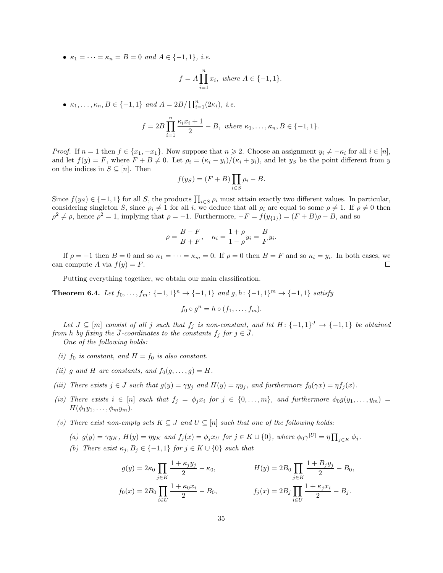•  $\kappa_1 = \cdots = \kappa_n = B = 0$  and  $A \in \{-1, 1\}$ , i.e.

$$
f = A \prod_{i=1}^{n} x_i, \text{ where } A \in \{-1, 1\}.
$$

•  $\kappa_1, ..., \kappa_n, B \in \{-1, 1\}$  and  $A = 2B / \prod_{i=1}^n (2\kappa_i)$ , i.e.

$$
f = 2B \prod_{i=1}^{n} \frac{\kappa_i x_i + 1}{2} - B
$$
, where  $\kappa_1, ..., \kappa_n, B \in \{-1, 1\}$ .

*Proof.* If  $n = 1$  then  $f \in \{x_1, -x_1\}$ . Now suppose that  $n \ge 2$ . Choose an assignment  $y_i \ne -\kappa_i$  for all  $i \in [n]$ , and let  $f(y) = F$ , where  $F + B \neq 0$ . Let  $\rho_i = (\kappa_i - y_i)/(\kappa_i + y_i)$ , and let  $y_S$  be the point different from y on the indices in  $S \subseteq [n]$ . Then

$$
f(y_S) = (F + B) \prod_{i \in S} \rho_i - B.
$$

Since  $f(y_S) \in \{-1, 1\}$  for all S, the products  $\prod_{i \in S} \rho_i$  must attain exactly two different values. In particular, considering singleton S, since  $\rho_i \neq 1$  for all i, we deduce that all  $\rho_i$  are equal to some  $\rho \neq 1$ . If  $\rho \neq 0$  then  $\rho^2 \neq \rho$ , hence  $\rho^2 = 1$ , implying that  $\rho = -1$ . Furthermore,  $-F = f(y_{\{1\}}) = (F + B)\rho - B$ , and so

$$
\rho = \frac{B - F}{B + F}, \quad \kappa_i = \frac{1 + \rho}{1 - \rho} y_i = \frac{B}{F} y_i.
$$

If  $\rho = -1$  then  $B = 0$  and so  $\kappa_1 = \cdots = \kappa_m = 0$ . If  $\rho = 0$  then  $B = F$  and so  $\kappa_i = y_i$ . In both cases, we can compute A via  $f(y) = F$ .  $\Box$ 

Putting everything together, we obtain our main classification.

<span id="page-34-7"></span>Theorem 6.4. Let  $f_0, \ldots, f_m: \{-1,1\}^n \to \{-1,1\}$  and  $g, h: \{-1,1\}^m \to \{-1,1\}$  satisfy

$$
f_0 \circ g^n = h \circ (f_1, \dots, f_m).
$$

Let  $J \subseteq [m]$  consist of all j such that  $f_j$  is non-constant, and let  $H: \{-1,1\}^J \to \{-1,1\}$  be obtained from h by fixing the J-coordinates to the constants  $f_j$  for  $j \in J$ .

One of the following holds:

- <span id="page-34-0"></span>(i)  $f_0$  is constant, and  $H = f_0$  is also constant.
- <span id="page-34-1"></span>(ii) g and H are constants, and  $f_0(g, \ldots, g) = H$ .
- <span id="page-34-2"></span>(iii) There exists  $j \in J$  such that  $g(y) = \gamma y_j$  and  $H(y) = \eta y_j$ , and furthermore  $f_0(\gamma x) = \eta f_j(x)$ .
- <span id="page-34-3"></span>(iv) There exists  $i \in [n]$  such that  $f_j = \phi_j x_i$  for  $j \in \{0, \ldots, m\}$ , and furthermore  $\phi_0 g(y_1, \ldots, y_m)$  $H(\phi_1y_1,\ldots,\phi_my_m).$
- <span id="page-34-6"></span><span id="page-34-5"></span><span id="page-34-4"></span>(v) There exist non-empty sets  $K \subseteq J$  and  $U \subseteq [n]$  such that one of the following holds:
	- (a)  $g(y) = \gamma y_K$ ,  $H(y) = \eta y_K$  and  $f_j(x) = \phi_j x_U$  for  $j \in K \cup \{0\}$ , where  $\phi_0 \gamma^{|U|} = \eta \prod_{j \in K} \phi_j$ .
	- (b) There exist  $\kappa_j, B_j \in \{-1,1\}$  for  $j \in K \cup \{0\}$  such that

$$
g(y) = 2\kappa_0 \prod_{j \in K} \frac{1 + \kappa_j y_j}{2} - \kappa_0, \qquad H(y) = 2B_0 \prod_{j \in K} \frac{1 + B_j y_j}{2} - B_0,
$$
  

$$
f_0(x) = 2B_0 \prod_{i \in U} \frac{1 + \kappa_0 x_i}{2} - B_0, \qquad f_j(x) = 2B_j \prod_{i \in U} \frac{1 + \kappa_j x_i}{2} - B_j.
$$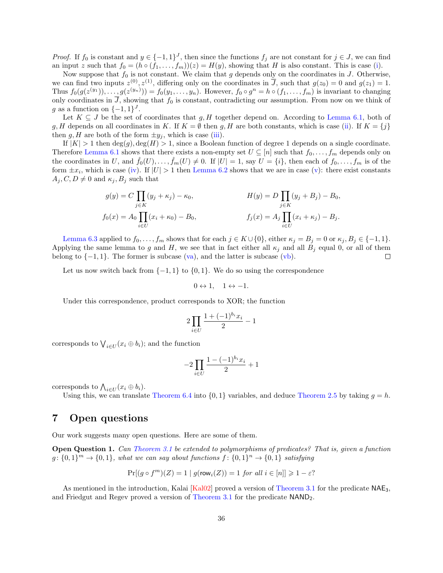*Proof.* If  $f_0$  is constant and  $y \in \{-1,1\}^J$ , then since the functions  $f_j$  are not constant for  $j \in J$ , we can find an input z such that  $f_0 = (h \circ (f_1, \ldots, f_m))(z) = H(y)$ , showing that H is also constant. This is case [\(i\)](#page-34-0).

Now suppose that  $f_0$  is not constant. We claim that g depends only on the coordinates in J. Otherwise, we can find two inputs  $z^{(0)}, z^{(1)}$ , differing only on the coordinates in  $\overline{J}$ , such that  $g(z_0) = 0$  and  $g(z_1) = 1$ . Thus  $f_0(g(z^{(y_1)}), \ldots, g(z^{(y_n)})) = f_0(y_1, \ldots, y_n)$ . However,  $f_0 \circ g^n = h \circ (f_1, \ldots, f_m)$  is invariant to changing only coordinates in  $\overline{J}$ , showing that  $f_0$  is constant, contradicting our assumption. From now on we think of g as a function on  $\{-1,1\}^J$ .

Let  $K \subseteq J$  be the set of coordinates that g, H together depend on. According to [Lemma 6.1,](#page-30-1) both of g, H depends on all coordinates in K. If  $K = \emptyset$  then g, H are both constants, which is case [\(ii\)](#page-34-1). If  $K = \{j\}$ then  $g, H$  are both of the form  $\pm y_j$ , which is case [\(iii\)](#page-34-2).

If  $|K| > 1$  then  $deg(g), deg(H) > 1$ , since a Boolean function of degree 1 depends on a single coordinate. Therefore [Lemma 6.1](#page-30-1) shows that there exists a non-empty set  $U \subseteq [n]$  such that  $f_0, \ldots, f_m$  depends only on the coordinates in U, and  $\hat{f}_0(U), \ldots, \hat{f}_m(U) \neq 0$ . If  $|U| = 1$ , say  $U = \{i\}$ , then each of  $f_0, \ldots, f_m$  is of the form  $\pm x_i$ , which is case [\(iv\)](#page-34-3). If  $|U| > 1$  then [Lemma 6.2](#page-32-1) shows that we are in case [\(v\)](#page-34-4): there exist constants  $A_j, C, D \neq 0$  and  $\kappa_j, B_j$  such that

$$
g(y) = C \prod_{j \in K} (y_j + \kappa_j) - \kappa_0,
$$
  
\n
$$
f_0(x) = A_0 \prod_{i \in U} (x_i + \kappa_0) - B_0,
$$
  
\n
$$
f_j(x) = A_j \prod_{i \in U} (x_i + \kappa_j) - B_j.
$$

[Lemma 6.3](#page-33-0) applied to  $f_0, \ldots, f_m$  shows that for each  $j \in K \cup \{0\}$ , either  $\kappa_j = B_j = 0$  or  $\kappa_j, B_j \in \{-1, 1\}$ . Applying the same lemma to g and H, we see that in fact either all  $\kappa_j$  and all  $B_j$  equal 0, or all of them belong to  $\{-1, 1\}$ . The former is subcase  $(\overline{\mathbf{va}})$ , and the latter is subcase  $(\mathbf{vb})$ .  $\Box$ 

Let us now switch back from  $\{-1,1\}$  to  $\{0,1\}$ . We do so using the correspondence

$$
0 \leftrightarrow 1, \quad 1 \leftrightarrow -1.
$$

Under this correspondence, product corresponds to XOR; the function

$$
2\prod_{i\in U}\frac{1+(-1)^{b_i}x_i}{2}-1
$$

corresponds to  $\bigvee_{i\in U}(x_i\oplus b_i)$ ; and the function

$$
-2\prod_{i\in U}\frac{1-(-1)^{b_i}x_i}{2}+1
$$

corresponds to  $\bigwedge_{i\in U}(x_i\oplus b_i)$ .

Using this, we can translate [Theorem 6.4](#page-34-7) into  $\{0,1\}$  variables, and deduce [Theorem 2.5](#page-9-0) by taking  $q = h$ .

## <span id="page-35-0"></span>7 Open questions

Our work suggests many open questions. Here are some of them.

Open Question 1. Can [Theorem 3.1](#page-11-2) be extended to polymorphisms of predicates? That is, given a function  $g: \{0,1\}^m \to \{0,1\}$ , what we can say about functions  $f: \{0,1\}^n \to \{0,1\}$  satisfying

<span id="page-35-1"></span>
$$
\Pr[(g \circ f^m)(Z) = 1 \mid g(\text{row}_i(Z)) = 1 \text{ for all } i \in [n]] \geq 1 - \varepsilon?
$$

As mentioned in the introduction, Kalai [\[Kal02\]](#page-37-7) proved a version of [Theorem 3.1](#page-11-2) for the predicate NAE3, and Friedgut and Regev proved a version of [Theorem 3.1](#page-11-2) for the predicate NAND2.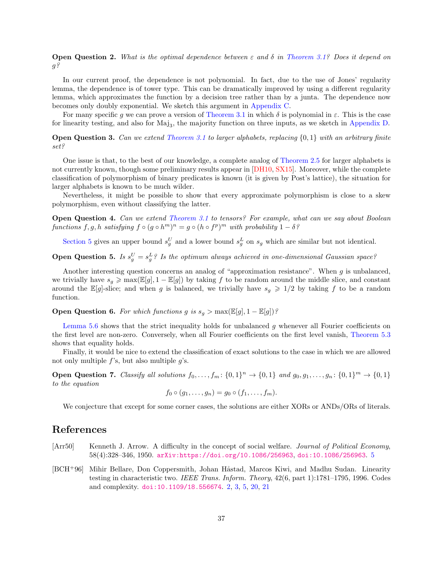**Open Question 2.** What is the optimal dependence between  $\varepsilon$  and  $\delta$  in [Theorem 3.1?](#page-11-2) Does it depend on  $g$ ?

In our current proof, the dependence is not polynomial. In fact, due to the use of Jones' regularity lemma, the dependence is of tower type. This can be dramatically improved by using a different regularity lemma, which approximates the function by a decision tree rather than by a junta. The dependence now becomes only doubly exponential. We sketch this argument in [Appendix C.](#page-43-0)

For many specific g we can prove a version of [Theorem 3.1](#page-11-2) in which  $\delta$  is polynomial in  $\varepsilon$ . This is the case for linearity testing, and also for  $Maj<sub>3</sub>$ , the majority function on three inputs, as we sketch in [Appendix D.](#page-43-1)

**Open Question 3.** Can we extend [Theorem 3.1](#page-11-2) to larger alphabets, replacing  $\{0,1\}$  with an arbitrary finite set?

<span id="page-36-2"></span>One issue is that, to the best of our knowledge, a complete analog of [Theorem 2.5](#page-9-0) for larger alphabets is not currently known, though some preliminary results appear in [\[DH10,](#page-37-16) [SX15\]](#page-38-4). Moreover, while the complete classification of polymorphism of binary predicates is known (it is given by Post's lattice), the situation for larger alphabets is known to be much wilder.

Nevertheless, it might be possible to show that every approximate polymorphism is close to a skew polymorphism, even without classifying the latter.

Open Question 4. Can we extend [Theorem 3.1](#page-11-2) to tensors? For example, what can we say about Boolean functions  $f, g, h$  satisfying  $f \circ (g \circ h^m)^n = g \circ (h \circ f^p)^m$  with probability  $1 - \delta^g$ 

[Section 5](#page-19-0) gives an upper bound  $s_g^U$  and a lower bound  $s_g^L$  on  $s_g$  which are similar but not identical.

**Open Question 5.** Is  $s_g^U = s_g^L$ ? Is the optimum always achieved in one-dimensional Gaussian space?

Another interesting question concerns an analog of "approximation resistance". When  $g$  is unbalanced, we trivially have  $s_q \geq \max(\mathbb{E}[g], 1-\mathbb{E}[g])$  by taking f to be random around the middle slice, and constant around the E[g]-slice; and when g is balanced, we trivially have  $s_g \geq 1/2$  by taking f to be a random function.

**Open Question 6.** For which functions g is  $s_g > \max(\mathbb{E}[g], 1 - \mathbb{E}[g])$ ?

[Lemma 5.6](#page-21-1) shows that the strict inequality holds for unbalanced  $g$  whenever all Fourier coefficients on the first level are non-zero. Conversely, when all Fourier coefficients on the first level vanish, [Theorem 5.3](#page-20-0) shows that equality holds.

Finally, it would be nice to extend the classification of exact solutions to the case in which we are allowed not only multiple  $f$ 's, but also multiple  $q$ 's.

**Open Question 7.** Classify all solutions  $f_0, \ldots, f_m: \{0,1\}^n \to \{0,1\}$  and  $g_0, g_1, \ldots, g_n: \{0,1\}^m \to \{0,1\}$ to the equation

$$
f_0\circ (g_1,\ldots,g_n)=g_0\circ (f_1,\ldots,f_m).
$$

We conjecture that except for some corner cases, the solutions are either XORs or ANDs/ORs of literals.

## References

- <span id="page-36-1"></span>[Arr50] Kenneth J. Arrow. A difficulty in the concept of social welfare. Journal of Political Economy, 58(4):328–346, 1950. [arXiv:https://doi.org/10.1086/256963](http://arxiv.org/abs/https://doi.org/10.1086/256963), [doi:10.1086/256963](https://doi.org/10.1086/256963). [5](#page-4-1)
- <span id="page-36-0"></span>[BCH<sup>+</sup>96] Mihir Bellare, Don Coppersmith, Johan Håstad, Marcos Kiwi, and Madhu Sudan. Linearity testing in characteristic two. IEEE Trans. Inform. Theory, 42(6, part 1):1781–1795, 1996. Codes and complexity. [doi:10.1109/18.556674](https://doi.org/10.1109/18.556674). [2,](#page-1-1) [3,](#page-2-1) [5,](#page-4-2) [20,](#page-19-1) [21](#page-20-3)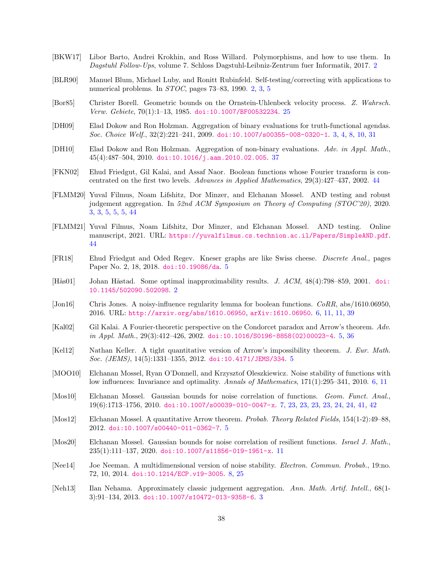- <span id="page-37-0"></span>[BKW17] Libor Barto, Andrei Krokhin, and Ross Willard. Polymorphisms, and how to use them. In Dagstuhl Follow-Ups, volume 7. Schloss Dagstuhl-Leibniz-Zentrum fuer Informatik, 2017. [2](#page-1-2)
- <span id="page-37-1"></span>[BLR90] Manuel Blum, Michael Luby, and Ronitt Rubinfeld. Self-testing/correcting with applications to numerical problems. In STOC, pages 73–83, 1990. [2,](#page-1-1) [3,](#page-2-1) [5](#page-4-2)
- <span id="page-37-15"></span>[Bor85] Christer Borell. Geometric bounds on the Ornstein-Uhlenbeck velocity process. Z. Wahrsch. Verw. Gebiete, 70(1):1–13, 1985. [doi:10.1007/BF00532234](https://doi.org/10.1007/BF00532234). [25](#page-24-3)
- <span id="page-37-5"></span>[DH09] Elad Dokow and Ron Holzman. Aggregation of binary evaluations for truth-functional agendas. Soc. Choice Welf., 32(2):221–241, 2009. [doi:10.1007/s00355-008-0320-1](https://doi.org/10.1007/s00355-008-0320-1). [3,](#page-2-2) [4,](#page-3-2) [8,](#page-7-1) [10,](#page-9-1) [31](#page-30-2)
- <span id="page-37-16"></span>[DH10] Elad Dokow and Ron Holzman. Aggregation of non-binary evaluations. Adv. in Appl. Math., 45(4):487–504, 2010. [doi:10.1016/j.aam.2010.02.005](https://doi.org/10.1016/j.aam.2010.02.005). [37](#page-36-2)
- <span id="page-37-18"></span>[FKN02] Ehud Friedgut, Gil Kalai, and Assaf Naor. Boolean functions whose Fourier transform is concentrated on the first two levels. Advances in Applied Mathematics, 29(3):427–437, 2002. [44](#page-43-2)
- <span id="page-37-4"></span>[FLMM20] Yuval Filmus, Noam Lifshitz, Dor Minzer, and Elchanan Mossel. AND testing and robust judgement aggregation. In 52nd ACM Symposium on Theory of Computing (STOC'20), 2020. [3,](#page-2-3) [3,](#page-2-4) [5,](#page-4-3) [5,](#page-4-4) [5,](#page-4-5) [44](#page-43-3)
- <span id="page-37-17"></span>[FLMM21] Yuval Filmus, Noam Lifshitz, Dor Minzer, and Elchanan Mossel. AND testing. Online manuscript, 2021. URL: <https://yuvalfilmus.cs.technion.ac.il/Papers/SimpleAND.pdf>. [44](#page-43-4)
- <span id="page-37-9"></span>[FR18] Ehud Friedgut and Oded Regev. Kneser graphs are like Swiss cheese. Discrete Anal., pages Paper No. 2, 18, 2018. [doi:10.19086/da](https://doi.org/10.19086/da). [5](#page-4-6)
- <span id="page-37-2"></span>[Hås01] Johan Håstad. Some optimal inapproximability results. *J. ACM*, 48(4):798–859, 2001. [doi:](https://doi.org/10.1145/502090.502098) [10.1145/502090.502098](https://doi.org/10.1145/502090.502098). [2](#page-1-3)
- <span id="page-37-11"></span>[Jon16] Chris Jones. A noisy-influence regularity lemma for boolean functions. CoRR, abs/1610.06950, 2016. URL: <http://arxiv.org/abs/1610.06950>, [arXiv:1610.06950](http://arxiv.org/abs/1610.06950). [6,](#page-5-0) [11,](#page-10-3) [11,](#page-10-0) [39](#page-38-5)
- <span id="page-37-7"></span>[Kal02] Gil Kalai. A Fourier-theoretic perspective on the Condorcet paradox and Arrow's theorem. Adv.  $in$  Appl. Math., 29(3):412-426, 2002. [doi:10.1016/S0196-8858\(02\)00023-4](https://doi.org/10.1016/S0196-8858(02)00023-4). [5,](#page-4-7) [36](#page-35-1)
- <span id="page-37-8"></span>[Kel12] Nathan Keller. A tight quantitative version of Arrow's impossibility theorem. J. Eur. Math. Soc. (JEMS), 14(5):1331–1355, 2012. [doi:10.4171/JEMS/334](https://doi.org/10.4171/JEMS/334). [5](#page-4-8)
- <span id="page-37-10"></span>[MOO10] Elchanan Mossel, Ryan O'Donnell, and Krzysztof Oleszkiewicz. Noise stability of functions with low influences: Invariance and optimality. Annals of Mathematics, 171(1):295–341, 2010. [6,](#page-5-1) [11](#page-10-1)
- <span id="page-37-12"></span>[Mos10] Elchanan Mossel. Gaussian bounds for noise correlation of functions. Geom. Funct. Anal., 19(6):1713–1756, 2010. [doi:10.1007/s00039-010-0047-x](https://doi.org/10.1007/s00039-010-0047-x). [7,](#page-6-0) [23,](#page-22-1) [23,](#page-22-2) [23,](#page-22-3) [23,](#page-22-4) [24,](#page-23-1) [24,](#page-23-2) [41,](#page-40-1) [42](#page-41-0)
- <span id="page-37-6"></span>[Mos12] Elchanan Mossel. A quantitative Arrow theorem. Probab. Theory Related Fields, 154(1-2):49–88, 2012. [doi:10.1007/s00440-011-0362-7](https://doi.org/10.1007/s00440-011-0362-7). [5](#page-4-9)
- <span id="page-37-14"></span>[Mos20] Elchanan Mossel. Gaussian bounds for noise correlation of resilient functions. Israel J. Math., 235(1):111–137, 2020. [doi:10.1007/s11856-019-1951-x](https://doi.org/10.1007/s11856-019-1951-x). [11](#page-10-4)
- <span id="page-37-13"></span>[Nee14] Joe Neeman. A multidimensional version of noise stability. Electron. Commun. Probab., 19:no. 72, 10, 2014. [doi:10.1214/ECP.v19-3005](https://doi.org/10.1214/ECP.v19-3005). [8,](#page-7-2) [25](#page-24-4)
- <span id="page-37-3"></span>[Neh13] Ilan Nehama. Approximately classic judgement aggregation. Ann. Math. Artif. Intell., 68(1- 3):91–134, 2013. [doi:10.1007/s10472-013-9358-6](https://doi.org/10.1007/s10472-013-9358-6). [3](#page-2-5)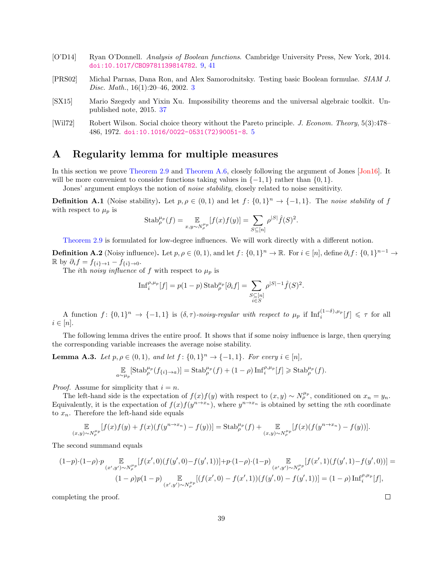- <span id="page-38-2"></span>[O'D14] Ryan O'Donnell. Analysis of Boolean functions. Cambridge University Press, New York, 2014. [doi:10.1017/CBO9781139814782](https://doi.org/10.1017/CBO9781139814782). [9,](#page-8-1) [41](#page-40-2)
- <span id="page-38-0"></span>[PRS02] Michal Parnas, Dana Ron, and Alex Samorodnitsky. Testing basic Boolean formulae. SIAM J. Disc. Math., 16(1):20–46, 2002. [3](#page-2-6)
- <span id="page-38-4"></span>[SX15] Mario Szegedy and Yixin Xu. Impossibility theorems and the universal algebraic toolkit. Unpublished note, 2015. [37](#page-36-2)
- <span id="page-38-1"></span>[Wil72] Robert Wilson. Social choice theory without the Pareto principle. J. Econom. Theory, 5(3):478– 486, 1972. [doi:10.1016/0022-0531\(72\)90051-8](https://doi.org/10.1016/0022-0531(72)90051-8). [5](#page-4-10)

## <span id="page-38-3"></span>A Regularity lemma for multiple measures

In this section we prove [Theorem 2.9](#page-10-0) and [Theorem A.6,](#page-39-0) closely following the argument of Jones [\[Jon16\]](#page-37-11). It will be more convenient to consider functions taking values in  $\{-1, 1\}$  rather than  $\{0, 1\}$ .

Jones' argument employs the notion of *noise stability*, closely related to noise sensitivity.

**Definition A.1** (Noise stability). Let  $p, \rho \in (0, 1)$  and let  $f: \{0, 1\}^n \to \{-1, 1\}$ . The noise stability of f with respect to  $\mu_p$  is

<span id="page-38-5"></span>Stab<sup>*µp*</sup><sub>*p*</sub>(f) = 
$$
\mathbb{E}_{x,y \sim N_P^{\mu_p}}[f(x)f(y)] = \sum_{S \subseteq [n]} \rho^{|S|} \hat{f}(S)^2
$$
.

[Theorem 2.9](#page-10-0) is formulated for low-degree influences. We will work directly with a different notion.

**Definition A.2** (Noisy influence). Let  $p, \rho \in (0, 1)$ , and let  $f: \{0, 1\}^n \to \mathbb{R}$ . For  $i \in [n]$ , define  $\partial_i f: \{0, 1\}^{n-1} \to$  $\mathbb{R}$  by  $\partial_i f = f_{\{i\} \to 1} - f_{\{i\} \to 0}$ .

The ith noisy influence of f with respect to  $\mu_p$  is

$$
\mathrm{Inf}_{i}^{\rho,\mu_{p}}[f] = p(1-p)\,\mathrm{Stab}_{\rho}^{\mu_{p}}[\partial_{i}f] = \sum_{\substack{S \subseteq [n] \\ i \in S}} \rho^{|S|-1} \hat{f}(S)^{2}.
$$

A function  $f: \{0,1\}^n \to \{-1,1\}$  is  $(\delta,\tau)$ -noisy-regular with respect to  $\mu_p$  if  $\text{Inf}_i^{(1-\delta),\mu_p}[f] \leq \tau$  for all  $i \in [n]$ .

The following lemma drives the entire proof. It shows that if some noisy influence is large, then querying the corresponding variable increases the average noise stability.

<span id="page-38-6"></span>**Lemma A.3.** Let  $p, \rho \in (0,1)$ , and let  $f: \{0,1\}^n \to \{-1,1\}$ . For every  $i \in [n]$ , E  $\mathbb{E}_{a \sim \mu_p}[\text{Stab}_{\rho}^{\mu_p}(f_{\{i\}\rightarrow a})] = \text{Stab}_{\rho}^{\mu_p}(f) + (1-\rho)\,\text{Inf}_{i}^{\rho,\mu_p}[f] \geqslant \text{Stab}_{\rho}^{\mu_p}(f).$ 

*Proof.* Assume for simplicity that  $i = n$ .

The left-hand side is the expectation of  $f(x)f(y)$  with respect to  $(x, y) \sim N_\rho^{\mu_p}$ , conditioned on  $x_n = y_n$ . Equivalently, it is the expectation of  $f(x)f(y^{n\to x_n})$ , where  $y^{n\to x_n}$  is obtained by setting the *n*th coordinate to  $x_n$ . Therefore the left-hand side equals

$$
\mathop{\mathbb{E}}_{(x,y)\sim N_\rho^{\mu_p}}[f(x)f(y)+f(x)(f(y^{n\to x_n})-f(y))] = \mathrm{Stab}_\rho^{\mu_p}(f) + \mathop{\mathbb{E}}_{(x,y)\sim N_\rho^{\mu_p}}[f(x)(f(y^{n\to x_n})-f(y))].
$$

The second summand equals

$$
(1-p)\cdot (1-p)\cdot p \underset{(x',y')\sim N_{\rho}^{\mu_p}}{\mathbb{E}}[f(x',0)(f(y',0)-f(y',1))] + p\cdot (1-p)\cdot (1-p)\underset{(x',y')\sim N_{\rho}^{\mu_p}}{\mathbb{E}}[f(x',1)(f(y',1)-f(y',0))] =
$$
  

$$
(1-p)p(1-p)\underset{(x',y')\sim N_{\rho}^{\mu_p}}{\mathbb{E}}[(f(x',0)-f(x',1))(f(y',0)-f(y',1))] = (1-p)\inf_{i}^{p,\mu_p}[f],
$$

completing the proof.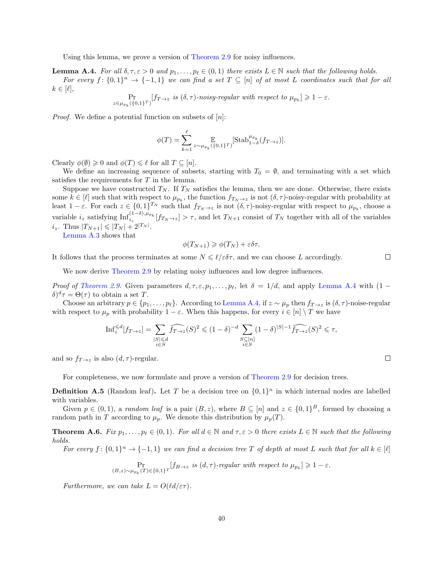Using this lemma, we prove a version of [Theorem 2.9](#page-10-0) for noisy influences.

<span id="page-39-1"></span>**Lemma A.4.** For all  $\delta, \tau, \varepsilon > 0$  and  $p_1, \ldots, p_\ell \in (0, 1)$  there exists  $L \in \mathbb{N}$  such that the following holds. For every  $f: \{0,1\}^n \to \{-1,1\}$  we can find a set  $T \subseteq [n]$  of at most L coordinates such that for all  $k \in [\ell],$ 

$$
\Pr_{z \in \mu_{p_k}(\{0,1\}^T)}[f_{T \to z} \text{ is } (\delta, \tau) \text{-noisy-regular with respect to } \mu_{p_k}] \geq 1 - \varepsilon.
$$

*Proof.* We define a potential function on subsets of  $[n]$ :

$$
\phi(T) = \sum_{k=1}^{\ell} \mathop{\mathbb{E}}_{z \sim \mu_{p_k}(\{0,1\}^T)} \left[ \text{Stab}_{1-\delta}^{\mu_{p_k}}(f_{T \to z}) \right].
$$

Clearly  $\phi(\emptyset) \geq 0$  and  $\phi(T) \leq \ell$  for all  $T \subseteq [n]$ .

We define an increasing sequence of subsets, starting with  $T_0 = \emptyset$ , and terminating with a set which satisfies the requirements for  $T$  in the lemma.

Suppose we have constructed  $T_N$ . If  $T_N$  satisfies the lemma, then we are done. Otherwise, there exists some  $k \in [\ell]$  such that with respect to  $\mu_{p_k}$ , the function  $f_{T_N \to z}$  is not  $(\delta, \tau)$ -noisy-regular with probability at least  $1-\varepsilon$ . For each  $z \in \{0,1\}^{T_N}$  such that  $f_{T_N \to z}$  is not  $(\delta, \tau)$ -noisy-regular with respect to  $\mu_{p_k}$ , choose a variable  $i_z$  satisfying  $\text{Inf}_{i_z}^{(1-\delta),\mu_{p_k}}[f_{T_N\to z}] > \tau$ , and let  $T_{N+1}$  consist of  $T_N$  together with all of the variables  $i_z$ . Thus  $|T_{N+1}| \leqslant |T_N| + 2^{|T_N|}$ .

[Lemma A.3](#page-38-6) shows that

$$
\phi(T_{N+1}) \geq \phi(T_N) + \varepsilon \delta \tau.
$$

It follows that the process terminates at some  $N \leq \ell/\epsilon \delta \tau$ , and we can choose L accordingly.

We now derive [Theorem 2.9](#page-10-0) by relating noisy influences and low degree influences.

*Proof of [Theorem 2.9.](#page-10-0)* Given parameters  $d, \tau, \varepsilon, p_1, \ldots, p_\ell$ , let  $\delta = 1/d$ , and apply [Lemma A.4](#page-39-1) with (1 −  $\delta)^d \tau = \Theta(\tau)$  to obtain a set T.

Choose an arbitrary  $p \in \{p_1, \ldots, p_\ell\}$ . According to [Lemma A.4,](#page-39-1) if  $z \sim \mu_p$  then  $f_{T\to z}$  is  $(\delta, \tau)$ -noise-regular with respect to  $\mu_p$  with probability  $1 - \varepsilon$ . When this happens, for every  $i \in [n] \setminus T$  we have

$$
\mathrm{Inf}^{\leqslant d}_i[f_{T \to z}] = \sum_{\substack{|S| \leqslant d \\ i \in S}} \widehat{f_{T \to z}}(S)^2 \leqslant (1-\delta)^{-d} \sum_{\substack{S \subseteq [n] \\ i \in S}} (1-\delta)^{|S|-1} \widehat{f_{T \to z}}(S)^2 \leqslant \tau,
$$

and so  $f_{T\to z}$  is also  $(d, \tau)$ -regular.

For completeness, we now formulate and prove a version of [Theorem 2.9](#page-10-0) for decision trees.

**Definition A.5** (Random leaf). Let T be a decision tree on  $\{0,1\}^n$  in which internal nodes are labelled with variables.

Given  $p \in (0,1)$ , a random leaf is a pair  $(B, z)$ , where  $B \subseteq [n]$  and  $z \in \{0,1\}^B$ , formed by choosing a random path in T according to  $\mu_p$ . We denote this distribution by  $\mu_p(T)$ .

<span id="page-39-0"></span>**Theorem A.6.** Fix  $p_1, \ldots, p_\ell \in (0, 1)$ . For all  $d \in \mathbb{N}$  and  $\tau, \varepsilon > 0$  there exists  $L \in \mathbb{N}$  such that the following holds.

For every  $f: \{0,1\}^n \to \{-1,1\}$  we can find a decision tree T of depth at most L such that for all  $k \in [\ell]$ 

$$
\Pr_{(B,z)\sim\mu_{p_k}(T)\in\{0,1\}^T}[f_{B\to z} \text{ is } (d,\tau)\text{-}regular \text{ with respect to } \mu_{p_k}]\geq 1-\varepsilon.
$$

Furthermore, we can take  $L = O(\ell d / \varepsilon \tau)$ .

 $\Box$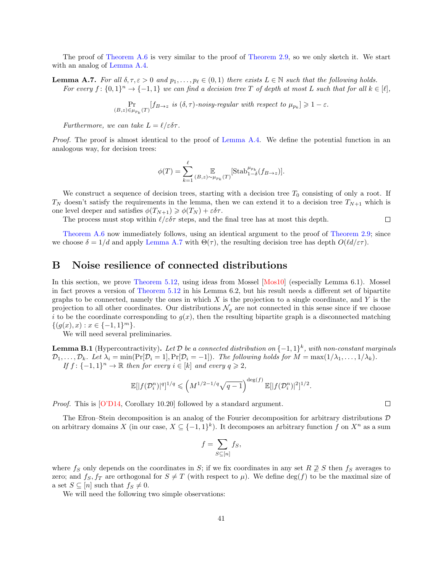The proof of [Theorem A.6](#page-39-0) is very similar to the proof of [Theorem 2.9,](#page-10-0) so we only sketch it. We start with an analog of [Lemma A.4.](#page-39-1)

<span id="page-40-3"></span>**Lemma A.7.** For all  $\delta, \tau, \varepsilon > 0$  and  $p_1, \ldots, p_\ell \in (0, 1)$  there exists  $L \in \mathbb{N}$  such that the following holds. For every  $f: \{0,1\}^n \to \{-1,1\}$  we can find a decision tree T of depth at most L such that for all  $k \in [\ell],$ 

> Pr  $\Pr_{(B,z)\in\mu_{p_k}(T)}[f_{B\to z} \text{ is } (\delta,\tau) \text{-noisy-regular with respect to } \mu_{p_k}] \geq 1-\varepsilon.$

Furthermore, we can take  $L = \ell/\varepsilon \delta \tau$ .

Proof. The proof is almost identical to the proof of [Lemma A.4.](#page-39-1) We define the potential function in an analogous way, for decision trees:

<span id="page-40-1"></span>
$$
\phi(T) = \sum_{k=1}^{\ell} \mathop{\mathbb{E}}_{(B,z) \sim \mu_{p_k}(T)} \left[ \text{Stab}_{1-\delta}^{\mu_{p_k}}(f_{B \to z}) \right].
$$

We construct a sequence of decision trees, starting with a decision tree  $T_0$  consisting of only a root. If  $T_N$  doesn't satisfy the requirements in the lemma, then we can extend it to a decision tree  $T_{N+1}$  which is one level deeper and satisfies  $\phi(T_{N+1}) \geq \phi(T_N) + \varepsilon \delta \tau$ .

The process must stop within  $\ell/\varepsilon \delta \tau$  steps, and the final tree has at most this depth.

[Theorem A.6](#page-39-0) now immediately follows, using an identical argument to the proof of [Theorem 2.9;](#page-10-0) since we choose  $\delta = 1/d$  and apply [Lemma A.7](#page-40-3) with  $\Theta(\tau)$ , the resulting decision tree has depth  $O(\ell d/\epsilon \tau)$ .

## <span id="page-40-0"></span>B Noise resilience of connected distributions

In this section, we prove [Theorem 5.12,](#page-23-0) using ideas from Mossel [\[Mos10\]](#page-37-12) (especially Lemma 6.1). Mossel in fact proves a version of [Theorem 5.12](#page-23-0) in his Lemma 6.2, but his result needs a different set of bipartite graphs to be connected, namely the ones in which  $X$  is the projection to a single coordinate, and  $Y$  is the projection to all other coordinates. Our distributions  $\mathcal{N}_q$  are not connected in this sense since if we choose i to be the coordinate corresponding to  $g(x)$ , then the resulting bipartite graph is a disconnected matching  $\{(g(x), x) : x \in \{-1, 1\}^m\}.$ 

We will need several preliminaries.

<span id="page-40-4"></span>**Lemma B.1** (Hypercontractivity). Let  $\mathcal D$  be a connected distribution on  $\{-1,1\}^k$ , with non-constant marginals  $\mathcal{D}_1,\ldots,\mathcal{D}_k$ . Let  $\lambda_i = \min(\Pr[\mathcal{D}_i = 1],\Pr[\mathcal{D}_i = -1])$ . The following holds for  $M = \max(1/\lambda_1,\ldots,1/\lambda_k)$ . If  $f: \{-1,1\}^n \to \mathbb{R}$  then for every  $i \in [k]$  and every  $q \geq 2$ ,

<span id="page-40-2"></span>
$$
\mathbb{E}[|f(\mathcal{D}^n_i)|^q]^{1/q} \leqslant \left(M^{1/2-1/q}\sqrt{q-1}\right)^{\deg(f)} \mathbb{E}[|f(\mathcal{D}^n_i)|^2]^{1/2}.
$$

Proof. This is [\[O'D14,](#page-38-2) Corollary 10.20] followed by a standard argument.

The Efron–Stein decomposition is an analog of the Fourier decomposition for arbitrary distributions  $\mathcal D$ on arbitrary domains X (in our case,  $X \subseteq \{-1,1\}^k$ ). It decomposes an arbitrary function f on  $X^n$  as a sum

$$
f = \sum_{S \subseteq [n]} f_S,
$$

where  $f_S$  only depends on the coordinates in S; if we fix coordinates in any set  $R \not\supseteq S$  then  $f_S$  averages to zero; and  $f_S, f_T$  are orthogonal for  $S \neq T$  (with respect to  $\mu$ ). We define  $\deg(f)$  to be the maximal size of a set  $S \subseteq [n]$  such that  $f_S \neq 0$ .

We will need the following two simple observations:

 $\Box$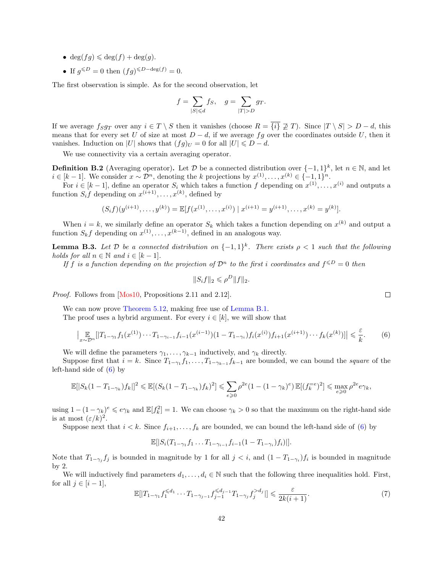- deg(fq)  $\leq$  deg(f) + deg(q).
- If  $g^{\leq D} = 0$  then  $(fg)^{\leq D-\deg(f)} = 0$ .

The first observation is simple. As for the second observation, let

$$
f = \sum_{|S| \le d} f_S, \quad g = \sum_{|T| > D} g_T.
$$

If we average  $f_Sg_T$  over any  $i \in T \setminus S$  then it vanishes (choose  $R = \{i\} \not\supseteq T$ ). Since  $|T \setminus S| > D - d$ , this means that for every set U of size at most  $D - d$ , if we average fg over the coordinates outside U, then it vanishes. Induction on |U| shows that  $(fg)_U = 0$  for all  $|U| \le D - d$ .

We use connectivity via a certain averaging operator.

**Definition B.2** (Averaging operator). Let D be a connected distribution over  $\{-1,1\}^k$ , let  $n \in \mathbb{N}$ , and let  $i \in [k-1]$ . We consider  $x \sim \mathcal{D}^n$ , denoting the k projections by  $x^{(1)}, \ldots, x^{(k)} \in \{-1, 1\}^n$ .

For  $i \in [k-1]$ , define an operator  $S_i$  which takes a function f depending on  $x^{(1)}, \ldots, x^{(i)}$  and outputs a function  $S_i f$  depending on  $x^{(i+1)}, \ldots, x^{(k)}$ , defined by

$$
(S_i f)(y^{(i+1)}, \ldots, y^{(k)}) = \mathbb{E}[f(x^{(1)}, \ldots, x^{(i)}) \mid x^{(i+1)} = y^{(i+1)}, \ldots, x^{(k)} = y^{(k)}].
$$

When  $i = k$ , we similarly define an operator  $S_k$  which takes a function depending on  $x^{(k)}$  and output a function  $S_k f$  depending on  $x^{(1)}, \ldots, x^{(k-1)}$ , defined in an analogous way.

<span id="page-41-3"></span>**Lemma B.3.** Let  $D$  be a connected distribution on  $\{-1,1\}^k$ . There exists  $\rho < 1$  such that the following holds for all  $n \in \mathbb{N}$  and  $i \in [k-1]$ .

If f is a function depending on the projection of  $\mathcal{D}^n$  to the first i coordinates and  $f^{\leq D} = 0$  then

$$
||S_i f||_2 \leqslant \rho^D ||f||_2.
$$

Proof. Follows from [\[Mos10,](#page-37-12) Propositions 2.11 and 2.12].

We can now prove [Theorem 5.12,](#page-23-0) making free use of [Lemma B.1.](#page-40-4)

The proof uses a hybrid argument. For every  $i \in [k]$ , we will show that

<span id="page-41-1"></span><span id="page-41-0"></span>
$$
\left| \underset{x \sim \mathcal{D}^n}{\mathbb{E}} [|T_{1-\gamma_1} f_1(x^{(1)}) \cdots T_{1-\gamma_{i-1}} f_{i-1}(x^{(i-1)}) (1 - T_{1-\gamma_i}) f_i(x^{(i)}) f_{i+1}(x^{(i+1)}) \cdots f_k(x^{(k)})] \right| \leq \frac{\varepsilon}{k}.
$$
 (6)

We will define the parameters  $\gamma_1, \ldots, \gamma_{k-1}$  inductively, and  $\gamma_k$  directly.

Suppose first that  $i = k$ . Since  $T_{1-\gamma_1} f_1, \ldots, T_{1-\gamma_{k-1}} f_{k-1}$  are bounded, we can bound the square of the left-hand side of  $(6)$  by

$$
\mathbb{E}[|S_k(1-T_{1-\gamma_k})f_k||^2 \leq \mathbb{E}[(S_k(1-T_{1-\gamma_k})f_k)^2] \leq \sum_{e\geq 0} \rho^{2e}(1-(1-\gamma_k)^e) \mathbb{E}[(f_k^{=e})^2] \leq \max_{e\geq 0} \rho^{2e}e\gamma_k,
$$

using  $1 - (1 - \gamma_k)^e \leqslant e \gamma_k$  and  $\mathbb{E}[f_k^2] = 1$ . We can choose  $\gamma_k > 0$  so that the maximum on the right-hand side is at most  $(\varepsilon/k)^2$ .

Suppose next that  $i < k$ . Since  $f_{i+1}, \ldots, f_k$  are bounded, we can bound the left-hand side of [\(6\)](#page-41-1) by

$$
\mathbb{E}[|S_i(T_{1-\gamma_1}f_1 \dots T_{1-\gamma_{i-1}}f_{i-1}(1-T_{1-\gamma_i})f_i)|].
$$

Note that  $T_{1-\gamma_j} f_j$  is bounded in magnitude by 1 for all  $j < i$ , and  $(1 - T_{1-\gamma_i}) f_i$  is bounded in magnitude by 2.

We will inductively find parameters  $d_1, \ldots, d_i \in \mathbb{N}$  such that the following three inequalities hold. First, for all  $j \in [i-1]$ ,

<span id="page-41-2"></span>
$$
\mathbb{E}[|T_{1-\gamma_1} f_1^{\le d_1} \cdots T_{1-\gamma_{j-1}} f_{j-1}^{\le d_{j-1}} T_{1-\gamma_j} f_j^{>d_j}]| \le \frac{\varepsilon}{2k(i+1)}.
$$
\n(7)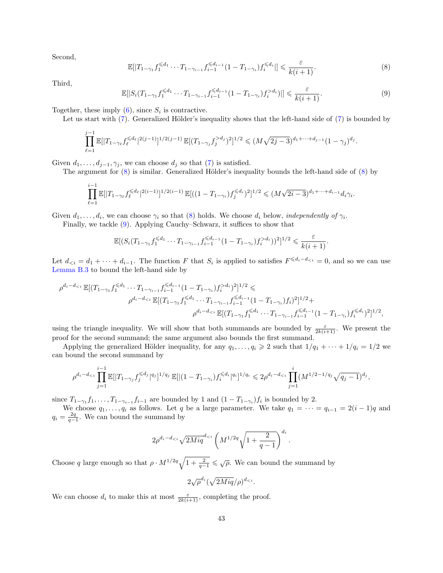Second,

<span id="page-42-0"></span>
$$
\mathbb{E}[|T_{1-\gamma_1}f_1^{\leq d_1}\cdots T_{1-\gamma_{i-1}}f_{i-1}^{\leq d_{i-1}}(1-T_{1-\gamma_i})f_i^{\leq d_i}|\leq \frac{\varepsilon}{k(i+1)}.
$$
\n(8)

Third,

<span id="page-42-1"></span>
$$
\mathbb{E}[|S_i(T_{1-\gamma_1}f_1^{\leq d_1}\cdots T_{1-\gamma_{i-1}}f_{i-1}^{\leq d_{i-1}}(1-T_{1-\gamma_i})f_i^{>d_i})|] \leq \frac{\varepsilon}{k(i+1)}.
$$
\n(9)

.

Together, these imply  $(6)$ , since  $S_i$  is contractive.

Let us start with  $(7)$ . Generalized Hölder's inequality shows that the left-hand side of  $(7)$  is bounded by

$$
\prod_{\ell=1}^{j-1} \mathbb{E}[|T_{1-\gamma_{\ell}}f_{\ell}^{\le d_{\ell}}|^{2(j-1)}]^{1/2(j-1)} \mathbb{E}[(T_{1-\gamma_{j}}f_{j}^{>d_{j}})^{2}]^{1/2} \le (M\sqrt{2j-3})^{d_{1}+\cdots+d_{j-1}}(1-\gamma_{j})^{d_{j}}
$$

Given  $d_1, \ldots, d_{j-1}, \gamma_j$ , we can choose  $d_j$  so that [\(7\)](#page-41-2) is satisfied.

The argument for  $(8)$  is similar. Generalized Hölder's inequality bounds the left-hand side of  $(8)$  by

$$
\prod_{\ell=1}^{i-1} \mathbb{E}[|T_{1-\gamma_{\ell}}f_{\ell}^{\leq d_{\ell}}|^{2(i-1)}]^{1/2(i-1)} \mathbb{E}[((1-T_{1-\gamma_{i}})f_{j}^{\leq d_{i}})^{2}]^{1/2} \leq (M\sqrt{2i-3})^{d_{1}+\cdots+d_{i-1}}d_{i}\gamma_{i}.
$$

Given  $d_1, \ldots, d_i$ , we can choose  $\gamma_i$  so that [\(8\)](#page-42-0) holds. We choose  $d_i$  below, *independently of*  $\gamma_i$ .

Finally, we tackle [\(9\)](#page-42-1). Applying Cauchy–Schwarz, it suffices to show that

$$
\mathbb{E}[(S_i(T_{1-\gamma_1}f_1^{\leq d_1}\cdots T_{1-\gamma_{i-1}}f_{i-1}^{\leq d_{i-1}}(1-T_{1-\gamma_i})f_i^{>d_i}))^2]^{1/2} \leq \frac{\varepsilon}{k(i+1)}.
$$

Let  $d_{\leq i} = d_1 + \cdots + d_{i-1}$ . The function F that  $S_i$  is applied to satisfies  $F^{\leq d_i - d_{\leq i}} = 0$ , and so we can use [Lemma B.3](#page-41-3) to bound the left-hand side by

$$
\rho^{d_i - d_{\leq i}} \mathbb{E}[(T_{1-\gamma_1}f_1^{\leq d_1} \cdots T_{1-\gamma_{i-1}}f_{i-1}^{\leq d_{i-1}}(1 - T_{1-\gamma_i})f_i^{> d_i})^2]^{1/2} \leq
$$
\n
$$
\rho^{d_i - d_{\leq i}} \mathbb{E}[(T_{1-\gamma_1}f_1^{\leq d_1} \cdots T_{1-\gamma_{i-1}}f_{i-1}^{\leq d_{i-1}}(1 - T_{1-\gamma_i})f_i)^2]^{1/2} +
$$
\n
$$
\rho^{d_i - d_{\leq i}} \mathbb{E}[(T_{1-\gamma_1}f_1^{\leq d_1} \cdots T_{1-\gamma_{i-1}}f_{i-1}^{\leq d_{i-1}}(1 - T_{1-\gamma_i})f_i^{\leq d_i})^2]^{1/2},
$$

using the triangle inequality. We will show that both summands are bounded by  $\frac{\varepsilon}{2k(i+1)}$ . We present the proof for the second summand; the same argument also bounds the first summand.

Applying the generalized Hölder inequality, for any  $q_1, \ldots, q_i \geq 2$  such that  $1/q_1 + \cdots + 1/q_i = 1/2$  we can bound the second summand by

$$
\rho^{d_i-d_{\leq i}}\prod_{j=1}^{i-1}\mathbb{E}[|T_{1-\gamma_j}f_j^{\leqslant d_j}|^{q_j}]^{1/q_j}\,\mathbb{E}[|(1-T_{1-\gamma_i})f_i^{\leqslant d_i}|^{q_i}]^{1/q_i} \leqslant 2\rho^{d_i-d_{\leqslant i}}\prod_{j=1}^{i}(M^{1/2-1/q_j}\sqrt{q_j-1})^{d_j},
$$

since  $T_{1-\gamma_1}f_1,\ldots,T_{1-\gamma_{i-1}}f_{i-1}$  are bounded by 1 and  $(1-T_{1-\gamma_i})f_i$  is bounded by 2.

We choose  $q_1, \ldots, q_i$  as follows. Let q be a large parameter. We take  $q_1 = \cdots = q_{i-1} = 2(i-1)q$  and  $q_i = \frac{2q}{q-1}$ . We can bound the summand by

$$
2\rho^{d_i - d_{< i}} \sqrt{2Miq}^{d_{< i}} \left( M^{1/2q} \sqrt{1 + \frac{2}{q-1}} \right)^{d_i}.
$$

Choose q large enough so that  $\rho \cdot M^{1/2q} \sqrt{1 + \frac{2}{q-1}} \leqslant \sqrt{\rho}$ . We can bound the summand by

$$
2\sqrt{\rho}^{d_i}(\sqrt{2Miq}/\rho)^{d_{< i}}.
$$

We can choose  $d_i$  to make this at most  $\frac{\varepsilon}{2k(i+1)}$ , completing the proof.